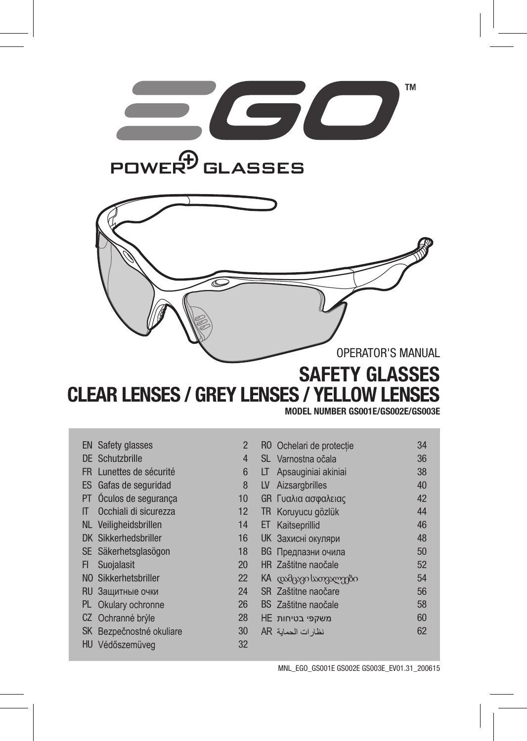



## SAFETY GLASSES CLEAR LENSES / GREY LENSES / YELLOW LENSES

#### MODEL NUMBER GS001E/GS002E/GS003E

|     | <b>EN</b> Safety glasses | $\overline{2}$ |    | RO Ochelari de protectie  | 34 |
|-----|--------------------------|----------------|----|---------------------------|----|
|     | DE Schutzbrille          | 4              |    | SL Varnostna očala        | 36 |
| FR. | Lunettes de sécurité     | 6              | LT | Apsauginiai akiniai       | 38 |
|     | ES Gafas de seguridad    | 8              | LV | Aizsargbrilles            | 40 |
|     | PT Óculos de segurança   | 10             |    | GR Γυαλια ασφαλειας       | 42 |
| IT  | Occhiali di sicurezza    | 12             |    | TR Koruyucu gözlük        | 44 |
|     | NL Veiligheidsbrillen    | 14             | ET | Kaitseprillid             | 46 |
|     | DK Sikkerhedsbriller     | 16             |    | <b>UK Захисні окуляри</b> | 48 |
|     | SE Säkerhetsglasögon     | 18             |    | <b>ВG</b> Предпазни очила | 50 |
| FI  | Suojalasit               | 20             |    | HR Zaštitne naočale       | 52 |
|     | NO Sikkerhetsbriller     | 22             |    | KA coodgego სათვალეები    | 54 |
|     | RU Защитные очки         | 24             |    | SR Zaštitne naočare       | 56 |
|     | PL Okulary ochronne      | 26             |    | BS Zaštitne naočale       | 58 |
|     | CZ Ochranné brýle        | 28             |    | משקפי בטיחות HE           | 60 |
|     | SK Bezpečnostné okuliare | 30             |    | نظار ات الحماية AR        | 62 |
| HU  | Védőszemüveg             | 32             |    |                           |    |
|     |                          |                |    |                           |    |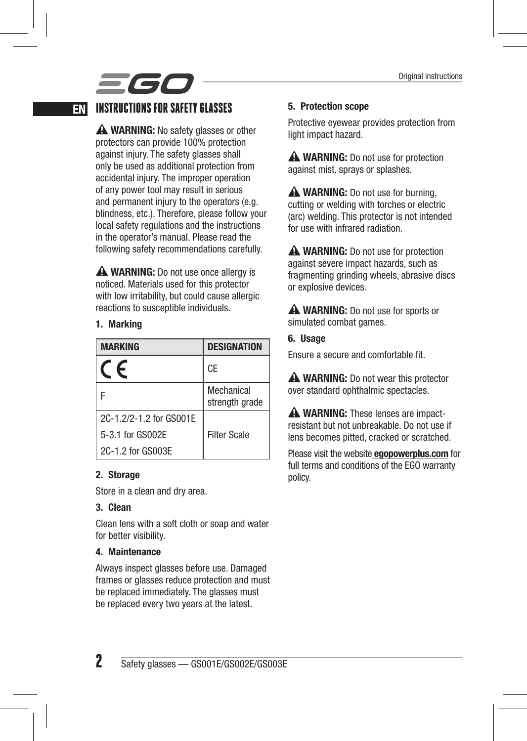# *=60*

### EN INSTRUCTIONS FOR SAFETY GLASSES

A WARNING: No safety glasses or other protectors can provide 100% protection against injury. The safety glasses shall only be used as additional protection from accidental injury. The improper operation of any power tool may result in serious and permanent injury to the operators (e.g. blindness, etc.). Therefore, please follow your local safety regulations and the instructions in the operator's manual. Please read the following safety recommendations carefully.

**A WARNING:** Do not use once allergy is noticed. Materials used for this protector with low irritability, but could cause allergic reactions to susceptible individuals.

#### 1. Marking

| <b>MARKING</b>          | <b>DESIGNATION</b>           |
|-------------------------|------------------------------|
| F                       | CE                           |
|                         | Mechanical<br>strength grade |
| 2C-1.2/2-1.2 for GS001E |                              |
| 5-3.1 for GS002E        | <b>Filter Scale</b>          |
| 2C-1.2 for GS003E       |                              |

#### 2. Storage

Store in a clean and dry area.

#### 3. Clean

Clean lens with a soft cloth or soap and water for better visibility.

#### 4. Maintenance

Always inspect glasses before use. Damaged frames or glasses reduce protection and must be replaced immediately. The glasses must be replaced every two years at the latest.

#### 5. Protection scope

Protective eyewear provides protection from light impact hazard.

A WARNING: Do not use for protection against mist, sprays or splashes.

A WARNING: Do not use for burning. cutting or welding with torches or electric (arc) welding. This protector is not intended for use with infrared radiation.

**A WARNING:** Do not use for protection against severe impact hazards, such as fragmenting grinding wheels, abrasive discs or explosive devices.

A WARNING: Do not use for sports or simulated combat games.

6. Usage Ensure a secure and comfortable fit.

**A WARNING:** Do not wear this protector over standard ophthalmic spectacles.

A WARNING: These lenses are impactresistant but not unbreakable. Do not use if lens becomes pitted, cracked or scratched.

Please visit the website **egopowerplus.com** for full terms and conditions of the EGO warranty policy.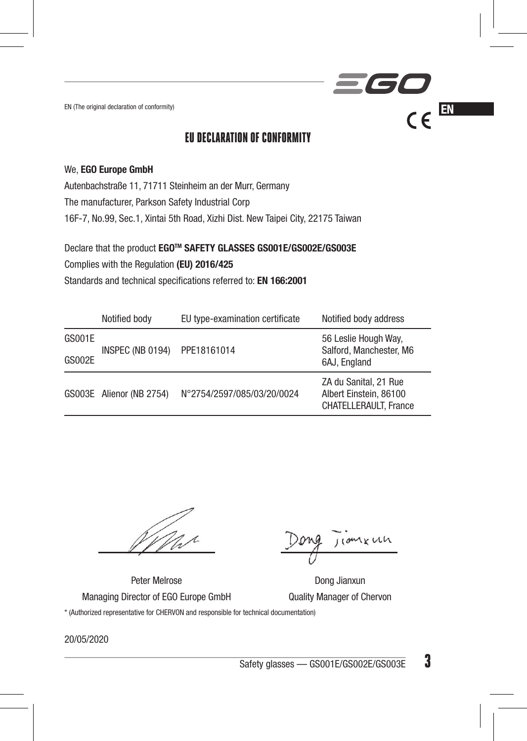EN (The original declaration of conformity)  $\mathcal{C} \in \mathbb{R}^N$ 

### EU DECLARATION OF CONFORMITY

#### We, EGO Europe GmbH

Autenbachstraße 11, 71711 Steinheim an der Murr, Germany The manufacturer, Parkson Safety Industrial Corp 16F-7, No.99, Sec.1, Xintai 5th Road, Xizhi Dist. New Taipei City, 22175 Taiwan

Declare that the product EGOTM SAFETY GLASSES GS001E/GS002E/GS003E Complies with the Regulation (EU) 2016/425 Standards and technical specifications referred to: EN 166:2001

|               | Notified body            | EU type-examination certificate | Notified body address                                                    |
|---------------|--------------------------|---------------------------------|--------------------------------------------------------------------------|
| GS001E        | INSPEC (NB 0194)         | PPE18161014                     | 56 Leslie Hough Way,<br>Salford, Manchester, M6                          |
| <b>GS002E</b> |                          |                                 | 6AJ. England                                                             |
|               | GS003E Alienor (NB 2754) | N°2754/2597/085/03/20/0024      | ZA du Sanital, 21 Rue<br>Albert Einstein, 86100<br>CHATELLERAULT, France |

comenta

360

Peter Melrose Dong Jianxun

Managing Director of EGO Europe GmbH Quality Manager of Chervon \* (Authorized representative for CHERVON and responsible for technical documentation)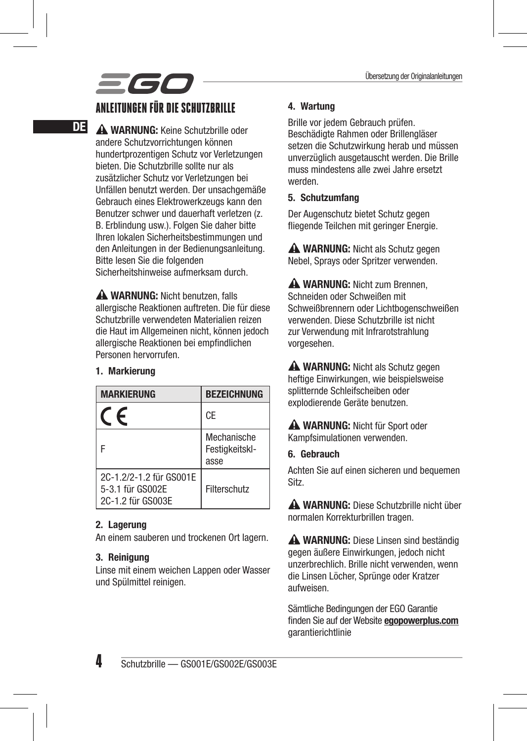# 560

### ANLEITUNGEN FÜR DIE SCHUTZBRILLE

**DE A WARNUNG:** Keine Schutzbrille oder andere Schutzvorrichtungen können hundertprozentigen Schutz vor Verletzungen bieten. Die Schutzbrille sollte nur als zusätzlicher Schutz vor Verletzungen bei Unfällen benutzt werden. Der unsachgemäße Gebrauch eines Elektrowerkzeugs kann den Benutzer schwer und dauerhaft verletzen (z. B. Erblindung usw.). Folgen Sie daher bitte Ihren lokalen Sicherheitsbestimmungen und den Anleitungen in der Bedienungsanleitung. Bitte lesen Sie die folgenden Sicherheitshinweise aufmerksam durch.

> A WARNUNG: Nicht benutzen, falls allergische Reaktionen auftreten. Die für diese Schutzbrille verwendeten Materialien reizen die Haut im Allgemeinen nicht, können jedoch allergische Reaktionen bei empfindlichen Personen hervorrufen.

#### 1. Markierung

| <b>MARKIERUNG</b>                                                | <b>BEZEICHNUNG</b>                    |
|------------------------------------------------------------------|---------------------------------------|
| c                                                                | CE                                    |
|                                                                  | Mechanische<br>Festigkeitskl-<br>asse |
| 2C-1.2/2-1.2 für GS001E<br>5-3.1 für GS002E<br>2C-1.2 für GS003E | Filterschutz                          |

#### 2. Lagerung

An einem sauberen und trockenen Ort lagern.

#### 3. Reinigung

Linse mit einem weichen Lappen oder Wasser und Spülmittel reinigen.

#### 4. Wartung

Brille vor jedem Gebrauch prüfen. Beschädigte Rahmen oder Brillengläser setzen die Schutzwirkung herab und müssen unverzüglich ausgetauscht werden. Die Brille muss mindestens alle zwei Jahre ersetzt werden.

#### 5. Schutzumfang

Der Augenschutz bietet Schutz gegen fliegende Teilchen mit geringer Energie.

A WARNUNG: Nicht als Schutz gegen Nebel, Sprays oder Spritzer verwenden.

A WARNUNG: Nicht zum Brennen Schneiden oder Schweißen mit Schweißbrennern oder Lichtbogenschweißen verwenden. Diese Schutzbrille ist nicht zur Verwendung mit Infrarotstrahlung vorgesehen.

A WARNUNG: Nicht als Schutz gegen heftige Einwirkungen, wie beispielsweise splitternde Schleifscheiben oder explodierende Geräte benutzen.

A WARNUNG: Nicht für Sport oder Kampfsimulationen verwenden.

#### 6. Gebrauch

Achten Sie auf einen sicheren und bequemen Sitz.

A WARNUNG: Diese Schutzbrille nicht über normalen Korrekturbrillen tragen.

A WARNUNG: Diese Linsen sind beständig gegen äußere Einwirkungen, jedoch nicht unzerbrechlich. Brille nicht verwenden, wenn die Linsen Löcher, Sprünge oder Kratzer aufweisen.

Sämtliche Bedingungen der EGO Garantie finden Sie auf der Website egopowerplus.com garantierichtlinie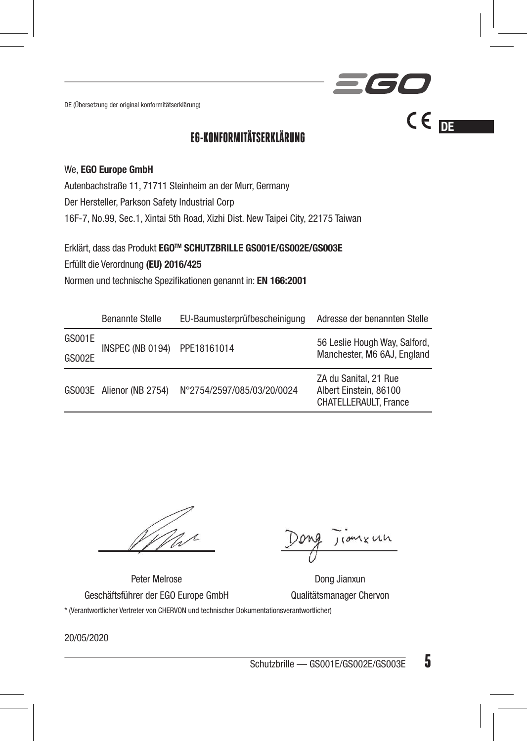DE (Übersetzung der original konformitätserklärung)

### EG-KONFORMITÄTSERKLÄRUNG

#### We, EGO Europe GmbH

Autenbachstraße 11, 71711 Steinheim an der Murr, Germany

Der Hersteller, Parkson Safety Industrial Corp

16F-7, No.99, Sec.1, Xintai 5th Road, Xizhi Dist. New Taipei City, 22175 Taiwan

Erklärt, dass das Produkt EGOTM SCHUTZBRILLE GS001E/GS002E/GS003E

Erfüllt die Verordnung (EU) 2016/425

Normen und technische Spezifikationen genannt in: EN 166:2001

|        | Benannte Stelle          | EU-Baumusterprüfbescheinigung | Adresse der benannten Stelle                                                    |
|--------|--------------------------|-------------------------------|---------------------------------------------------------------------------------|
| GS001E | INSPEC (NB 0194)         | PPE18161014                   | 56 Leslie Hough Way, Salford,<br>Manchester, M6 6AJ, England                    |
| GS002E |                          |                               |                                                                                 |
|        | GS003E Alienor (NB 2754) | N°2754/2597/085/03/20/0024    | ZA du Sanital, 21 Rue<br>Albert Einstein, 86100<br><b>CHATELLERAULT. France</b> |

 $J(0Mx)$ 

 $CE$ 

561

Peter Melrose Dong Jianxun

Geschäftsführer der EGO Europe GmbH Qualitätsmanager Chervon \* (Verantwortlicher Vertreter von CHERVON und technischer Dokumentationsverantwortlicher)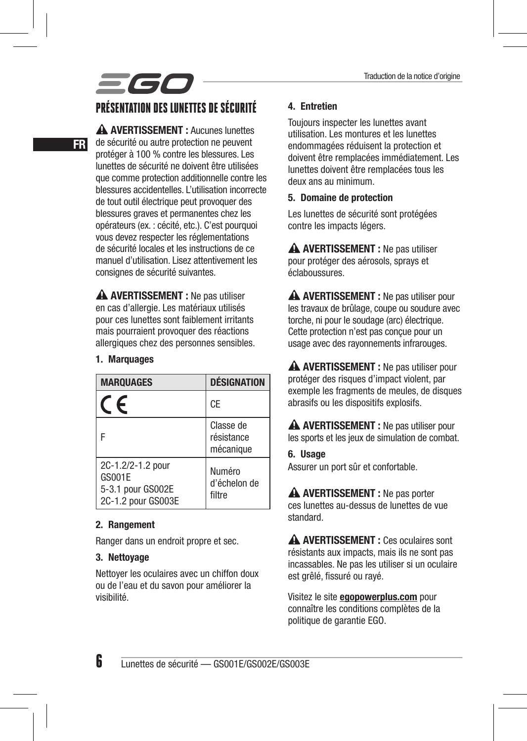## 560 PRÉSENTATION DES LUNETTES DE SÉCURITÉ

 AVERTISSEMENT : Aucunes lunettes de sécurité ou autre protection ne peuvent protéger à 100 % contre les blessures. Les lunettes de sécurité ne doivent être utilisées que comme protection additionnelle contre les blessures accidentelles. L'utilisation incorrecte de tout outil électrique peut provoquer des blessures graves et permanentes chez les opérateurs (ex. : cécité, etc.). C'est pourquoi vous devez respecter les réglementations de sécurité locales et les instructions de ce manuel d'utilisation. Lisez attentivement les consignes de sécurité suivantes.

A AVERTISSEMENT : Ne pas utiliser en cas d'allergie. Les matériaux utilisés pour ces lunettes sont faiblement irritants mais pourraient provoquer des réactions allergiques chez des personnes sensibles.

#### 1. Marquages

FR

| <b>MARQUAGES</b>                                                       | <b>DÉSIGNATION</b>                   |
|------------------------------------------------------------------------|--------------------------------------|
| F                                                                      | CE                                   |
| E                                                                      | Classe de<br>résistance<br>mécanique |
| 2C-1.2/2-1.2 pour<br>GS001E<br>5-3.1 pour GS002E<br>2C-1.2 pour GS003E | Numéro<br>d'échelon de<br>filtre     |

#### 2. Rangement

Ranger dans un endroit propre et sec.

#### 3. Nettoyage

Nettoyer les oculaires avec un chiffon doux ou de l'eau et du savon pour améliorer la visibilité.

#### 4. Entretien

Toujours inspecter les lunettes avant utilisation. Les montures et les lunettes endommagées réduisent la protection et doivent être remplacées immédiatement. Les lunettes doivent être remplacées tous les deux ans au minimum.

#### 5. Domaine de protection

Les lunettes de sécurité sont protégées contre les impacts légers.

A AVERTISSEMENT : Ne pas utiliser pour protéger des aérosols, sprays et éclaboussures.

A AVERTISSEMENT : Ne pas utiliser pour les travaux de brûlage, coupe ou soudure avec torche, ni pour le soudage (arc) électrique. Cette protection n'est pas conçue pour un usage avec des rayonnements infrarouges.

A AVERTISSEMENT : Ne pas utiliser pour protéger des risques d'impact violent, par exemple les fragments de meules, de disques abrasifs ou les dispositifs explosifs.

A AVERTISSEMENT : Ne pas utiliser pour les sports et les jeux de simulation de combat.

#### 6. Usage

Assurer un port sûr et confortable.

A AVERTISSEMENT : Ne pas porter ces lunettes au-dessus de lunettes de vue standard.

 AVERTISSEMENT : Ces oculaires sont résistants aux impacts, mais ils ne sont pas incassables. Ne pas les utiliser si un oculaire est grêlé, fissuré ou rayé.

Visitez le site egopowerplus.com pour connaître les conditions complètes de la politique de garantie EGO.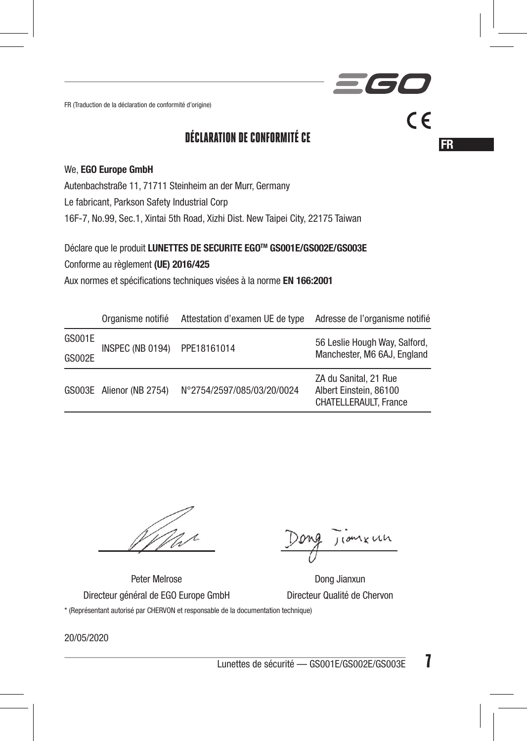FR (Traduction de la déclaration de conformité d'origine)

### DÉCLARATION DE CONFORMITÉ CE

#### We, EGO Europe GmbH

Autenbachstraße 11, 71711 Steinheim an der Murr, Germany

Le fabricant, Parkson Safety Industrial Corp

16F-7, No.99, Sec.1, Xintai 5th Road, Xizhi Dist. New Taipei City, 22175 Taiwan

#### Déclare que le produit LUNETTES DE SECURITE EGOTM GS001E/GS002E/GS003E

Conforme au règlement (UE) 2016/425

Aux normes et spécifications techniques visées à la norme EN 166:2001

|        | Organisme notifié        | Attestation d'examen UE de type | Adresse de l'organisme notifié                                                  |
|--------|--------------------------|---------------------------------|---------------------------------------------------------------------------------|
| GS001E | INSPEC (NB 0194)         | PPE18161014                     | 56 Leslie Hough Way, Salford,                                                   |
| GS002E |                          |                                 | Manchester, M6 6AJ, England                                                     |
|        | GS003E Alienor (NB 2754) | N°2754/2597/085/03/20/0024      | ZA du Sanital, 21 Rue<br>Albert Einstein, 86100<br><b>CHATELLERAULT. France</b> |

comkun

**FR** 

 $\epsilon$ 

l Si

Peter Melrose Dong Jianxun

Directeur général de EGO Europe GmbH Directeur Qualité de Chervon \* (Représentant autorisé par CHERVON et responsable de la documentation technique)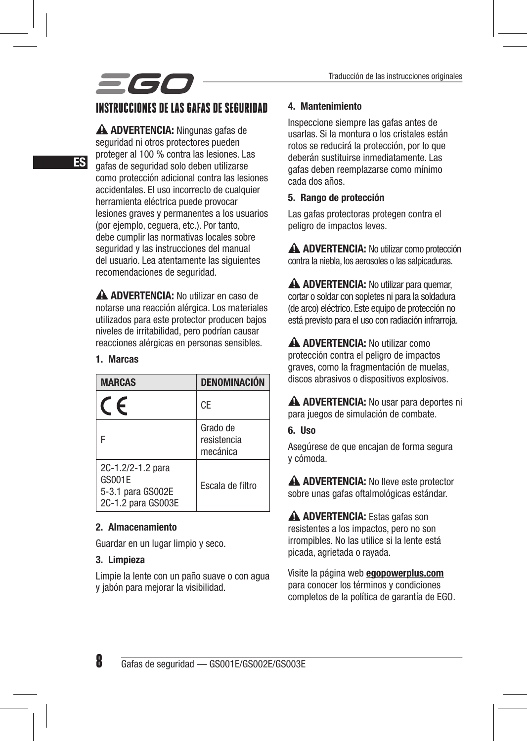# scc

### INSTRUCCIONES DE LAS GAFAS DE SEGURIDAD

A ADVERTENCIA: Ningunas gafas de seguridad ni otros protectores pueden proteger al 100 % contra las lesiones. Las gafas de seguridad solo deben utilizarse como protección adicional contra las lesiones accidentales. El uso incorrecto de cualquier herramienta eléctrica puede provocar lesiones graves y permanentes a los usuarios (por ejemplo, ceguera, etc.). Por tanto, debe cumplir las normativas locales sobre seguridad y las instrucciones del manual del usuario. Lea atentamente las siguientes recomendaciones de seguridad.

A ADVERTENCIA: No utilizar en caso de notarse una reacción alérgica. Los materiales utilizados para este protector producen bajos niveles de irritabilidad, pero podrían causar reacciones alérgicas en personas sensibles.

#### 1. Marcas

| <b>MARCAS</b>                                                          | DENOMINACIÓN                        |
|------------------------------------------------------------------------|-------------------------------------|
|                                                                        | CE                                  |
|                                                                        | Grado de<br>resistencia<br>mecánica |
| 2C-1.2/2-1.2 para<br>GS001E<br>5-3.1 para GS002E<br>2C-1.2 para GS003E | Escala de filtro                    |

#### 2. Almacenamiento

Guardar en un lugar limpio y seco.

#### 3. Limpieza

Limpie la lente con un paño suave o con agua y jabón para mejorar la visibilidad.

#### 4. Mantenimiento

Inspeccione siempre las gafas antes de usarlas. Si la montura o los cristales están rotos se reducirá la protección, por lo que deberán sustituirse inmediatamente. Las gafas deben reemplazarse como mínimo cada dos años.

#### 5. Rango de protección

Las gafas protectoras protegen contra el peligro de impactos leves.

 ADVERTENCIA: No utilizar como protección contra la niebla, los aerosoles o las salpicaduras.

A ADVERTENCIA: No utilizar para quemar, cortar o soldar con sopletes ni para la soldadura (de arco) eléctrico. Este equipo de protección no está previsto para el uso con radiación infrarroja.

A ADVERTENCIA: No utilizar como protección contra el peligro de impactos graves, como la fragmentación de muelas, discos abrasivos o dispositivos explosivos.

A ADVERTENCIA: No usar para deportes ni para juegos de simulación de combate.

#### 6. Uso

Asegúrese de que encajan de forma segura y cómoda.

A ADVERTENCIA: No lleve este protector sobre unas gafas oftalmológicas estándar.

A ADVERTENCIA: Estas gafas son resistentes a los impactos, pero no son irrompibles. No las utilice si la lente está picada, agrietada o rayada.

Visite la página web egopowerplus.com para conocer los términos y condiciones completos de la política de garantía de EGO.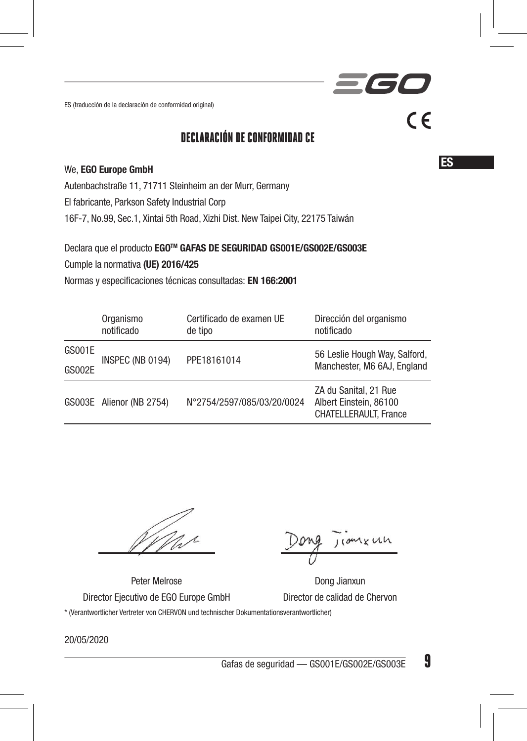ES (traducción de la declaración de conformidad original)

### DECLARACIÓN DE CONFORMIDAD CE

#### We, EGO Europe GmbH

Autenbachstraße 11, 71711 Steinheim an der Murr, Germany

El fabricante, Parkson Safety Industrial Corp

16F-7, No.99, Sec.1, Xintai 5th Road, Xizhi Dist. New Taipei City, 22175 Taiwán

Declara que el producto EGOTM GAFAS DE SEGURIDAD GS001E/GS002E/GS003E

Cumple la normativa (UE) 2016/425

Normas y especificaciones técnicas consultadas: EN 166:2001

|               | Organismo<br>notificado  | Certificado de examen UE<br>de tipo | Dirección del organismo<br>notificado                                           |
|---------------|--------------------------|-------------------------------------|---------------------------------------------------------------------------------|
| GS001E        | INSPEC (NB 0194)         | PPE18161014                         | 56 Leslie Hough Way, Salford,                                                   |
| <b>GS002E</b> |                          |                                     | Manchester, M6 6AJ, England                                                     |
|               | GS003E Alienor (NB 2754) | N°2754/2597/085/03/20/0024          | ZA du Sanital, 21 Rue<br>Albert Einstein, 86100<br><b>CHATELLERAULT. France</b> |

 $10MxWh$ 

Peter Melrose **Dong Jianxun** 

Director Ejecutivo de EGO Europe GmbH Director de calidad de Chervon \* (Verantwortlicher Vertreter von CHERVON und technischer Dokumentationsverantwortlicher)

20/05/2020

Gafas de seguridad — GS001E/GS002E/GS003E  $9$ 

ES

 $C \in$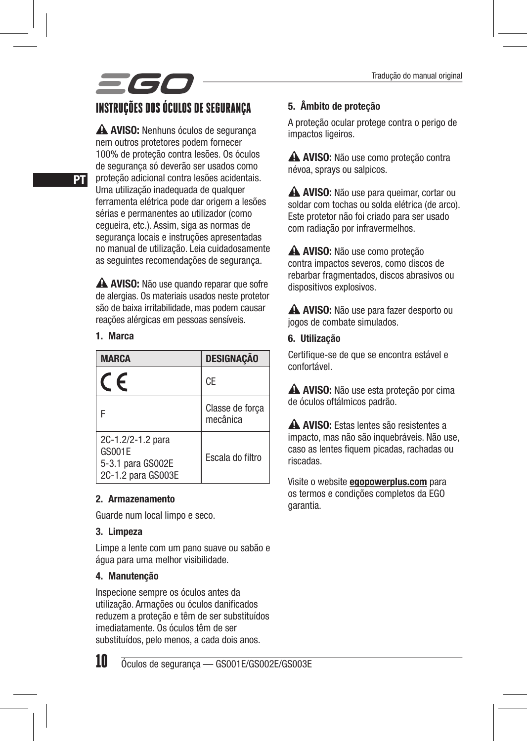## 560 INSTRUÇÕES DOS ÓCULOS DE SEGURANÇA

A AVISO: Nenhuns óculos de segurança nem outros protetores podem fornecer 100% de proteção contra lesões. Os óculos de segurança só deverão ser usados como proteção adicional contra lesões acidentais. Uma utilização inadequada de qualquer ferramenta elétrica pode dar origem a lesões sérias e permanentes ao utilizador (como cegueira, etc.). Assim, siga as normas de segurança locais e instruções apresentadas no manual de utilização. Leia cuidadosamente as seguintes recomendações de segurança.

A AVISO: Não use quando reparar que sofre de alergias. Os materiais usados neste protetor são de baixa irritabilidade, mas podem causar reações alérgicas em pessoas sensíveis.

#### 1. Marca

| <b>MARCA</b>                                                           | <b>DESIGNAÇÃO</b>           |
|------------------------------------------------------------------------|-----------------------------|
| F                                                                      | CE                          |
|                                                                        | Classe de forca<br>mecânica |
| 2C-1.2/2-1.2 para<br>GS001E<br>5-3.1 para GS002E<br>2C-1.2 para GS003E | Escala do filtro            |

#### 2. Armazenamento

Guarde num local limpo e seco.

#### 3. Limpeza

Limpe a lente com um pano suave ou sabão e água para uma melhor visibilidade.

#### 4. Manutenção

Inspecione sempre os óculos antes da utilização. Armações ou óculos danificados reduzem a proteção e têm de ser substituídos imediatamente. Os óculos têm de ser substituídos, pelo menos, a cada dois anos.

## 10 Óculos de segurança — GS001E/GS002E/GS003E

5. Âmbito de proteção

A proteção ocular protege contra o perigo de impactos ligeiros.

A AVISO: Não use como proteção contra névoa, sprays ou salpicos.

A AVISO: Não use para queimar, cortar ou soldar com tochas ou solda elétrica (de arco). Este protetor não foi criado para ser usado com radiação por infravermelhos.

 AVISO: Não use como proteção contra impactos severos, como discos de rebarbar fragmentados, discos abrasivos ou dispositivos explosivos.

A AVISO: Não use para fazer desporto ou jogos de combate simulados.

#### 6. Utilização

Certifique-se de que se encontra estável e confortável.

 AVISO: Não use esta proteção por cima de óculos oftálmicos padrão.

 AVISO: Estas lentes são resistentes a impacto, mas não são inquebráveis. Não use, caso as lentes fiquem picadas, rachadas ou riscadas.

Visite o website **egopowerplus.com** para os termos e condições completos da EGO garantia.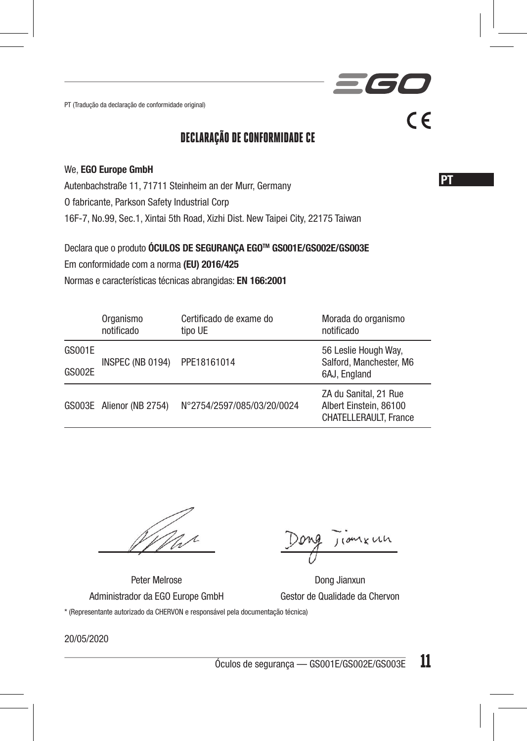PT (Tradução da declaração de conformidade original)

### DECLARAÇÃO DE CONFORMIDADE CE

#### We, EGO Europe GmbH

Autenbachstraße 11, 71711 Steinheim an der Murr, Germany

O fabricante, Parkson Safety Industrial Corp

16F-7, No.99, Sec.1, Xintai 5th Road, Xizhi Dist. New Taipei City, 22175 Taiwan

Declara que o produto ÓCULOS DE SEGURANÇA EGOTM GS001E/GS002E/GS003E

Em conformidade com a norma (EU) 2016/425

Normas e características técnicas abrangidas: EN 166:2001

|               | Organismo<br>notificado  | Certificado de exame do<br>tipo UE | Morada do organismo<br>notificado                                               |
|---------------|--------------------------|------------------------------------|---------------------------------------------------------------------------------|
| GS001E        | INSPEC (NB 0194)         | PPE18161014                        | 56 Leslie Hough Way,<br>Salford, Manchester, M6                                 |
| <b>GS002E</b> |                          |                                    | 6AJ. England                                                                    |
|               | GS003E Alienor (NB 2754) | N°2754/2597/085/03/20/0024         | ZA du Sanital, 21 Rue<br>Albert Einstein, 86100<br><b>CHATELLERAULT. France</b> |

Mar

 $10MxWh$ 

<u>PT</u>

 $C \in$ 

**TET** 

Peter Melrose **Dong Jianxun** 

Administrador da EGO Europe GmbH Gestor de Qualidade da Chervon \* (Representante autorizado da CHERVON e responsável pela documentação técnica)

20/05/2020

 $\frac{6}{6}$ culos de segurança — GS001E/GS002E/GS003E 11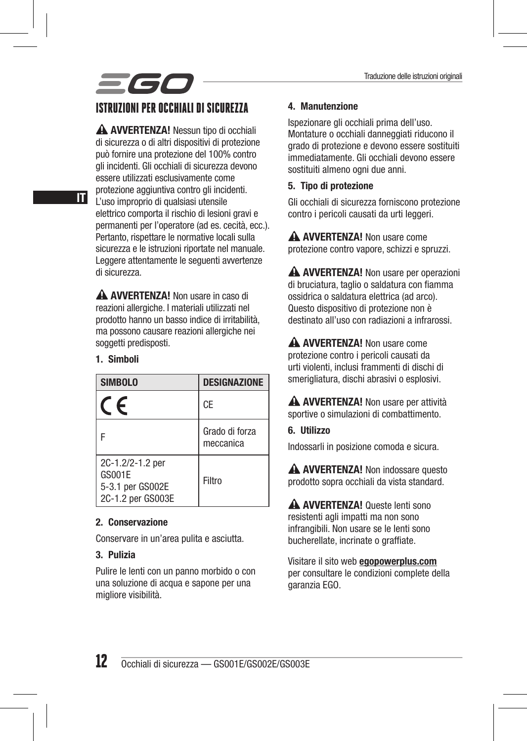# scc

### ISTRUZIONI PER OCCHIALI DI SICUREZZA

A AVVERTENZA! Nessun tipo di occhiali di sicurezza o di altri dispositivi di protezione può fornire una protezione del 100% contro gli incidenti. Gli occhiali di sicurezza devono essere utilizzati esclusivamente come protezione aggiuntiva contro gli incidenti. L'uso improprio di qualsiasi utensile elettrico comporta il rischio di lesioni gravi e permanenti per l'operatore (ad es. cecità, ecc.). Pertanto, rispettare le normative locali sulla sicurezza e le istruzioni riportate nel manuale. Leggere attentamente le seguenti avvertenze di sicurezza.

A AVVERTENZA! Non usare in caso di reazioni allergiche. I materiali utilizzati nel prodotto hanno un basso indice di irritabilità, ma possono causare reazioni allergiche nei soggetti predisposti.

#### 1. Simboli

| <b>SIMBOLO</b>                                                      | <b>DESIGNAZIONE</b>         |
|---------------------------------------------------------------------|-----------------------------|
| $\epsilon$                                                          | CE                          |
|                                                                     | Grado di forza<br>meccanica |
| 2C-1.2/2-1.2 per<br>GS001E<br>5-3.1 per GS002E<br>2C-1.2 per GS003E | Filtro                      |

#### 2. Conservazione

Conservare in un'area pulita e asciutta.

#### 3. Pulizia

Pulire le lenti con un panno morbido o con una soluzione di acqua e sapone per una migliore visibilità.

#### 4. Manutenzione

Ispezionare gli occhiali prima dell'uso. Montature o occhiali danneggiati riducono il grado di protezione e devono essere sostituiti immediatamente. Gli occhiali devono essere sostituiti almeno ogni due anni.

#### 5. Tipo di protezione

Gli occhiali di sicurezza forniscono protezione contro i pericoli causati da urti leggeri.

A **AVVERTENZA!** Non usare come protezione contro vapore, schizzi e spruzzi.

A AVVERTENZA! Non usare per operazioni di bruciatura, taglio o saldatura con fiamma ossidrica o saldatura elettrica (ad arco). Questo dispositivo di protezione non è destinato all'uso con radiazioni a infrarossi.

A AVVERTENZA! Non usare come protezione contro i pericoli causati da urti violenti, inclusi frammenti di dischi di smerigliatura, dischi abrasivi o esplosivi.

A AVVERTENZA! Non usare per attività sportive o simulazioni di combattimento.

#### 6. Utilizzo

Indossarli in posizione comoda e sicura.

A AVVERTENZA! Non indossare questo prodotto sopra occhiali da vista standard.

A AVVERTENZA! Queste lenti sono resistenti agli impatti ma non sono infrangibili. Non usare se le lenti sono bucherellate, incrinate o graffiate.

Visitare il sito web egopowerplus.com per consultare le condizioni complete della garanzia EGO.

IT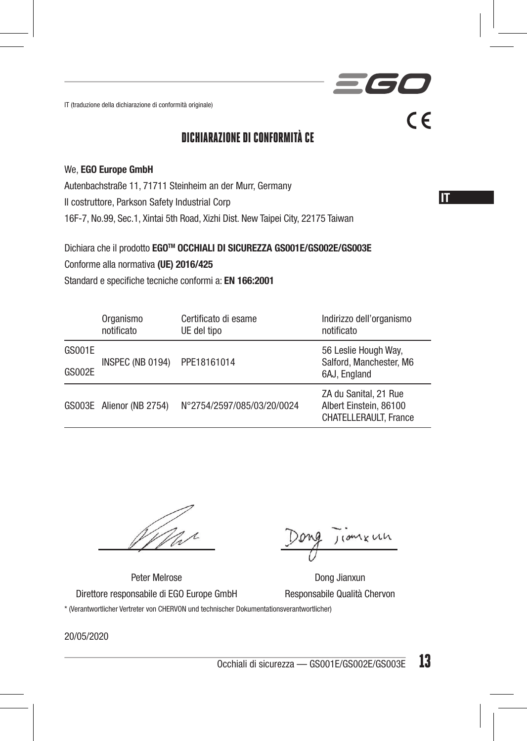IT (traduzione della dichiarazione di conformità originale)

### DICHIARAZIONE DI CONFORMITÀ CE

#### We, EGO Europe GmbH

Autenbachstraße 11, 71711 Steinheim an der Murr, Germany

Il costruttore, Parkson Safety Industrial Corp

16F-7, No.99, Sec.1, Xintai 5th Road, Xizhi Dist. New Taipei City, 22175 Taiwan

Dichiara che il prodotto EGOTM OCCHIALI DI SICUREZZA GS001E/GS002E/GS003E

Conforme alla normativa (UE) 2016/425

Standard e specifiche tecniche conformi a: EN 166:2001

|               | Organismo<br>notificato  | Certificato di esame<br>UE del tipo | Indirizzo dell'organismo<br>notificato                                          |
|---------------|--------------------------|-------------------------------------|---------------------------------------------------------------------------------|
| GS001E        | INSPEC (NB 0194)         | PPE18161014                         | 56 Leslie Hough Way,<br>Salford, Manchester, M6                                 |
| <b>GS002E</b> |                          |                                     | 6AJ. England                                                                    |
|               | GS003E Alienor (NB 2754) | N°2754/2597/085/03/20/0024          | ZA du Sanital, 21 Rue<br>Albert Einstein, 86100<br><b>CHATELLERAULT. France</b> |

nxun

IT **I** 

 $C \in$ 

361

Peter Melrose Dong Jianxun

Direttore responsabile di EGO Europe GmbH Responsabile Qualità Chervon \* (Verantwortlicher Vertreter von CHERVON und technischer Dokumentationsverantwortlicher)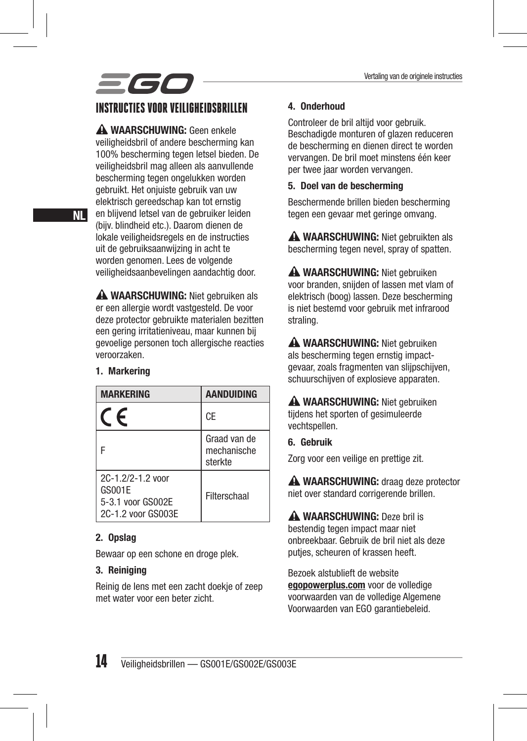## scc INSTRUCTIES VOOR VEILIGHEIDSBRILLEN

A WAARSCHUWING: Geen enkele veiligheidsbril of andere bescherming kan 100% bescherming tegen letsel bieden. De veiligheidsbril mag alleen als aanvullende bescherming tegen ongelukken worden gebruikt. Het onjuiste gebruik van uw elektrisch gereedschap kan tot ernstig en blijvend letsel van de gebruiker leiden (bijv. blindheid etc.). Daarom dienen de lokale veiligheidsregels en de instructies uit de gebruiksaanwijzing in acht te worden genomen. Lees de volgende veiligheidsaanbevelingen aandachtig door.

A WAARSCHUWING: Niet gebruiken als er een allergie wordt vastgesteld. De voor deze protector gebruikte materialen bezitten een gering irritatieniveau, maar kunnen bij gevoelige personen toch allergische reacties veroorzaken.

#### 1. Markering

| <b>MARKERING</b>                                                       | <b>AANDUIDING</b>                      |
|------------------------------------------------------------------------|----------------------------------------|
|                                                                        | CE                                     |
|                                                                        | Graad van de<br>mechanische<br>sterkte |
| 2C-1 2/2-1 2 yoor<br>GS001E<br>5-3.1 voor GS002E<br>2C-1.2 voor GS003E | Filterschaal                           |

#### 2. Opslag

Bewaar op een schone en droge plek.

#### 3. Reiniging

Reinig de lens met een zacht doekje of zeep met water voor een beter zicht.

#### 4. Onderhoud

Controleer de bril altijd voor gebruik. Beschadigde monturen of glazen reduceren de bescherming en dienen direct te worden vervangen. De bril moet minstens één keer per twee jaar worden vervangen.

#### 5. Doel van de bescherming

Beschermende brillen bieden bescherming tegen een gevaar met geringe omvang.

A WAARSCHUWING: Niet gebruikten als bescherming tegen nevel, spray of spatten.

A WAARSCHUWING: Niet gebruiken voor branden, snijden of lassen met vlam of elektrisch (boog) lassen. Deze bescherming is niet bestemd voor gebruik met infrarood straling.

A WAARSCHUWING: Niet gebruiken als bescherming tegen ernstig impactgevaar, zoals fragmenten van slijpschijven, schuurschijven of explosieve apparaten.

 WAARSCHUWING: Niet gebruiken tijdens het sporten of gesimuleerde vechtspellen.

#### 6. Gebruik

Zorg voor een veilige en prettige zit.

A WAARSCHUWING: draag deze protector niet over standard corrigerende brillen.

A WAARSCHUWING: Deze bril is bestendig tegen impact maar niet onbreekbaar. Gebruik de bril niet als deze putjes, scheuren of krassen heeft.

Bezoek alstublieft de website egopowerplus.com voor de volledige voorwaarden van de volledige Algemene Voorwaarden van EGO garantiebeleid.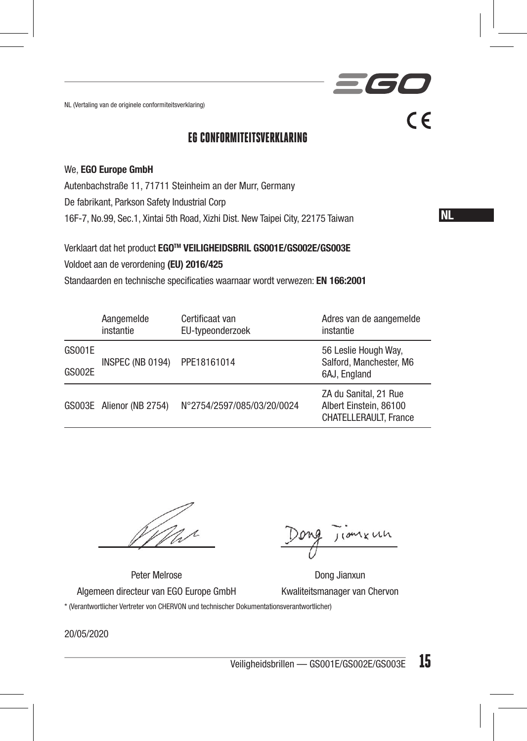NL (Vertaling van de originele conformiteitsverklaring)

### EG CONFORMITEITSVERKLARING

#### We, EGO Europe GmbH

Autenbachstraße 11, 71711 Steinheim an der Murr, Germany

De fabrikant, Parkson Safety Industrial Corp

16F-7, No.99, Sec.1, Xintai 5th Road, Xizhi Dist. New Taipei City, 22175 Taiwan

NL

 $\epsilon$ 

 $\overline{\phantom{a}}$ 

#### Verklaart dat het product EGOTM VEILIGHEIDSBRIL GS001E/GS002E/GS003E

Voldoet aan de verordening (EU) 2016/425

Standaarden en technische specificaties waarnaar wordt verwezen: EN 166:2001

|               | Aangemelde<br>instantie  | Certificaat van<br>EU-typeonderzoek | Adres van de aangemelde<br>instantie                                            |
|---------------|--------------------------|-------------------------------------|---------------------------------------------------------------------------------|
| GS001E        | INSPEC (NB 0194)         | PPE18161014                         | 56 Leslie Hough Way,<br>Salford, Manchester, M6                                 |
| <b>GS002E</b> |                          |                                     | 6AJ. England                                                                    |
|               | GS003E Alienor (NB 2754) | N°2754/2597/085/03/20/0024          | ZA du Sanital, 21 Rue<br>Albert Einstein, 86100<br><b>CHATELLERAULT. France</b> |

110mx un

Peter Melrose Dong Jianxun

Algemeen directeur van EGO Europe GmbH Kwaliteitsmanager van Chervon

\* (Verantwortlicher Vertreter von CHERVON und technischer Dokumentationsverantwortlicher)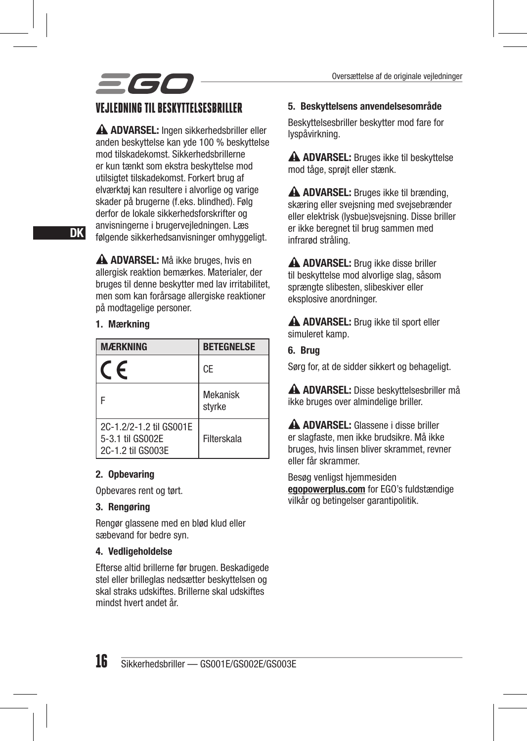### VEJLEDNING TIL BESKYTTELSESBRILLER

A ADVARSEL: Ingen sikkerhedsbriller eller anden beskyttelse kan yde 100 % beskyttelse mod tilskadekomst. Sikkerhedsbrillerne er kun tænkt som ekstra beskyttelse mod utilsigtet tilskadekomst. Forkert brug af elværktøj kan resultere i alvorlige og varige skader på brugerne (f.eks. blindhed). Følg derfor de lokale sikkerhedsforskrifter og anvisningerne i brugervejledningen. Læs følgende sikkerhedsanvisninger omhyggeligt.

A ADVARSEL: Må ikke bruges, hvis en allergisk reaktion bemærkes. Materialer, der bruges til denne beskytter med lav irritabilitet, men som kan forårsage allergiske reaktioner på modtagelige personer.

#### 1. Mærkning

| <b>MÆRKNING</b>                                                  | <b>BETEGNELSE</b>  |
|------------------------------------------------------------------|--------------------|
| F                                                                | CE                 |
|                                                                  | Mekanisk<br>styrke |
| 2C-1.2/2-1.2 til GS001E<br>5-3.1 til GS002E<br>2C-1.2 til GS003E | Filterskala        |

#### 2. Opbevaring

Opbevares rent og tørt.

#### 3. Rengøring

Rengør glassene med en blød klud eller sæbevand for bedre syn.

#### 4. Vedligeholdelse

Efterse altid brillerne før brugen. Beskadigede stel eller brilleglas nedsætter beskyttelsen og skal straks udskiftes. Brillerne skal udskiftes mindst hvert andet år.

#### 5. Beskyttelsens anvendelsesområde

Beskyttelsesbriller beskytter mod fare for lyspåvirkning.

 ADVARSEL: Bruges ikke til beskyttelse mod tåge, sprøjt eller stænk.

A ADVARSEL: Bruges ikke til brænding. skæring eller svejsning med svejsebrænder eller elektrisk (lysbue)svejsning. Disse briller er ikke beregnet til brug sammen med infrarød stråling.

 ADVARSEL: Brug ikke disse briller til beskyttelse mod alvorlige slag, såsom sprængte slibesten, slibeskiver eller eksplosive anordninger.

A ADVARSEL: Brug ikke til sport eller simuleret kamp.

6. Brug

Sørg for, at de sidder sikkert og behageligt.

 ADVARSEL: Disse beskyttelsesbriller må ikke bruges over almindelige briller.

 ADVARSEL: Glassene i disse briller er slagfaste, men ikke brudsikre. Må ikke bruges, hvis linsen bliver skrammet, revner eller får skrammer.

Besøg venligst hjemmesiden egopowerplus.com for EGO's fuldstændige vilkår og betingelser garantipolitik.

DK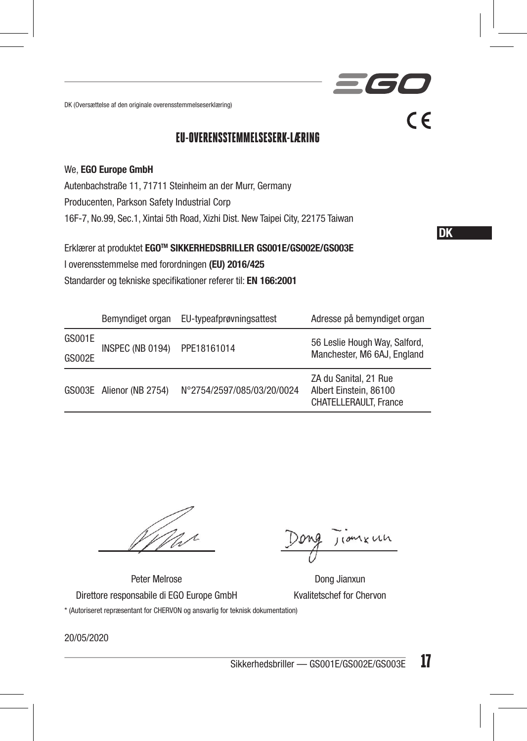DK (Oversættelse af den originale overensstemmelseserklæring)

### EU-OVERENSSTEMMELSESERK-LÆRING

#### We, EGO Europe GmbH

Autenbachstraße 11, 71711 Steinheim an der Murr, Germany Producenten, Parkson Safety Industrial Corp

16F-7, No.99, Sec.1, Xintai 5th Road, Xizhi Dist. New Taipei City, 22175 Taiwan

Erklærer at produktet EGOTM SIKKERHEDSBRILLER GS001E/GS002E/GS003E I overensstemmelse med forordningen (EU) 2016/425 Standarder og tekniske specifikationer referer til: EN 166:2001

|        |                          | Bemyndiget organ EU-typeafprøvningsattest | Adresse på bemyndiget organ                                                     |
|--------|--------------------------|-------------------------------------------|---------------------------------------------------------------------------------|
| GS001E | INSPEC (NB 0194)         | PPE18161014                               | 56 Leslie Hough Way, Salford,<br>Manchester, M6 6AJ, England                    |
| GS002E |                          |                                           |                                                                                 |
|        | GS003E Alienor (NB 2754) | N°2754/2597/085/03/20/0024                | ZA du Sanital, 21 Rue<br>Albert Einstein, 86100<br><b>CHATELLERAULT. France</b> |

110mx un

DK

 $C \in$ 

 $\overline{\phantom{a}}$ 

Peter Melrose Dong Jianxun

Direttore responsabile di EGO Europe GmbH Kvalitetschef for Chervon \* (Autoriseret repræsentant for CHERVON og ansvarlig for teknisk dokumentation)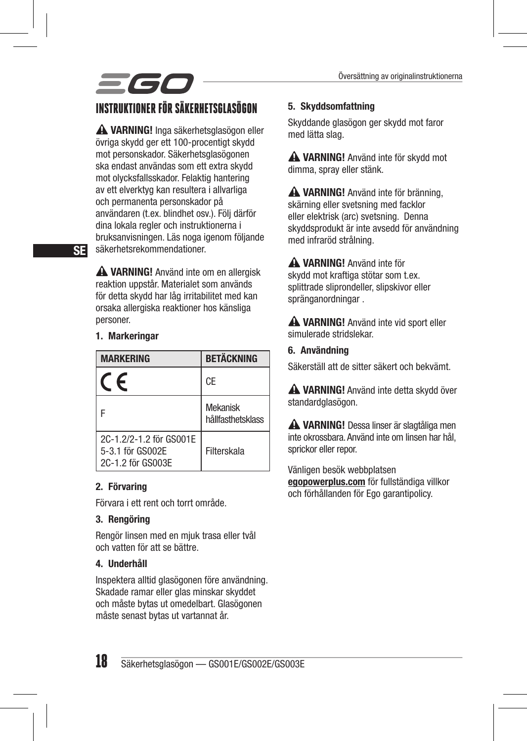## 560 INSTRUKTIONER FÖR SÄKERHETSGLASÖGON

**A VARNING!** Inga säkerhetsglasögon eller övriga skydd ger ett 100-procentigt skydd mot personskador. Säkerhetsglasögonen ska endast användas som ett extra skydd mot olycksfallsskador. Felaktig hantering av ett elverktyg kan resultera i allvarliga och permanenta personskador på användaren (t.ex. blindhet osv.). Följ därför dina lokala regler och instruktionerna i bruksanvisningen. Läs noga igenom följande säkerhetsrekommendationer.

A VARNING! Använd inte om en allergisk reaktion uppstår. Materialet som används för detta skydd har låg irritabilitet med kan orsaka allergiska reaktioner hos känsliga personer.

1. Markeringar

| <b>MARKERING</b>                                                 | <b>BETÄCKNING</b>             |
|------------------------------------------------------------------|-------------------------------|
| $\epsilon$                                                       | CE                            |
|                                                                  | Mekanisk<br>hållfasthetsklass |
| 2C-1.2/2-1.2 för GS001E<br>5-3.1 för GS002E<br>2C-1.2 för GS003E | Filterskala                   |

#### 2. Förvaring

Förvara i ett rent och torrt område.

#### 3. Rengöring

Rengör linsen med en mjuk trasa eller tvål och vatten för att se bättre.

#### 4. Underhåll

Inspektera alltid glasögonen före användning. Skadade ramar eller glas minskar skyddet och måste bytas ut omedelbart. Glasögonen måste senast bytas ut vartannat år.

#### 5. Skyddsomfattning

Skyddande glasögon ger skydd mot faror med lätta slag.

 VARNING! Använd inte för skydd mot dimma, spray eller stänk.

 VARNING! Använd inte för bränning, skärning eller svetsning med facklor eller elektrisk (arc) svetsning. Denna skyddsprodukt är inte avsedd för användning med infraröd strålning.

 VARNING! Använd inte för skydd mot kraftiga stötar som t.ex. splittrade sliprondeller, slipskivor eller spränganordningar .

**A VARNING!** Använd inte vid sport eller simulerade stridslekar.

#### 6. Användning

Säkerställ att de sitter säkert och bekvämt.

**A VARNING!** Använd inte detta skydd över standardglasögon.

 VARNING! Dessa linser är slagtåliga men inte okrossbara. Använd inte om linsen har hål, sprickor eller repor.

Vänligen besök webbplatsen egopowerplus.com för fullständiga villkor och förhållanden för Ego garantipolicy.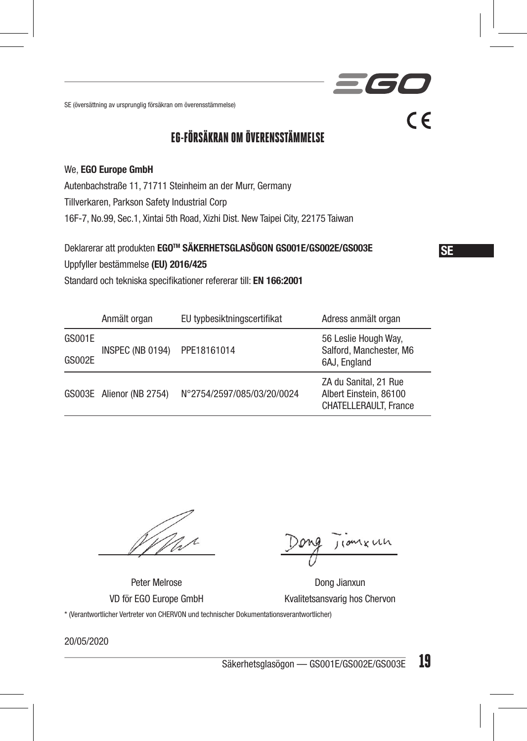SE (översättning av ursprunglig försäkran om överensstämmelse)

### EG-FÖRSÄKRAN OM ÖVERENSSTÄMMELSE

#### We, EGO Europe GmbH

Autenbachstraße 11, 71711 Steinheim an der Murr, Germany

Tillverkaren, Parkson Safety Industrial Corp

16F-7, No.99, Sec.1, Xintai 5th Road, Xizhi Dist. New Taipei City, 22175 Taiwan

Deklarerar att produkten EGOTM SÄKERHETSGLASÖGON GS001E/GS002E/GS003E

Uppfyller bestämmelse (EU) 2016/425

Standard och tekniska specifikationer refererar till: EN 166:2001

|        | Anmält organ             | EU typbesiktningscertifikat | Adress anmält organ                                                             |
|--------|--------------------------|-----------------------------|---------------------------------------------------------------------------------|
| GS001E | INSPEC (NB 0194)         | PPE18161014                 | 56 Leslie Hough Way,<br>Salford, Manchester, M6<br>6AJ, England                 |
| GS002E |                          |                             |                                                                                 |
|        | GS003E Alienor (NB 2754) | N°2754/2597/085/03/20/0024  | ZA du Sanital, 21 Rue<br>Albert Einstein, 86100<br><b>CHATELLERAULT.</b> France |

coment

SE

**IC** 

 $C \in$ 

Peter Melrose Dong Jianxun VD för EGO Europe GmbH Kvalitetsansvarig hos Chervon

\* (Verantwortlicher Vertreter von CHERVON und technischer Dokumentationsverantwortlicher)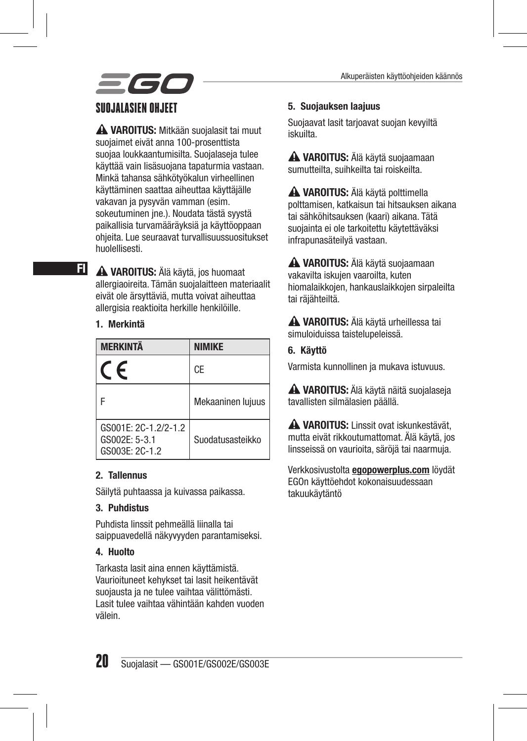

**A VAROITUS:** Mitkään suojalasit tai muut suojaimet eivät anna 100-prosenttista suojaa loukkaantumisilta. Suojalaseja tulee käyttää vain lisäsuojana tapaturmia vastaan. Minkä tahansa sähkötyökalun virheellinen käyttäminen saattaa aiheuttaa käyttäjälle vakavan ja pysyvän vamman (esim. sokeutuminen jne.). Noudata tästä syystä paikallisia turvamääräyksiä ja käyttöoppaan ohjeita. Lue seuraavat turvallisuussuositukset huolellisesti.

 VAROITUS: Älä käytä, jos huomaat allergiaoireita. Tämän suojalaitteen materiaalit eivät ole ärsyttäviä, mutta voivat aiheuttaa allergisia reaktioita herkille henkilöille.

#### 1. Merkintä

FI

| <b>MFRKINTÄ</b>                                         | <b>NIMIKF</b>     |
|---------------------------------------------------------|-------------------|
| F                                                       | CE                |
|                                                         | Mekaaninen lujuus |
| GS001E: 2C-1.2/2-1.2<br>GS002E: 5-3.1<br>GS003E: 2C-1.2 | Suodatusasteikko  |

#### 2. Tallennus

Säilytä puhtaassa ja kuivassa paikassa.

#### 3. Puhdistus

Puhdista linssit pehmeällä liinalla tai saippuavedellä näkyvyyden parantamiseksi.

#### 4. Huolto

Tarkasta lasit aina ennen käyttämistä. Vaurioituneet kehykset tai lasit heikentävät suojausta ja ne tulee vaihtaa välittömästi. Lasit tulee vaihtaa vähintään kahden vuoden välein.

#### 5. Suojauksen laajuus

Suojaavat lasit tarjoavat suojan kevyiltä iskuilta.

 VAROITUS: Älä käytä suojaamaan sumutteilta, suihkeilta tai roiskeilta.

 VAROITUS: Älä käytä polttimella polttamisen, katkaisun tai hitsauksen aikana tai sähköhitsauksen (kaari) aikana. Tätä suojainta ei ole tarkoitettu käytettäväksi infrapunasäteilyä vastaan.

 VAROITUS: Älä käytä suojaamaan vakavilta iskujen vaaroilta, kuten hiomalaikkojen, hankauslaikkojen sirpaleilta tai räjähteiltä.

 VAROITUS: Älä käytä urheillessa tai simuloiduissa taistelupeleissä.

#### 6. Käyttö

Varmista kunnollinen ja mukava istuvuus.

 VAROITUS: Älä käytä näitä suojalaseja tavallisten silmälasien päällä.

**A VAROITUS:** Linssit ovat iskunkestävät. mutta eivät rikkoutumattomat. Älä käytä, jos linsseissä on vaurioita, säröjä tai naarmuja.

Verkkosivustolta **egopowerplus.com** löydät EGOn käyttöehdot kokonaisuudessaan takuukäytäntö

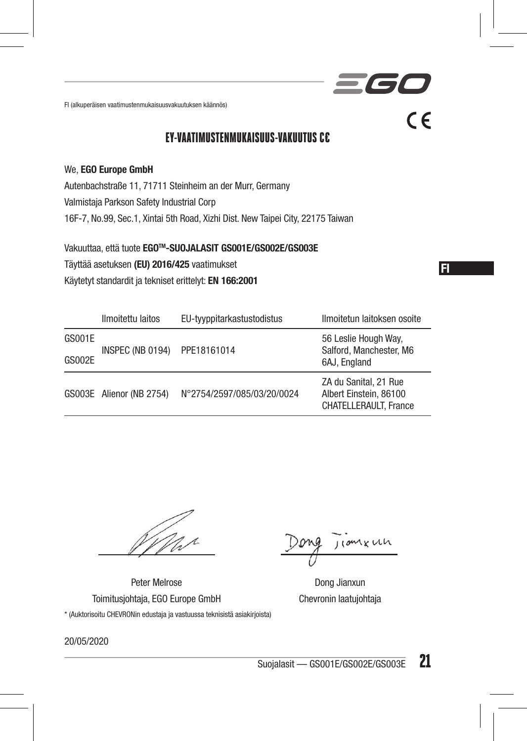FI (alkuperäisen vaatimustenmukaisuusvakuutuksen käännös)

EY-VAATIMUSTENMUKAISUUS-VAKUUTUS C€

#### We, EGO Europe GmbH

Autenbachstraße 11, 71711 Steinheim an der Murr, Germany

Valmistaja Parkson Safety Industrial Corp

16F-7, No.99, Sec.1, Xintai 5th Road, Xizhi Dist. New Taipei City, 22175 Taiwan

Vakuuttaa, että tuote EGOTM-SUOJALASIT GS001E/GS002E/GS003E Täyttää asetuksen (EU) 2016/425 vaatimukset Käytetyt standardit ja tekniset erittelyt: EN 166:2001

|               | Ilmoitettu laitos        | EU-tyyppitarkastustodistus | Ilmoitetun laitoksen osoite                                                     |
|---------------|--------------------------|----------------------------|---------------------------------------------------------------------------------|
| GS001E        | INSPEC (NB 0194)         | PPE18161014                | 56 Leslie Hough Way,<br>Salford, Manchester, M6                                 |
| <b>GS002E</b> |                          |                            | 6AJ. England                                                                    |
|               | GS003E Alienor (NB 2754) | N°2754/2597/085/03/20/0024 | ZA du Sanital, 21 Rue<br>Albert Einstein, 86100<br><b>CHATELLERAULT.</b> France |

Peter Melrose **Dong Jianxun** Toimitusjohtaja, EGO Europe GmbH Chevronin laatujohtaja \* (Auktorisoitu CHEVRONin edustaja ja vastuussa teknisistä asiakirjoista)

, come un

FI

**SGI** 

 $\epsilon$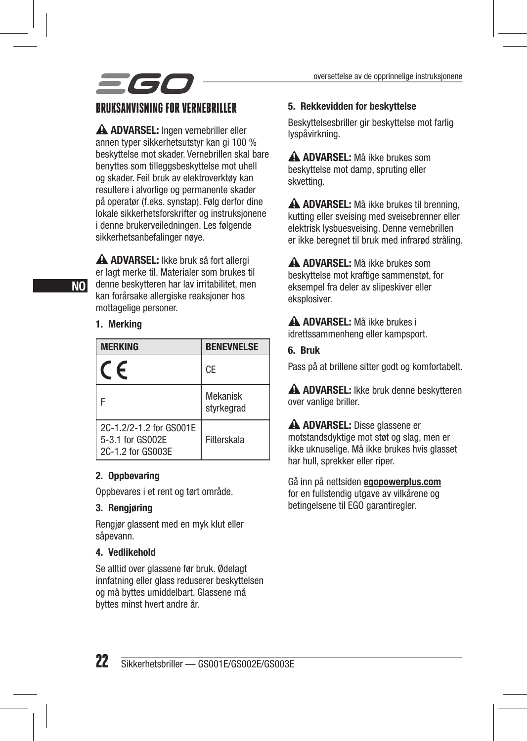

#### BRUKSANVISNING FOR VERNEBRILLER

A ADVARSEL: Ingen vernebriller eller annen typer sikkerhetsutstyr kan gi 100 % beskyttelse mot skader. Vernebrillen skal bare benyttes som tilleggsbeskyttelse mot uhell og skader. Feil bruk av elektroverktøy kan resultere i alvorlige og permanente skader på operatør (f.eks. synstap). Følg derfor dine lokale sikkerhetsforskrifter og instruksjonene i denne brukerveiledningen. Les følgende sikkerhetsanbefalinger nøye.

A ADVARSEL: Ikke bruk så fort allergi er lagt merke til. Materialer som brukes til denne beskytteren har lav irritabilitet, men kan forårsake allergiske reaksjoner hos mottagelige personer.

#### 1. Merking

| <b>MERKING</b>                                                   | <b>BENEVNELSE</b>             |
|------------------------------------------------------------------|-------------------------------|
| F                                                                | CE                            |
|                                                                  | <b>Mekanisk</b><br>styrkegrad |
| 2C-1.2/2-1.2 for GS001E<br>5-3.1 for GS002E<br>2C-1.2 for GS003E | Filterskala                   |

#### 2. Oppbevaring

Oppbevares i et rent og tørt område.

#### 3. Rengjøring

Rengjør glassent med en myk klut eller såpevann.

#### 4. Vedlikehold

Se alltid over glassene før bruk. Ødelagt innfatning eller glass reduserer beskyttelsen og må byttes umiddelbart. Glassene må byttes minst hvert andre år.

#### 5. Rekkevidden for beskyttelse

Beskyttelsesbriller gir beskyttelse mot farlig lyspåvirkning.

 ADVARSEL: Må ikke brukes som beskyttelse mot damp, spruting eller skvetting.

A ADVARSEL: Må ikke brukes til brenning. kutting eller sveising med sveisebrenner eller elektrisk lysbuesveising. Denne vernebrillen er ikke beregnet til bruk med infrarød stråling.

 ADVARSEL: Må ikke brukes som beskyttelse mot kraftige sammenstøt, for eksempel fra deler av slipeskiver eller eksplosiver.

 ADVARSEL: Må ikke brukes i idrettssammenheng eller kampsport.

#### 6. Bruk

Pass på at brillene sitter godt og komfortabelt.

A ADVARSEL: Ikke bruk denne beskytteren over vanlige briller.

 ADVARSEL: Disse glassene er motstandsdyktige mot støt og slag, men er ikke uknuselige. Må ikke brukes hvis glasset har hull, sprekker eller riper.

Gå inn på nettsiden **egopowerplus.com** for en fullstendig utgave av vilkårene og betingelsene til EGO garantiregler.

NO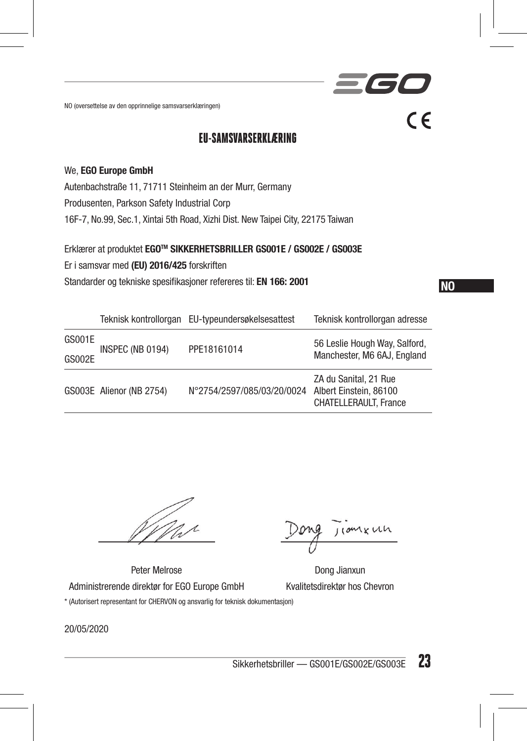NO (oversettelse av den opprinnelige samsvarserklæringen)

### EU-SAMSVARSERKLÆRING

#### We, EGO Europe GmbH

Autenbachstraße 11, 71711 Steinheim an der Murr, Germany Produsenten, Parkson Safety Industrial Corp 16F-7, No.99, Sec.1, Xintai 5th Road, Xizhi Dist. New Taipei City, 22175 Taiwan

Erklærer at produktet EGOTM SIKKERHETSBRILLER GS001E / GS002E / GS003E Er i samsvar med (EU) 2016/425 forskriften Standarder og tekniske spesifikasjoner refereres til: EN 166: 2001

NO

**TET** 

 $\epsilon$ 

|        |                          | Teknisk kontrollorgan EU-typeundersøkelsesattest | Teknisk kontrollorgan adresse                                            |
|--------|--------------------------|--------------------------------------------------|--------------------------------------------------------------------------|
| GS001E | INSPEC (NB 0194)         | PPE18161014                                      | 56 Leslie Hough Way, Salford,<br>Manchester, M6 6AJ, England             |
| GS002E |                          |                                                  |                                                                          |
|        | GS003E Alienor (NB 2754) | N°2754/2597/085/03/20/0024                       | ZA du Sanital, 21 Rue<br>Albert Einstein, 86100<br>CHATELLERAULT, France |

Jiomkuh

Peter Melrose Dong Jianxun Administrerende direktør for EGO Europe GmbH Kvalitetsdirektør hos Chevron \* (Autorisert representant for CHERVON og ansvarlig for teknisk dokumentasjon)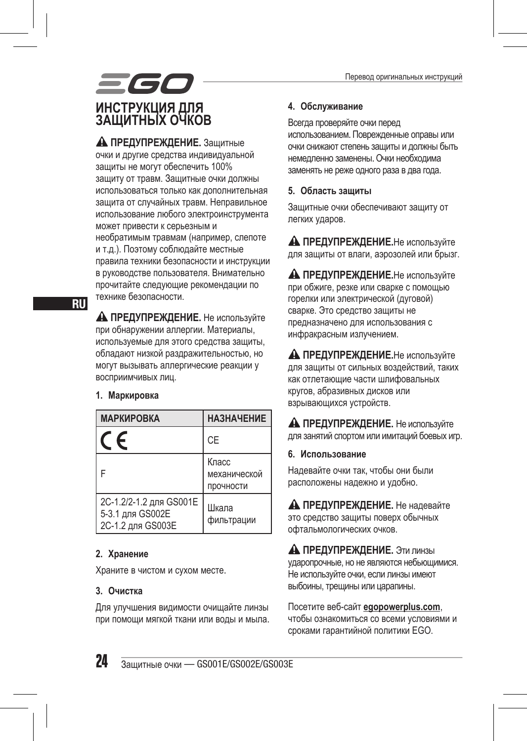

 **ПРЕДУПРЕЖДЕНИЕ.** Защитные очки и другие средства индивидуальной защиты не могут обеспечить 100% защиту от травм. Защитные очки должны использоваться только как дополнительная защита от случайных травм. Неправильное использование любого электроинструмента может привести к серьезным и необратимым травмам (например, слепоте и т.д.). Поэтому соблюдайте местные правила техники безопасности и инструкции в руководстве пользователя. Внимательно прочитайте следующие рекомендации по технике безопасности.

 **ПРЕДУПРЕЖДЕНИЕ.** Не используйте при обнаружении аллергии. Материалы, используемые для этого средства защиты, обладают низкой раздражительностью, но могут вызывать аллергические реакции у восприимчивых лиц.

#### **1. Маркировка**

| <b>МАРКИРОВКА</b>                                                | <b>НАЗНАЧЕНИЕ</b>                  |
|------------------------------------------------------------------|------------------------------------|
| F                                                                | <b>CE</b>                          |
|                                                                  | Класс<br>механической<br>прочности |
| 2C-1.2/2-1.2 для GS001E<br>5-3.1 для GS002E<br>2С-1.2 для GS003E | Шкала<br>фильтрации                |

#### **2. Хранение**

Храните в чистом и сухом месте.

#### **3. Очистка**

Для улучшения видимости очищайте линзы при помощи мягкой ткани или воды и мыла.

#### **4. Обслуживание**

Всегда проверяйте очки перед использованием. Поврежденные оправы или очки снижают степень защиты и должны быть немедленно заменены. Очки необходима заменять не реже одного раза в два года.

#### **5. Область защиты**

Защитные очки обеспечивают защиту от легких ударов.

**А ПРЕДУПРЕЖДЕНИЕ.**Не используйте для защиты от влаги, аэрозолей или брызг.

**А ПРЕДУПРЕЖДЕНИЕ.**Не используйте при обжиге, резке или сварке с помощью горелки или электрической (дуговой) сварке. Это средство защиты не предназначено для использования с инфракрасным излучением.

**А ПРЕДУПРЕЖДЕНИЕ.**Не используйте для защиты от сильных воздействий, таких как отлетающие части шлифовальных кругов, абразивных дисков или взрывающихся устройств.

**А ПРЕДУПРЕЖДЕНИЕ.** Не используйте для занятий спортом или имитаций боевых игр.

#### **6. Использование**

Надевайте очки так, чтобы они были расположены надежно и удобно.

 **ПРЕДУПРЕЖДЕНИЕ.** Не надевайте это средство защиты поверх обычных офтальмологических очков.

**А ПРЕДУПРЕЖДЕНИЕ.** Эти линзы ударопрочные, но не являются небьющимися. Не используйте очки, если линзы имеют выбоины, трещины или царапины.

Посетите веб-сайт **egopowerplus.com**, чтобы ознакомиться со всеми условиями и сроками гарантийной политики EGO.

RU

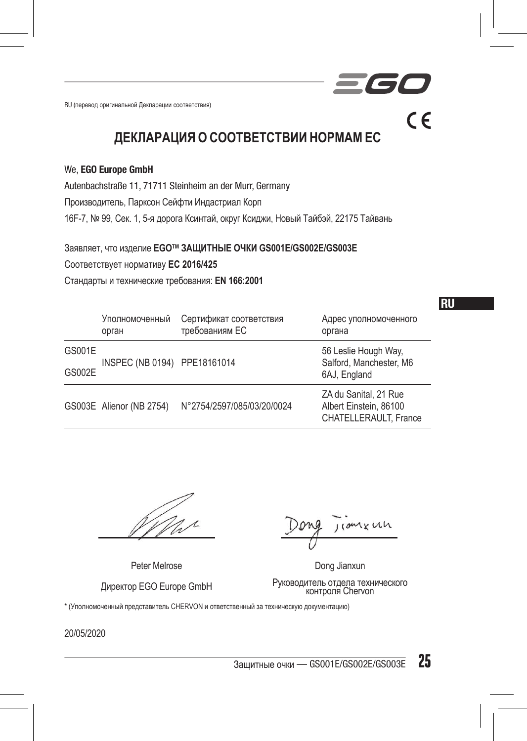RU (перевод оригинальной Декларации соответствия)

**ДЕКЛАРАЦИЯ О СООТВЕТСТВИИ НОРМАМЕС**

#### We, EGO Europe GmbH

Autenbachstraße 11, 71711 Steinheim an der Murr, Germany

Производитель, Парксон Сейфти Индастриал Корп

16F-7, № 99, Сек. 1, 5-я дорога Ксинтай, округ Ксиджи, Новый Тайбэй, 22175 Тайвань

Заявляет, что изделие **EGOTM ЗАЩИТНЫЕ ОЧКИ GS001E/GS002E/GS003E** 

Соответствует нормативу **ЕС 2016/425**

Стандарты и технические требования: **EN 166:2001**

|        | Уполномоченный<br>орган      | Сертификат соответствия<br>требованиям ЕС | Адрес уполномоченного<br>органа                                          |
|--------|------------------------------|-------------------------------------------|--------------------------------------------------------------------------|
| GS001E | INSPEC (NB 0194) PPE18161014 |                                           | 56 Leslie Hough Way,<br>Salford, Manchester, M6                          |
| GS002E |                              |                                           | 6AJ, England                                                             |
|        | GS003E Alienor (NB 2754)     | N°2754/2597/085/03/20/0024                | ZA du Sanital, 21 Rue<br>Albert Einstein, 86100<br>CHATELLERAULT. France |

Peter Melrose Dong Jianxun

 $J$ (om  $K$  UCh

RU

 $\epsilon$ 

Директор EGO Europe GmbH Руководитель отдела технического контроля Chervon

\* (Уполномоченный представитель CHERVON и ответственный за техническую документацию)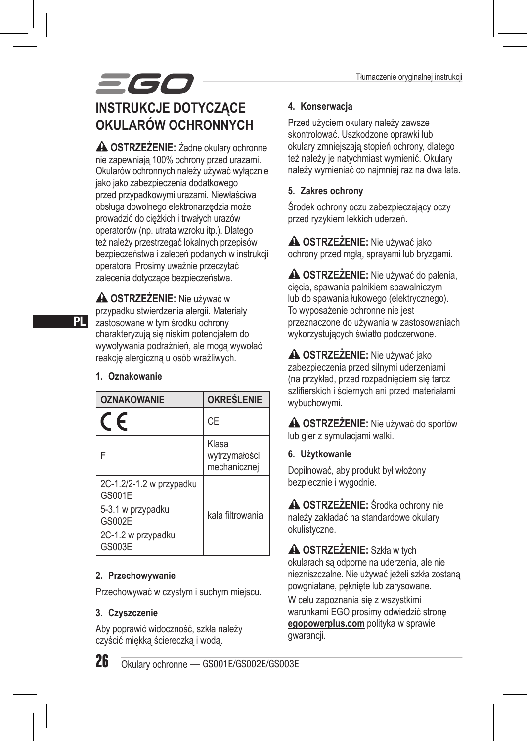## 560 **INSTRUKCJE DOTYCZĄCE OKULARÓW OCHRONNYCH**

**A OSTRZEŻENIE:** Żadne okulary ochronne nie zapewniają 100% ochrony przed urazami. Okularów ochronnych należy używać wyłącznie jako jako zabezpieczenia dodatkowego przed przypadkowymi urazami. Niewłaściwa obsługa dowolnego elektronarzędzia może prowadzić do ciężkich i trwałych urazów operatorów (np. utrata wzroku itp.). Dlatego też należy przestrzegać lokalnych przepisów bezpieczeństwa i zaleceń podanych w instrukcji operatora. Prosimy uważnie przeczytać zalecenia dotyczące bezpieczeństwa.

 **OSTRZEŻENIE:** Nie używać w przypadku stwierdzenia alergii. Materiały zastosowane w tym środku ochrony charakteryzują się niskim potencjałem do wywoływania podrażnień, ale mogą wywołać reakcję alergiczną u osób wrażliwych.

#### **1. Oznakowanie**

| <b>OZNAKOWANIE</b>                 | <b>OKREŚLENIE</b>                      |
|------------------------------------|----------------------------------------|
| F                                  | CE                                     |
| F                                  | Klasa<br>wytrzymałości<br>mechanicznej |
| 2C-1.2/2-1.2 w przypadku<br>GS001E |                                        |
| 5-3.1 w przypadku<br>GS002E        | kala filtrowania                       |
| 2C-1.2 w przypadku<br>GS003E       |                                        |

#### **2. Przechowywanie**

Przechowywać w czystym i suchym miejscu.

#### **3. Czyszczenie**

Aby poprawić widoczność, szkła należy czyścić miękką ściereczką i wodą.

#### **4. Konserwacja**

Przed użyciem okulary należy zawsze skontrolować. Uszkodzone oprawki lub okulary zmniejszają stopień ochrony, dlatego też należy je natychmiast wymienić. Okulary należy wymieniać co najmniej raz na dwa lata.

#### **5. Zakres ochrony**

Środek ochrony oczu zabezpieczający oczy przed ryzykiem lekkich uderzeń.

 **OSTRZEŻENIE:** Nie używać jako ochrony przed mgłą, sprayami lub bryzgami.

 **OSTRZEŻENIE:** Nie używać do palenia, cięcia, spawania palnikiem spawalniczym lub do spawania łukowego (elektrycznego). To wyposażenie ochronne nie jest przeznaczone do używania w zastosowaniach wykorzystujących światło podczerwone.

 **OSTRZEŻENIE:** Nie używać jako zabezpieczenia przed silnymi uderzeniami (na przykład, przed rozpadnięciem się tarcz szlifierskich i ściernych ani przed materiałami wybuchowymi.

 **OSTRZEŻENIE:** Nie używać do sportów lub gier z symulacjami walki.

**6. Użytkowanie**

Dopilnować, aby produkt był włożony bezpiecznie i wygodnie.

 **OSTRZEŻENIE:** Środka ochrony nie należy zakładać na standardowe okulary okulistyczne.

 **OSTRZEŻENIE:** Szkła w tych okularach są odporne na uderzenia, ale nie niezniszczalne. Nie używać jeżeli szkła zostaną powgniatane, pęknięte lub zarysowane.

W celu zapoznania się z wszystkimi warunkami EGO prosimy odwiedzić stronę **egopowerplus.com** polityka w sprawie gwarancji.

26 Okulary ochronne — GS001E/GS002E/GS003E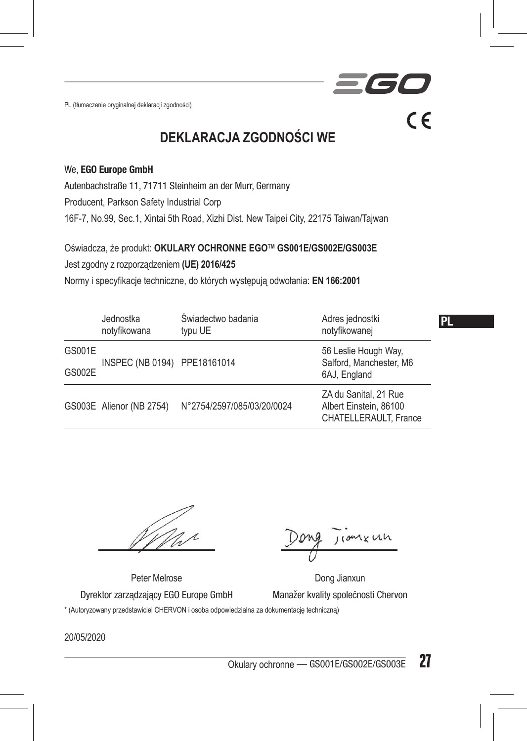PL (tłumaczenie oryginalnej deklaracji zgodności)

**DEKLARACJA ZGODNOŚCI WE**

#### We, EGO Europe GmbH

Autenbachstraße 11, 71711 Steinheim an der Murr, Germany

Producent, Parkson Safety Industrial Corp

16F-7, No.99, Sec.1, Xintai 5th Road, Xizhi Dist. New Taipei City, 22175 Taiwan/Tajwan

Oświadcza, że produkt: **OKULARY OCHRONNE EGOTM GS001E/GS002E/GS003E**

Jest zgodny z rozporządzeniem **(UE) 2016/425**

Normy i specyfikacje techniczne, do których występują odwołania: **EN 166:2001**

|               | Jednostka<br>notyfikowana    | Świadectwo badania<br>typu UE | Adres jednostki<br>notvfikowanei                                         | <b>PL</b> |
|---------------|------------------------------|-------------------------------|--------------------------------------------------------------------------|-----------|
| GS001E        | INSPEC (NB 0194) PPE18161014 |                               | 56 Leslie Hough Way,<br>Salford, Manchester, M6                          |           |
| <b>GS002E</b> |                              |                               | 6AJ, England                                                             |           |
|               | GS003E Alienor (NB 2754)     | N°2754/2597/085/03/20/0024    | ZA du Sanital, 21 Rue<br>Albert Einstein, 86100<br>CHATELLERAULT. France |           |

1 K UL

 $\epsilon$ 

Peter Melrose **Dong Jianxun** Dyrektor zarządzający EGO Europe GmbH Manažer kvality společnosti Chervon \* (Autoryzowany przedstawiciel CHERVON i osoba odpowiedzialna za dokumentację techniczną)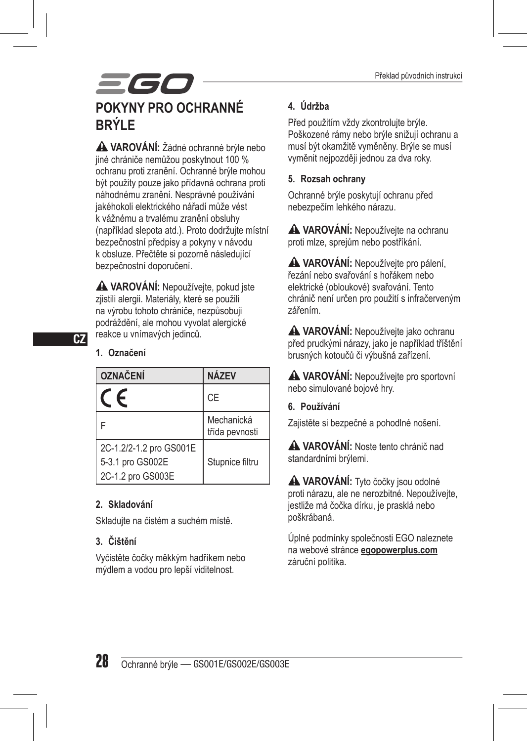## = G **POKYNY PRO OCHRANNÉ BRÝLE**

 **VAROVÁNÍ:** Žádné ochranné brýle nebo jiné chrániče nemůžou poskytnout 100 % ochranu proti zranění. Ochranné brýle mohou být použity pouze jako přídavná ochrana proti náhodnému zranění. Nesprávné používání jakéhokoli elektrického nářadí může vést k vážnému a trvalému zranění obsluhy (například slepota atd.). Proto dodržujte místní bezpečnostní předpisy a pokyny v návodu k obsluze. Přečtěte si pozorně následující bezpečnostní doporučení.

 **VAROVÁNÍ:** Nepoužívejte, pokud jste zjistili alergii. Materiály, které se použili na výrobu tohoto chrániče, nezpůsobuji podráždění, ale mohou vyvolat alergické reakce u vnímavých jedinců.

#### **1. Označení**

 $CZ$ 

| <b>OZNAČENÍ</b>                                                  | <b>NÁ7FV</b>                 |
|------------------------------------------------------------------|------------------------------|
| F                                                                | CE                           |
|                                                                  | Mechanická<br>třída pevnosti |
| 2C-1.2/2-1.2 pro GS001E<br>5-3.1 pro GS002E<br>2C-1.2 pro GS003E | Stupnice filtru              |

#### **2. Skladování**

Skladujte na čistém a suchém místě.

#### **3. Čištění**

Vyčistěte čočky měkkým hadříkem nebo mýdlem a vodou pro lepší viditelnost.

#### **4. Údržba**

Před použitím vždy zkontrolujte brýle. Poškozené rámy nebo brýle snižují ochranu a musí být okamžitě vyměněny. Brýle se musí vyměnit nejpozději jednou za dva roky.

#### **5. Rozsah ochrany**

Ochranné brýle poskytují ochranu před nebezpečím lehkého nárazu.

 **VAROVÁNÍ:** Nepoužívejte na ochranu proti mlze, sprejům nebo postříkání.

**A VAROVÁNÍ:** Nepoužívejte pro pálení, řezání nebo svařování s hořákem nebo elektrické (obloukové) svařování. Tento chránič není určen pro použití s infračerveným zářením.

 **VAROVÁNÍ:** Nepoužívejte jako ochranu před prudkými nárazy, jako je například tříštění brusných kotoučů či výbušná zařízení.

 **VAROVÁNÍ:** Nepoužívejte pro sportovní nebo simulované bojové hry.

**6. Používání**

Zajistěte si bezpečné a pohodlné nošení.

 **VAROVÁNÍ:** Noste tento chránič nad standardními brýlemi.

 **VAROVÁNÍ:** Tyto čočky jsou odolné proti nárazu, ale ne nerozbitné. Nepoužívejte, jestliže má čočka dírku, je prasklá nebo poškrábaná.

Úplné podmínky společnosti EGO naleznete na webové stránce **egopowerplus.com** záruční politika.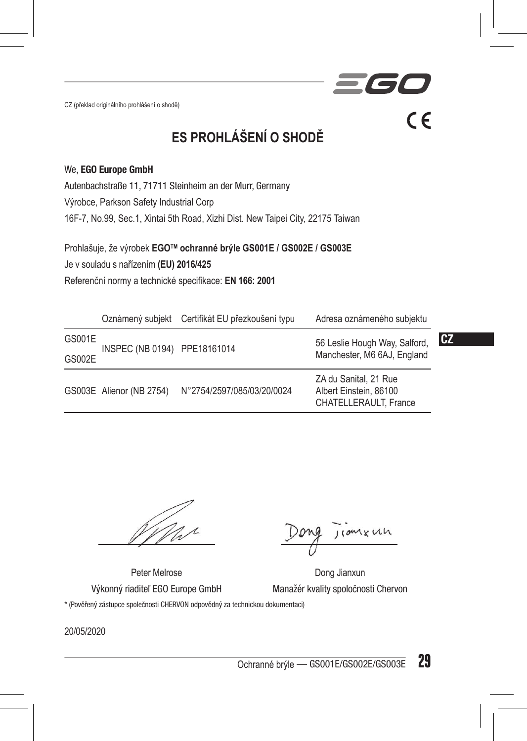CZ (překlad originálního prohlášení o shodě)

**ES PROHLÁŠENÍ O SHODĚ**

#### We, EGO Europe GmbH

Autenbachstraße 11, 71711 Steinheim an der Murr, Germany

Výrobce, Parkson Safety Industrial Corp

16F-7, No.99, Sec.1, Xintai 5th Road, Xizhi Dist. New Taipei City, 22175 Taiwan

Prohlašuje, že výrobek **EGOTM ochranné brýle GS001E / GS002E / GS003E**

Je v souladu s nařízením **(EU) 2016/425**

Referenční normy a technické specifikace: **EN 166: 2001**

|        |                              | Oznámený subjekt Certifikát EU přezkoušení typu | Adresa oznámeného subjektu                                               |           |
|--------|------------------------------|-------------------------------------------------|--------------------------------------------------------------------------|-----------|
| GS001E | INSPEC (NB 0194) PPE18161014 |                                                 | 56 Leslie Hough Way, Salford,<br>Manchester, M6 6AJ, England             | <b>CZ</b> |
| GS002E |                              |                                                 |                                                                          |           |
|        | GS003E Alienor (NB 2754)     | N°2754/2597/085/03/20/0024                      | ZA du Sanital, 21 Rue<br>Albert Einstein, 86100<br>CHATELLERAULT. France |           |

nxun

 $C \in$ 

Peter Melrose Dong Jianxun Výkonný riaditeľ EGO Europe GmbH Manažér kvality spoločnosti Chervon

\* (Pověřený zástupce společnosti CHERVON odpovědný za technickou dokumentaci)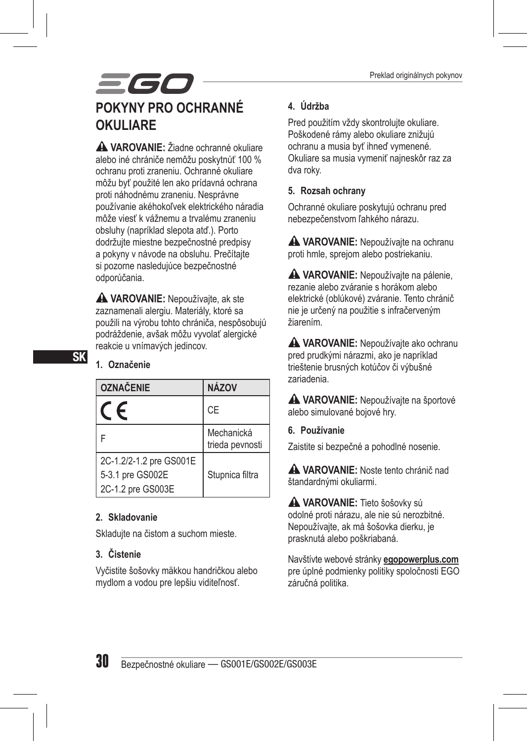## 56 **POKYNY PRO OCHRANNÉ OKULIARE**

 **VAROVANIE:** Žiadne ochranné okuliare alebo iné chrániče nemôžu poskytnúť 100 % ochranu proti zraneniu. Ochranné okuliare môžu byť použité len ako prídavná ochrana proti náhodnému zraneniu. Nesprávne používanie akéhokoľvek elektrického náradia môže viesť k vážnemu a trvalému zraneniu obsluhy (napríklad slepota atď.). Porto dodržujte miestne bezpečnostné predpisy a pokyny v návode na obsluhu. Prečítajte si pozorne nasledujúce bezpečnostné odporúčania.

 **VAROVANIE:** Nepoužívajte, ak ste zaznamenali alergiu. Materiály, ktoré sa použili na výrobu tohto chrániča, nespôsobujú podráždenie, avšak môžu vyvolať alergické reakcie u vnímavých jedincov.

#### **1. Označenie**

| <b>OZNAČENIE</b>        | <b>NÁZOV</b>                  |
|-------------------------|-------------------------------|
|                         | <b>CE</b>                     |
|                         | Mechanická<br>trieda pevnosti |
| 2C-1.2/2-1.2 pre GS001E |                               |
| 5-3.1 pre GS002E        | Stupnica filtra               |
| 2C-1.2 pre GS003E       |                               |

#### **2. Skladovanie**

Skladujte na čistom a suchom mieste.

#### **3. Čistenie**

Vyčistite šošovky mäkkou handričkou alebo mydlom a vodou pre lepšiu viditeľnosť.

#### **4. Údržba**

Pred použitím vždy skontrolujte okuliare. Poškodené rámy alebo okuliare znižujú ochranu a musia byť ihneď vymenené. Okuliare sa musia vymeniť najneskôr raz za dva roky.

#### **5. Rozsah ochrany**

Ochranné okuliare poskytujú ochranu pred nebezpečenstvom ľahkého nárazu.

 **VAROVANIE:** Nepoužívajte na ochranu proti hmle, sprejom alebo postriekaniu.

 **VAROVANIE:** Nepoužívajte na pálenie, rezanie alebo zváranie s horákom alebo elektrické (oblúkové) zváranie. Tento chránič nie je určený na použitie s infračerveným žiarením.

 **VAROVANIE:** Nepoužívajte ako ochranu pred prudkými nárazmi, ako je napríklad trieštenie brusných kotúčov či výbušné zariadenia.

 **VAROVANIE:** Nepoužívajte na športové alebo simulované bojové hry.

**6. Používanie**

Zaistite si bezpečné a pohodlné nosenie.

 **VAROVANIE:** Noste tento chránič nad štandardnými okuliarmi.

 **VAROVANIE:** Tieto šošovky sú odolné proti nárazu, ale nie sú nerozbitné. Nepoužívajte, ak má šošovka dierku, je prasknutá alebo poškriabaná.

Navštívte webové stránky **egopowerplus.com** pre úplné podmienky politiky spoločnosti EGO záručná politika.

SK

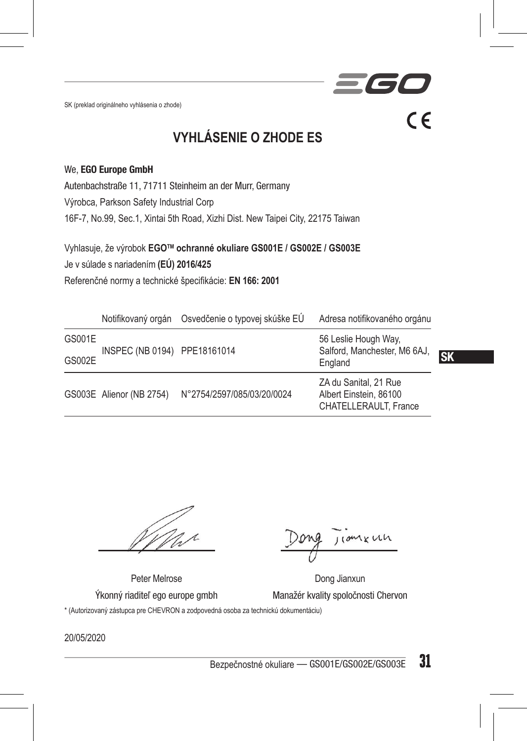SK (preklad originálneho vyhlásenia o zhode)

**VYHLÁSENIE O ZHODE ES**

#### We, EGO Europe GmbH

Autenbachstraße 11, 71711 Steinheim an der Murr, Germany

Výrobca, Parkson Safety Industrial Corp

16F-7, No.99, Sec.1, Xintai 5th Road, Xizhi Dist. New Taipei City, 22175 Taiwan

Vyhlasuje, že výrobok **EGOTM ochranné okuliare GS001E / GS002E / GS003E** Je v súlade s nariadením **(EÚ) 2016/425** Referenčné normy a technické špecifikácie: **EN 166: 2001**

|               |                              | Notifikovaný orgán Osvedčenie o typovej skúške EÚ | Adresa notifikovaného orgánu                                             |           |
|---------------|------------------------------|---------------------------------------------------|--------------------------------------------------------------------------|-----------|
| GS001E        | INSPEC (NB 0194) PPE18161014 |                                                   | 56 Leslie Hough Way,<br>Salford, Manchester, M6 6AJ,<br>England          |           |
| <b>GS002E</b> |                              |                                                   |                                                                          | <b>SK</b> |
|               | GS003E Alienor (NB 2754)     | N°2754/2597/085/03/20/0024                        | ZA du Sanital, 21 Rue<br>Albert Einstein, 86100<br>CHATELLERAULT. France |           |

comenh

 $\epsilon$ 

Peter Melrose Dong Jianxun Ýkonný riaditeľ ego europe gmbh Manažér kvality spoločnosti Chervon \* (Autorizovaný zástupca pre CHEVRON a zodpovedná osoba za technickú dokumentáciu)

20/05/2020

Bezpečnostné okuliare — GS001E/GS002E/GS003E 31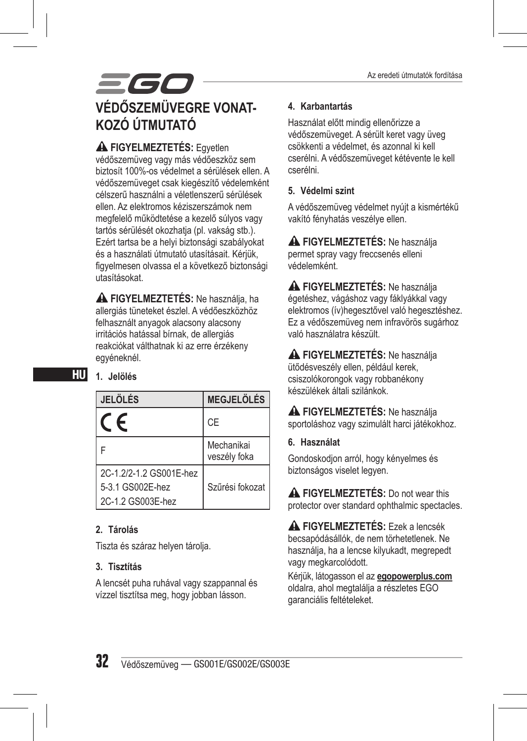## 560 **VÉDŐSZEMÜVEGRE VONAT-KOZÓ ÚTMUTATÓ**

 **FIGYELMEZTETÉS:** Egyetlen védőszemüveg vagy más védőeszköz sem biztosít 100%-os védelmet a sérülések ellen. A védőszemüveget csak kiegészítő védelemként célszerű használni a véletlenszerű sérülések ellen. Az elektromos kéziszerszámok nem megfelelő működtetése a kezelő súlyos vagy tartós sérülését okozhatja (pl. vakság stb.). Ezért tartsa be a helyi biztonsági szabályokat és a használati útmutató utasításait. Kérjük, figyelmesen olvassa el a következő biztonsági utasításokat.

 **FIGYELMEZTETÉS:** Ne használja, ha allergiás tüneteket észlel. A védőeszközhöz felhasznált anyagok alacsony alacsony irritációs hatással bírnak, de allergiás reakciókat válthatnak ki az erre érzékeny egyéneknél.

#### HU **1. Jelölés**

| <b>JELÖLÉS</b>                                                   | <b>MEGJELÖLÉS</b>          |
|------------------------------------------------------------------|----------------------------|
| $\epsilon$                                                       | <b>CE</b>                  |
| Е                                                                | Mechanikai<br>veszély foka |
| 2C-1.2/2-1.2 GS001E-hez<br>5-3.1 GS002E-hez<br>2C-1.2 GS003E-hez | Szűrési fokozat            |

#### **2. Tárolás**

Tiszta és száraz helyen tárolja.

#### **3. Tisztítás**

A lencsét puha ruhával vagy szappannal és vízzel tisztítsa meg, hogy jobban lásson.

#### **4. Karbantartás**

Használat előtt mindig ellenőrizze a védőszemüveget. A sérült keret vagy üveg csökkenti a védelmet, és azonnal ki kell cserélni. A védőszemüveget kétévente le kell cserélni.

#### **5. Védelmi szint**

A védőszemüveg védelmet nyújt a kismértékű vakító fényhatás veszélye ellen.

 **FIGYELMEZTETÉS:** Ne használja permet spray vagy freccsenés elleni védelemként.

 **FIGYELMEZTETÉS:** Ne használja égetéshez, vágáshoz vagy fáklyákkal vagy elektromos (ív)hegesztővel való hegesztéshez. Ez a védőszemüveg nem infravörös sugárhoz való használatra készült.

 **FIGYELMEZTETÉS:** Ne használja ütődésveszély ellen, például kerek, csiszolókorongok vagy robbanékony készülékek általi szilánkok.

 **FIGYELMEZTETÉS:** Ne használja sportoláshoz vagy szimulált harci játékokhoz.

#### **6. Használat**

Gondoskodjon arról, hogy kényelmes és biztonságos viselet legyen.

 **FIGYELMEZTETÉS:** Do not wear this protector over standard ophthalmic spectacles.

 **FIGYELMEZTETÉS:** Ezek a lencsék becsapódásállók, de nem törhetetlenek. Ne használja, ha a lencse kilyukadt, megrepedt vagy megkarcolódott.

Kérjük, látogasson el az **egopowerplus.com** oldalra, ahol megtalálja a részletes EGO garanciális feltételeket.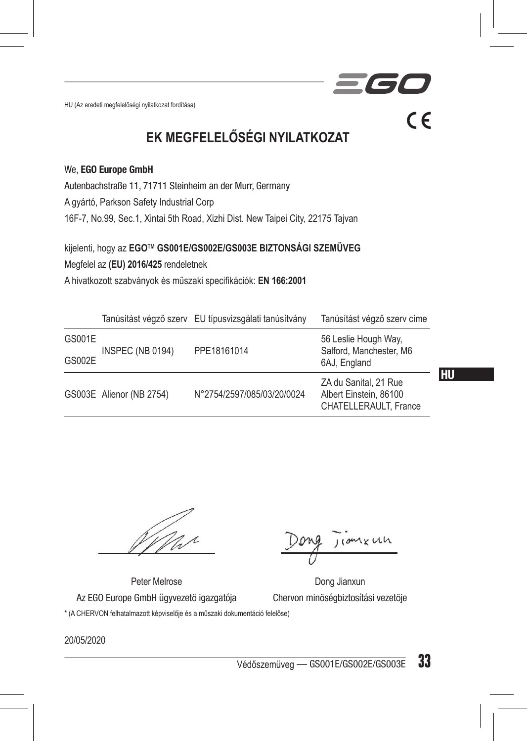HU (Az eredeti megfelelőségi nyilatkozat fordítása)

**EK MEGFELELŐSÉGI NYILATKOZAT**

 $C \in$ 

#### We, EGO Europe GmbH

Autenbachstraße 11, 71711 Steinheim an der Murr, Germany

A gyártó, Parkson Safety Industrial Corp

16F-7, No.99, Sec.1, Xintai 5th Road, Xizhi Dist. New Taipei City, 22175 Tajvan

kijelenti, hogy az **EGOTM GS001E/GS002E/GS003E BIZTONSÁGI SZEMÜVEG** Megfelel az **(EU) 2016/425** rendeletnek A hivatkozott szabványok és műszaki specifikációk: **EN 166:2001**

|        |                          | Tanúsítást végző szerv EU típusvizsgálati tanúsítvány | Tanúsítást végző szerv címe                                              |    |
|--------|--------------------------|-------------------------------------------------------|--------------------------------------------------------------------------|----|
| GS001E | INSPEC (NB 0194)         | PPE18161014                                           | 56 Leslie Hough Way,<br>Salford, Manchester, M6                          |    |
| GS002E |                          |                                                       | 6AJ, England                                                             |    |
|        | GS003E Alienor (NB 2754) | N°2754/2597/085/03/20/0024                            | ZA du Sanital, 21 Rue<br>Albert Einstein, 86100<br>CHATELLERAULT. France | HU |

nxun

Peter Melrose Dong Jianxun Az EGO Europe GmbH ügyvezető igazgatója Chervon minőségbiztosítási vezetője \* (A CHERVON felhatalmazott képviselője és a műszaki dokumentáció felelőse)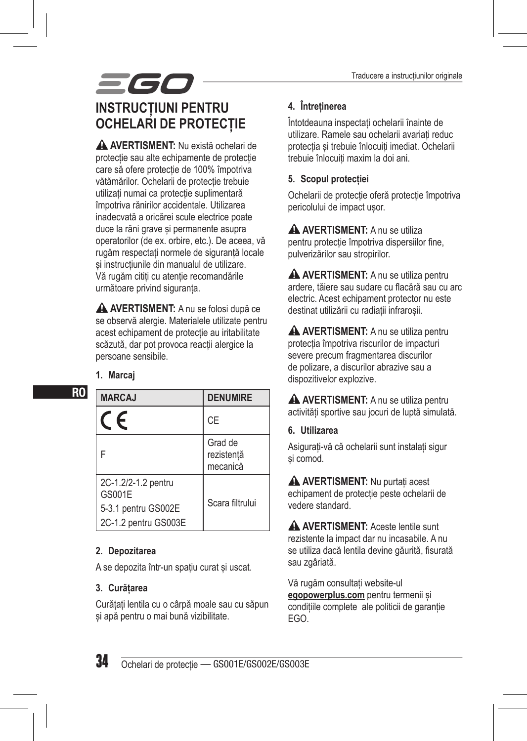## 566 **INSTRUCȚIUNI PENTRU OCHELARI DE PROTECȚIE**

 **AVERTISMENT:** Nu există ochelari de protecție sau alte echipamente de protecție care să ofere protecție de 100% împotriva vătămărilor. Ochelarii de protecție trebuie utilizați numai ca protecție suplimentară împotriva rănirilor accidentale. Utilizarea inadecvată a oricărei scule electrice poate duce la răni grave și permanente asupra operatorilor (de ex. orbire, etc.). De aceea, vă rugăm respectați normele de siguranță locale și instrucțiunile din manualul de utilizare. Vă rugăm citiți cu atenție recomandările următoare privind siguranța.

 **AVERTISMENT:** A nu se folosi după ce se observă alergie. Materialele utilizate pentru acest echipament de protecție au iritabilitate scăzută, dar pot provoca reacții alergice la persoane sensibile.

#### **1. Marcaj**

RO

| <b>MARCAJ</b>                                                                | <b>DENUMIRE</b>                   |
|------------------------------------------------------------------------------|-----------------------------------|
| F                                                                            | CE                                |
| F                                                                            | Grad de<br>rezistentă<br>mecanică |
| 2C-1.2/2-1.2 pentru<br>GS001E<br>5-3.1 pentru GS002E<br>2C-1.2 pentru GS003E | Scara filtrului                   |

#### **2. Depozitarea**

A se depozita într-un spațiu curat și uscat.

#### **3. Curățarea**

Curățați lentila cu o cârpă moale sau cu săpun și apă pentru o mai bună vizibilitate.

#### **4. Întreținerea**

Întotdeauna inspectați ochelarii înainte de utilizare. Ramele sau ochelarii avariați reduc protecția și trebuie înlocuiți imediat. Ochelarii trebuie înlocuiți maxim la doi ani.

#### **5. Scopul protecției**

Ochelarii de protecție oferă protecție împotriva pericolului de impact ușor.

**A AVERTISMENT:** A nu se utiliza pentru protecție împotriva dispersiilor fine, pulverizărilor sau stropirilor.

**A AVERTISMENT:** A nu se utiliza pentru ardere, tăiere sau sudare cu flacără sau cu arc electric. Acest echipament protector nu este destinat utilizării cu radiații infraroșii.

**A AVERTISMENT:** A nu se utiliza pentru protecția împotriva riscurilor de impacturi severe precum fragmentarea discurilor de polizare, a discurilor abrazive sau a dispozitivelor explozive.

**A AVERTISMENT:** A nu se utiliza pentru activități sportive sau jocuri de luptă simulată.

#### **6. Utilizarea**

Asigurați-vă că ochelarii sunt instalați sigur și comod.

 **AVERTISMENT:** Nu purtați acest echipament de protecție peste ochelarii de vedere standard.

**A AVERTISMENT:** Aceste lentile sunt rezistente la impact dar nu incasabile. A nu se utiliza dacă lentila devine găurită, fisurată sau zgâriată.

Vă rugăm consultați website-ul **egopowerplus.com** pentru termenii și condițiile complete ale politicii de garanție EGO.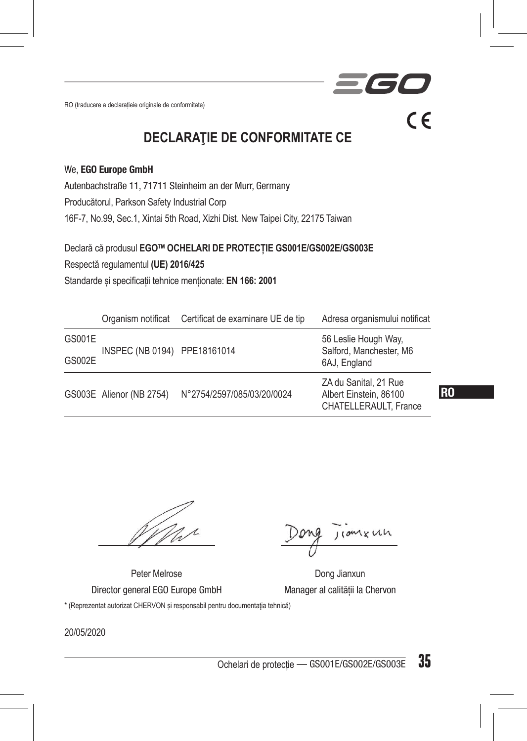RO (traducere a declarațieie originale de conformitate)

**DECLARAŢIE DE CONFORMITATE CE**

#### We, EGO Europe GmbH

Autenbachstraße 11, 71711 Steinheim an der Murr, Germany Producătorul, Parkson Safety Industrial Corp 16F-7, No.99, Sec.1, Xintai 5th Road, Xizhi Dist. New Taipei City, 22175 Taiwan

Declară că produsul **EGOTM OCHELARI DE PROTECȚIE GS001E/GS002E/GS003E** 

Respectă regulamentul **(UE) 2016/425**

Standarde și specificații tehnice menționate: **EN 166: 2001**

|        |                              | Organism notificat Certificat de examinare UE de tip | Adresa organismului notificat                                            |
|--------|------------------------------|------------------------------------------------------|--------------------------------------------------------------------------|
| GS001E |                              |                                                      | 56 Leslie Hough Way,<br>Salford, Manchester, M6                          |
| GS002E | INSPEC (NB 0194) PPE18161014 |                                                      | 6AJ, England                                                             |
|        | GS003E Alienor (NB 2754)     | N°2754/2597/085/03/20/0024                           | ZA du Sanital, 21 Rue<br>Albert Einstein, 86100<br>CHATELLERAULT. France |

RO

 $\epsilon$ 

Peter Melrose Dong Jianxun Director general EGO Europe GmbH Manager al calității la Chervon

\* (Reprezentat autorizat CHERVON și responsabil pentru documentaţia tehnică)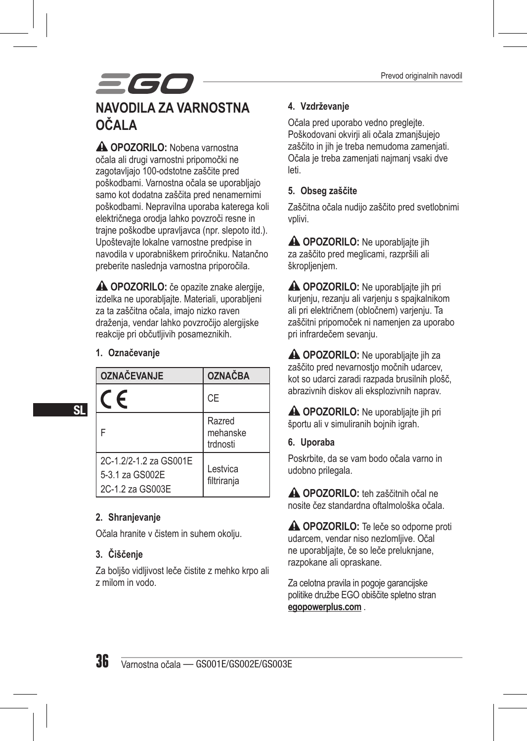## 561 **NAVODILA ZA VARNOSTNA OČALA**

 **OPOZORILO:** Nobena varnostna očala ali drugi varnostni pripomočki ne zagotavljajo 100-odstotne zaščite pred poškodbami. Varnostna očala se uporabljajo samo kot dodatna zaščita pred nenamernimi poškodbami. Nepravilna uporaba katerega koli električnega orodja lahko povzroči resne in trajne poškodbe upravljavca (npr. slepoto itd.). Upoštevajte lokalne varnostne predpise in navodila v uporabniškem priročniku. Natančno preberite naslednja varnostna priporočila.

 **OPOZORILO:** če opazite znake alergije, izdelka ne uporabljajte. Materiali, uporabljeni za ta zaščitna očala, imajo nizko raven draženja, vendar lahko povzročijo alergijske reakcije pri občutljivih posameznikih.

#### **1. Označevanje**

| <b>OZNAČEVANJE</b>                                            | <b>OZNAČBA</b>                 |
|---------------------------------------------------------------|--------------------------------|
| F                                                             | CE                             |
|                                                               | Razred<br>mehanske<br>trdnosti |
| 2C-1.2/2-1.2 za GS001E<br>5-3.1 za GS002E<br>2C-1.2 za GS003E | Lestvica<br>filtrirania        |

#### **2. Shranjevanje**

Očala hranite v čistem in suhem okolju.

#### **3. Čiščenje**

Za boljšo vidljivost leče čistite z mehko krpo ali z milom in vodo.

#### **4. Vzdrževanje**

Očala pred uporabo vedno preglejte. Poškodovani okvirji ali očala zmanjšujejo zaščito in jih je treba nemudoma zamenjati. Očala je treba zamenjati najmanj vsaki dve leti.

#### **5. Obseg zaščite**

Zaščitna očala nudijo zaščito pred svetlobnimi vplivi.

**A OPOZORILO:** Ne uporabljajte jih za zaščito pred meglicami, razpršili ali škroplieniem.

**A OPOZORILO:** Ne uporabljajte jih pri kurjenju, rezanju ali varjenju s spajkalnikom ali pri električnem (obločnem) varjenju. Ta zaščitni pripomoček ni namenjen za uporabo pri infrardečem sevanju.

 **OPOZORILO:** Ne uporabljajte jih za zaščito pred nevarnostjo močnih udarcev, kot so udarci zaradi razpada brusilnih plošč, abrazivnih diskov ali eksplozivnih naprav.

**A OPOZORILO:** Ne uporabljajte jih pri športu ali v simuliranih bojnih igrah.

**6. Uporaba**

Poskrbite, da se vam bodo očala varno in udobno prilegala.

 **OPOZORILO:** teh zaščitnih očal ne nosite čez standardna oftalmološka očala.

**A OPOZORILO:** Te leče so odporne proti udarcem, vendar niso nezlomljive. Očal ne uporabljajte, če so leče preluknjane, razpokane ali opraskane.

Za celotna pravila in pogoje garancijske politike družbe EGO obiščite spletno stran **egopowerplus.com** .

SL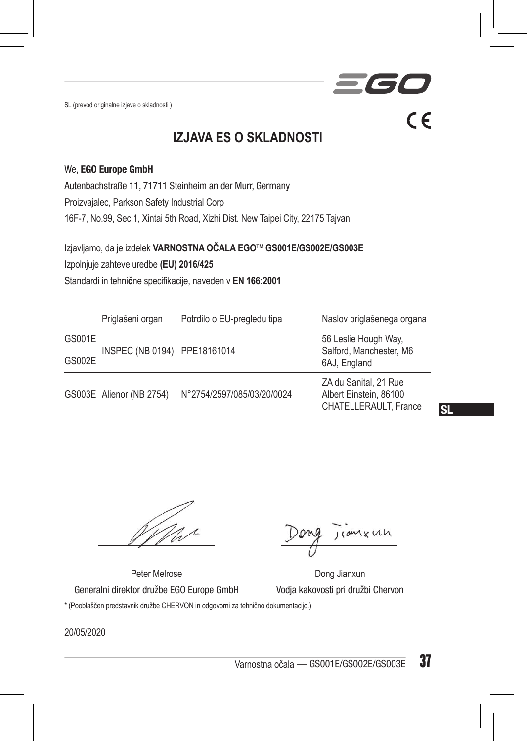SL (prevod originalne izjave o skladnosti )

 $C \in$ 

### **IZJAVA ES O SKLADNOSTI**

#### We, EGO Europe GmbH

Autenbachstraße 11, 71711 Steinheim an der Murr, Germany Proizvajalec, Parkson Safety Industrial Corp 16F-7, No.99, Sec.1, Xintai 5th Road, Xizhi Dist. New Taipei City, 22175 Tajvan

Izjavljamo, da je izdelek **VARNOSTNA OČALA EGOTM GS001E/GS002E/GS003E** 

Izpolnjuje zahteve uredbe **(EU) 2016/425**

Standardi in tehni**č**ne specifikacije, naveden v **EN 166:2001**

|        | Priglašeni organ             | Potrdilo o EU-pregledu tipa | Naslov priglašenega organa                                               |
|--------|------------------------------|-----------------------------|--------------------------------------------------------------------------|
| GS001E | INSPEC (NB 0194) PPE18161014 |                             | 56 Leslie Hough Way,<br>Salford, Manchester, M6                          |
| GS002E |                              |                             | 6AJ, England                                                             |
|        | GS003E Alienor (NB 2754)     | N°2754/2597/085/03/20/0024  | ZA du Sanital, 21 Rue<br>Albert Einstein, 86100<br>CHATELLERAULT. France |

SL

*xun* 

Peter Melrose Dong Jianxun Generalni direktor družbe EGO Europe GmbH Vodja kakovosti pri družbi Chervon \* (Pooblaščen predstavnik družbe CHERVON in odgovorni za tehnično dokumentacijo.)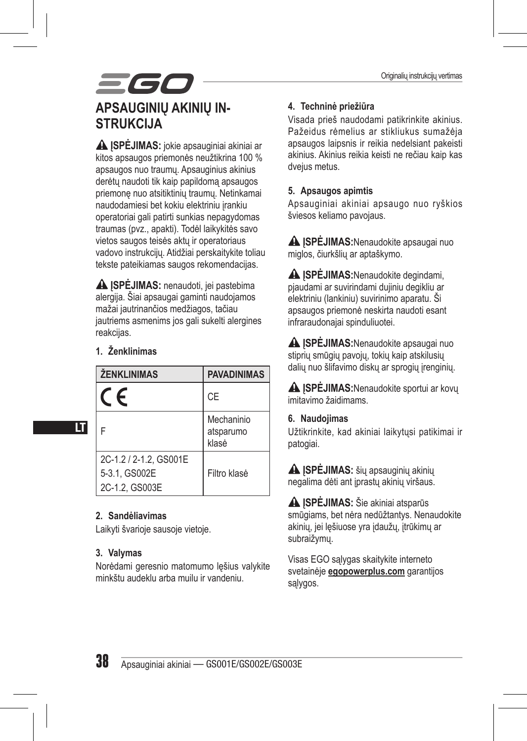## 560 **APSAUGINIŲ AKINIŲ IN-STRUKCIJA**

 **ĮSPĖJIMAS:** jokie apsauginiai akiniai ar kitos apsaugos priemonės neužtikrina 100 % apsaugos nuo traumų. Apsauginius akinius derėtų naudoti tik kaip papildomą apsaugos priemonę nuo atsitiktinių traumų. Netinkamai naudodamiesi bet kokiu elektriniu įrankiu operatoriai gali patirti sunkias nepagydomas traumas (pvz., apakti). Todėl laikykitės savo vietos saugos teisės aktų ir operatoriaus vadovo instrukcijų. Atidžiai perskaitykite toliau tekste pateikiamas saugos rekomendacijas.

 **ĮSPĖJIMAS:** nenaudoti, jei pastebima alergija. Šiai apsaugai gaminti naudojamos mažai jautrinančios medžiagos, tačiau jautriems asmenims jos gali sukelti alergines reakcijas.

#### **1. Ženklinimas**

LT

| <b>ŽENKLINIMAS</b>                                        | <b>PAVADINIMAS</b>               |
|-----------------------------------------------------------|----------------------------------|
| F                                                         | <b>CE</b>                        |
|                                                           | Mechaninio<br>atsparumo<br>klasė |
| 2C-1.2 / 2-1.2. GS001E<br>5-3.1, GS002E<br>2C-1.2, GS003E | Filtro klasė                     |

#### **2. Sandėliavimas**

Laikyti švarioje sausoje vietoje.

#### **3. Valymas**

Norėdami geresnio matomumo lęšius valykite minkštu audeklu arba muilu ir vandeniu.

#### **4. Techninė priežiūra**

Visada prieš naudodami patikrinkite akinius. Pažeidus rėmelius ar stikliukus sumažėja apsaugos laipsnis ir reikia nedelsiant pakeisti akinius. Akinius reikia keisti ne rečiau kaip kas dvejus metus.

#### **5. Apsaugos apimtis**

Apsauginiai akiniai apsaugo nuo ryškios šviesos keliamo pavojaus.

**A ISPĖJIMAS:**Nenaudokite apsaugai nuo miglos, čiurkšlių ar aptaškymo.

 **ĮSPĖJIMAS:**Nenaudokite degindami, pjaudami ar suvirindami dujiniu degikliu ar elektriniu (lankiniu) suvirinimo aparatu. Ši apsaugos priemonė neskirta naudoti esant infraraudonajai spinduliuotei.

 **ĮSPĖJIMAS:**Nenaudokite apsaugai nuo stiprių smūgių pavojų, tokių kaip atskilusių dalių nuo šlifavimo diskų ar sprogių įrenginių.

**A ISPĖJIMAS:**Nenaudokite sportui ar kovu imitavimo žaidimams.

#### **6. Naudojimas**

Užtikrinkite, kad akiniai laikytųsi patikimai ir patogiai.

**A ISPĖJIMAS:** šių apsauginių akinių negalima dėti ant įprastų akinių viršaus.

 **ĮSPĖJIMAS:** Šie akiniai atsparūs smūgiams, bet nėra nedūžtantys. Nenaudokite akinių, jei lęšiuose yra įdaužų, įtrūkimų ar subraižymų.

Visas EGO sąlygas skaitykite interneto svetainėje **egopowerplus.com** garantijos sąlygos.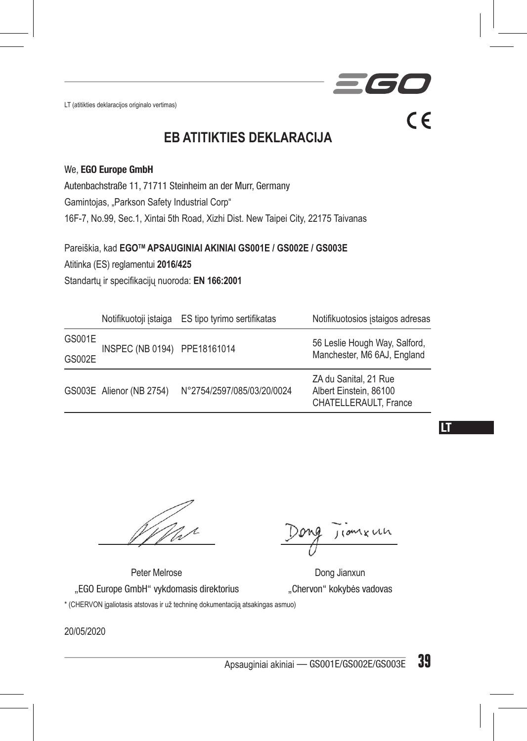LT (atitikties deklaracijos originalo vertimas)

**EB ATITIKTIES DEKLARACIJA**

#### We, EGO Europe GmbH

Autenbachstraße 11, 71711 Steinheim an der Murr, Germany

Gamintojas, "Parkson Safety Industrial Corp"

16F-7, No.99, Sec.1, Xintai 5th Road, Xizhi Dist. New Taipei City, 22175 Taivanas

Pareiškia, kad **EGOTM APSAUGINIAI AKINIAI GS001E / GS002E / GS003E** 

Atitinka (ES) reglamentui **2016/425**

Standartų ir specifikacijų nuoroda: **EN 166:2001**

|        |                              | Notifikuotoji istaiga ES tipo tyrimo sertifikatas | Notifikuotosios istaigos adresas                                         |
|--------|------------------------------|---------------------------------------------------|--------------------------------------------------------------------------|
| GS001E | INSPEC (NB 0194) PPE18161014 |                                                   | 56 Leslie Hough Way, Salford,<br>Manchester, M6 6AJ, England             |
| GS002E |                              |                                                   |                                                                          |
|        | GS003E Alienor (NB 2754)     | N°2754/2597/085/03/20/0024                        | ZA du Sanital, 21 Rue<br>Albert Einstein, 86100<br>CHATELLERAULT. France |

LT

nxun

**IC** 

 $\epsilon$ 

Peter Melrose Dong Jianxun "EGO Europe GmbH" vykdomasis direktorius "Chervon" kokybės vadovas \* (CHERVON įgaliotasis atstovas ir už techninę dokumentaciją atsakingas asmuo)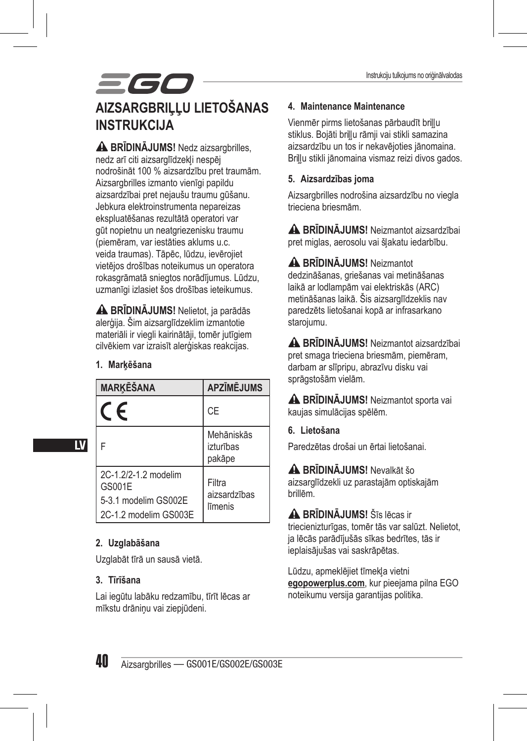## 560 **AIZSARGBRILLU LIETOŠANAS INSTRUKCIJA**

**A BRĪDINĀJUMS!** Nedz aizsargbrilles, nedz arī citi aizsarglīdzekļi nespēj nodrošināt 100 % aizsardzību pret traumām. Aizsargbrilles izmanto vienīgi papildu aizsardzībai pret nejaušu traumu gūšanu. Jebkura elektroinstrumenta nepareizas ekspluatēšanas rezultātā operatori var gūt nopietnu un neatgriezenisku traumu (piemēram, var iestāties aklums u.c. veida traumas). Tāpēc, lūdzu, ievērojiet vietējos drošības noteikumus un operatora rokasgrāmatā sniegtos norādījumus. Lūdzu, uzmanīgi izlasiet šos drošības ieteikumus.

 **BRĪDINĀJUMS!** Nelietot, ja parādās alerģija. Šim aizsarglīdzeklim izmantotie materiāli ir viegli kairinātāji, tomēr jutīgiem cilvēkiem var izraisīt alerģiskas reakcijas.

#### **1. Marķēšana**

| <b>MARKĒŠANA</b>                                                                | <b>APZĪMĒJUMS</b>                 |
|---------------------------------------------------------------------------------|-----------------------------------|
| $\epsilon$                                                                      | CE                                |
|                                                                                 | Mehāniskās<br>izturības<br>pakāpe |
| 2C-1.2/2-1.2 modelim<br>GS001E<br>5-3.1 modelim GS002E<br>2C-1.2 modelim GS003E | Filtra<br>aizsardzības<br>līmenis |

#### **2. Uzglabāšana**

Uzglabāt tīrā un sausā vietā.

#### **3. Tīrīšana**

Lai iegūtu labāku redzamību, tīrīt lēcas ar mīkstu drāniņu vai ziepjūdeni.

#### **4. Maintenance Maintenance**

Vienmēr pirms lietošanas pārbaudīt briļļu stiklus. Bojāti briļļu rāmji vai stikli samazina aizsardzību un tos ir nekavējoties jānomaina. Briļļu stikli jānomaina vismaz reizi divos gados.

#### **5. Aizsardzības joma**

Aizsargbrilles nodrošina aizsardzību no viegla trieciena briesmām.

 **BRĪDINĀJUMS!** Neizmantot aizsardzībai pret miglas, aerosolu vai šļakatu iedarbību.

 **BRĪDINĀJUMS!** Neizmantot dedzināšanas, griešanas vai metināšanas laikā ar lodlampām vai elektriskās (ARC) metināšanas laikā. Šis aizsarglīdzeklis nav paredzēts lietošanai kopā ar infrasarkano starojumu.

 **BRĪDINĀJUMS!** Neizmantot aizsardzībai pret smaga trieciena briesmām, piemēram, darbam ar slīpripu, abrazīvu disku vai sprāgstošām vielām.

 **BRĪDINĀJUMS!** Neizmantot sporta vai kaujas simulācijas spēlēm.

#### **6. Lietošana**

Paredzētas drošai un ērtai lietošanai.

 **BRĪDINĀJUMS!** Nevalkāt šo aizsarglīdzekli uz parastajām optiskajām brillēm.

 **BRĪDINĀJUMS!** Šīs lēcas ir triecienizturīgas, tomēr tās var salūzt. Nelietot, ja lēcās parādījušās sīkas bedrītes, tās ir ieplaisājušas vai saskrāpētas.

Lūdzu, apmeklējiet tīmekļa vietni **egopowerplus.com**, kur pieejama pilna EGO noteikumu versija garantijas politika.

LV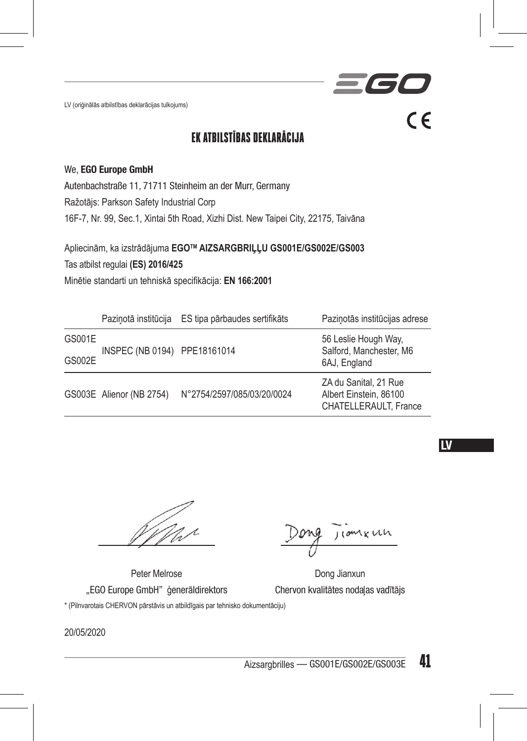LV (oriģinālās atbilstības deklarācijas tulkojums)

### EK ATBILSTĪBAS DEKLARĀCIJA

#### We, EGO Europe GmbH

Autenbachstraße 11, 71711 Steinheim an der Murr, Germany Ražotājs: Parkson Safety Industrial Corp 16F-7, Nr. 99, Sec.1, Xintai 5th Road, Xizhi Dist. New Taipei City, 22175, Taivāna

Apliecinām, ka izstrādājuma **EGOTM AIZSARGBRIĻĻU GS001E/GS002E/GS003**  Tas atbilst regulai **(ES) 2016/425** Minētie standarti un tehniskā specifikācija: **EN 166:2001**

|        |                              | Pazinotā institūcija ES tipa pārbaudes sertifikāts | Pazinotās institūcijas adrese                                            |
|--------|------------------------------|----------------------------------------------------|--------------------------------------------------------------------------|
| GS001E | INSPEC (NB 0194) PPE18161014 |                                                    | 56 Leslie Hough Way,<br>Salford, Manchester, M6                          |
| GS002E |                              |                                                    | 6AJ, England                                                             |
|        | GS003E Alienor (NB 2754)     | N°2754/2597/085/03/20/0024                         | ZA du Sanital, 21 Rue<br>Albert Einstein, 86100<br>CHATELLERAULT. France |

#### **LV**

1 x un

- 16

 $\epsilon$ 

Peter Melrose Dong Jianxun "EGO Europe GmbH" ģenerāldirektors Chervon kvalitātes nodaļas vadītājs

\* (Pilnvarotais CHERVON pārstāvis un atbildīgais par tehnisko dokumentāciju)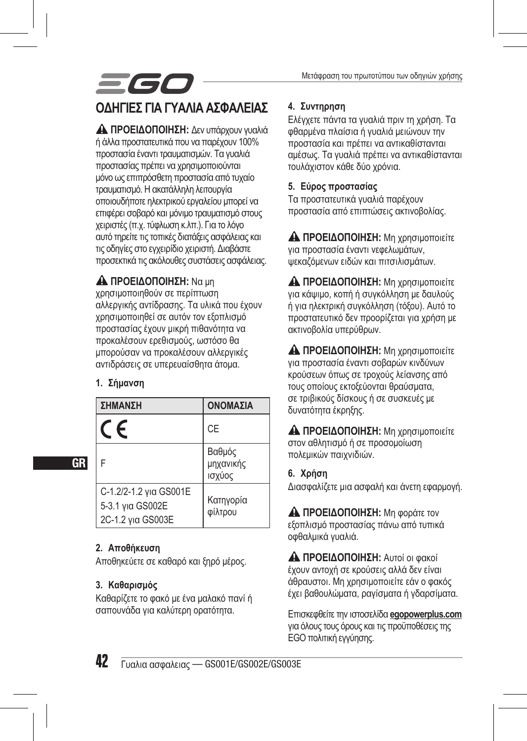## *=60* **ΟΔΗΓΊΕΣ ΓΙΑ ΓΥΑΛΙΆ ΑΣΦΑΛΕΊΑΣ**

 **ΠΡΟΕΙΔΟΠΟΙΗΣΗ:** Δεν υπάρχουν γυαλιά ή άλλα προστατευτικά που να παρέχουν 100% προστασία έναντι τραυματισμών. Τα γυαλιά προστασίας πρέπει να χρησιμοποιούνται μόνο ως επιπρόσθετη προστασία από τυχαίο τραυματισμό. Η ακατάλληλη λειτουργία οποιουδήποτε ηλεκτρικού εργαλείου μπορεί να επιφέρει σοβαρό και μόνιμο τραυματισμό στους χειριστές (π.χ. τύφλωση κ.λπ.). Για το λόγο αυτό τηρείτε τις τοπικές διατάξεις ασφάλειας και τις οδηγίες στο εγχειρίδιο χειριστή. Διαβάστε προσεκτικά τις ακόλουθες συστάσεις ασφάλειας.

#### **ΠΡΟΕΙΔΟΠΟΙΗΣΗ:** Να μη

χρησιμοποιηθούν σε περίπτωση αλλεργικής αντίδρασης. Τα υλικά που έχουν χρησιμοποιηθεί σε αυτόν τον εξοπλισμό προστασίας έχουν μικρή πιθανότητα να προκαλέσουν ερεθισμούς, ωστόσο θα μπορούσαν να προκαλέσουν αλλεργικές αντιδράσεις σε υπερευαίσθητα άτομα.

#### **1. Σήμανση**

GR

| ΣΗΜΑΝΣΗ                                                         | ΟΝΟΜΑΣΙΑ                      |
|-----------------------------------------------------------------|-------------------------------|
| F                                                               | CE                            |
| F                                                               | Βαθμός<br>μηχανικής<br>ισχύος |
| C-1.2/2-1.2 για GS001E<br>5-3.1 yia GS002E<br>2C-1.2 για GS003E | Κατηγορία<br>φίλτρου          |

#### **2. Αποθήκευση**

Αποθηκεύετε σε καθαρό και ξηρό μέρος.

#### **3. Καθαρισμός**

Καθαρίζετε το φακό με ένα μαλακό πανί ή σαπουνάδα για καλύτερη ορατότητα.

#### **4. Συντηρηση**

Ελέγχετε πάντα τα γυαλιά πριν τη χρήση. Τα φθαρμένα πλαίσια ή γυαλιά μειώνουν την προστασία και πρέπει να αντικαθίστανται αμέσως. Τα γυαλιά πρέπει να αντικαθίστανται τουλάχιστον κάθε δύο χρόνια.

#### **5. Εύρος προστασίας**

Τα προστατευτικά γυαλιά παρέχουν προστασία από επιπτώσεις ακτινοβολίας.

 **ΠΡΟΕΙΔΟΠΟΙΗΣΗ:** Μη χρησιμοποιείτε για προστασία έναντι νεφελωμάτων, ψεκαζόμενων ειδών και πιτσιλισμάτων.

 **ΠΡΟΕΙΔΟΠΟΙΗΣΗ:** Μη χρησιμοποιείτε για κάψιμο, κοπή ή συγκόλληση με δαυλούς ή για ηλεκτρική συγκόλληση (τόξου). Αυτό το προστατευτικό δεν προορίζεται για χρήση με ακτινοβολία υπερύθρων.

 **ΠΡΟΕΙΔΟΠΟΙΗΣΗ:** Μη χρησιμοποιείτε για προστασία έναντι σοβαρών κινδύνων κρούσεων όπως σε τροχούς λείανσης από τους οποίους εκτοξεύονται θραύσματα, σε τριβικούς δίσκους ή σε συσκευές με δυνατότητα έκρηξης.

 **ΠΡΟΕΙΔΟΠΟΙΗΣΗ:** Μη χρησιμοποιείτε στον αθλητισμό ή σε προσομοίωση πολεμικών παιχνιδιών.

**6. Χρήση**

Διασφαλίζετε μια ασφαλή και άνετη εφαρμογή.

 **ΠΡΟΕΙΔΟΠΟΙΗΣΗ:** Μη φοράτε τον εξοπλισμό προστασίας πάνω από τυπικά οφθαλμικά γυαλιά.

 **ΠΡΟΕΙΔΟΠΟΙΗΣΗ:** Αυτοί οι φακοί έχουν αντοχή σε κρούσεις αλλά δεν είναι άθραυστοι. Μη χρησιμοποιείτε εάν ο φακός έχει βαθουλώματα, ραγίσματα ή γδαρσίματα.

Επισκεφθείτε την ιστοσελίδα **egopowerplus.com** για όλους τους όρους και τις προϋποθέσεις της EGO πολιτική εγγύησης.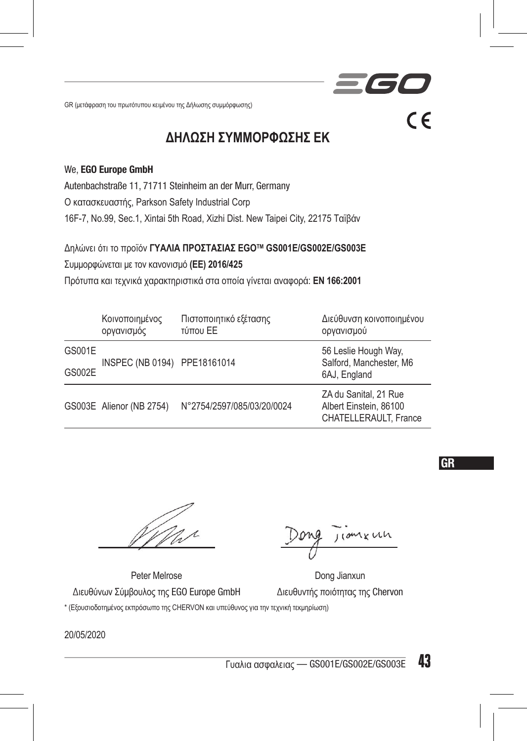GR (μετάφραση του πρωτότυπου κειμένου της Δήλωσης συμμόρφωσης)

### **ΔΗΛΩΣΗ ΣΥΜΜΟΡΦΩΣΗΣ ΕΚ**

#### We, EGO Europe GmbH

Autenbachstraße 11, 71711 Steinheim an der Murr, Germany

Ο κατασκευαστής, Parkson Safety Industrial Corp

16F-7, No.99, Sec.1, Xintai 5th Road, Xizhi Dist. New Taipei City, 22175 Ταϊβάν

Δηλώνει ότι το προϊόν **ΓΥΑΛΙΑ ΠΡΟΣΤΑΣΙΑΣ EGOTM GS001E/GS002E/GS003E**

Συμμορφώνεται με τον κανονισμό **(ΕΕ) 2016/425**

Πρότυπα και τεχνικά χαρακτηριστικά στα οποία γίνεται αναφορά: **EN 166:2001**

|        | Κοινοποιημένος<br>οργανισμός | Πιστοποιητικό εξέτασης<br>τύπου ΕΕ | Διεύθυνση κοινοποιημένου<br>οργανισμού                                   |
|--------|------------------------------|------------------------------------|--------------------------------------------------------------------------|
| GS001E | INSPEC (NB 0194) PPE18161014 |                                    | 56 Leslie Hough Way,<br>Salford, Manchester, M6                          |
| GS002E |                              |                                    | 6AJ, England                                                             |
|        | GS003E Alienor (NB 2754)     | N°2754/2597/085/03/20/0024         | ZA du Sanital, 21 Rue<br>Albert Einstein, 86100<br>CHATELLERAULT. France |

Peter Melrose Dong Jianxun Διευθύνων Σύμβουλος της EGO Europe GmbH Διευθυντής ποιότητας της Chervon

\* (Εξουσιοδοτημένος εκπρόσωπο της CHERVON και υπεύθυνος για την τεχνική τεκμηρίωση)

20/05/2020



 $\epsilon$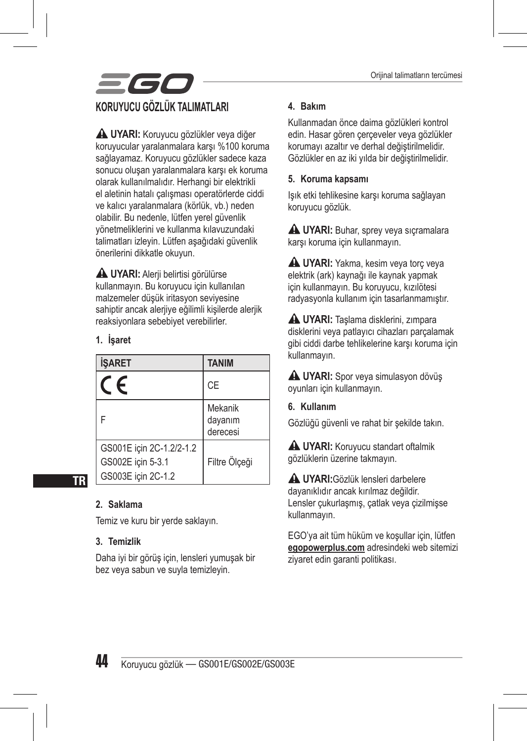

 **UYARI:** Koruyucu gözlükler veya diğer koruyucular yaralanmalara karşı %100 koruma sağlayamaz. Koruyucu gözlükler sadece kaza sonucu oluşan yaralanmalara karşı ek koruma olarak kullanılmalıdır. Herhangi bir elektrikli el aletinin hatalı çalışması operatörlerde ciddi ve kalıcı yaralanmalara (körlük, vb.) neden olabilir. Bu nedenle, lütfen yerel güvenlik yönetmeliklerini ve kullanma kılavuzundaki talimatları izleyin. Lütfen aşağıdaki güvenlik önerilerini dikkatle okuyun.

 **UYARI:** Alerji belirtisi görülürse kullanmayın. Bu koruyucu için kullanılan malzemeler düşük iritasyon seviyesine sahiptir ancak alerjiye eğilimli kişilerde alerjik reaksiyonlara sebebiyet verebilirler.

#### **1. İşaret**

| <b>İSARET</b>                                                       | <b>TANIM</b>                   |
|---------------------------------------------------------------------|--------------------------------|
| $\epsilon$                                                          | CE                             |
| F                                                                   | Mekanik<br>dayanım<br>derecesi |
| GS001E için 2C-1.2/2-1.2<br>GS002E icin 5-3.1<br>GS003E için 2C-1.2 | Filtre Ölçeği                  |

#### **2. Saklama**

TR

Temiz ve kuru bir yerde saklayın.

#### **3. Temizlik**

Daha iyi bir görüş için, lensleri yumuşak bir bez veya sabun ve suyla temizleyin.

#### **4. Bakım**

Kullanmadan önce daima gözlükleri kontrol edin. Hasar gören çerçeveler veya gözlükler korumayı azaltır ve derhal değiştirilmelidir. Gözlükler en az iki yılda bir değiştirilmelidir.

#### **5. Koruma kapsamı**

Işık etki tehlikesine karşı koruma sağlayan koruyucu gözlük.

**A UYARI:** Buhar, sprey veya sıçramalara karşı koruma için kullanmayın.

**A UYARI:** Yakma, kesim veya torc yeya elektrik (ark) kaynağı ile kaynak yapmak için kullanmayın. Bu koruyucu, kızılötesi radyasyonla kullanım için tasarlanmamıştır.

 **UYARI:** Taşlama disklerini, zımpara disklerini veya patlayıcı cihazları parçalamak gibi ciddi darbe tehlikelerine karşı koruma için kullanmayın.

**A UYARI:** Spor veya simulasyon dövüş oyunları için kullanmayın.

**6. Kullanım**

Gözlüğü güvenli ve rahat bir şekilde takın.

**A UYARI:** Koruyucu standart oftalmik gözlüklerin üzerine takmayın.

 **UYARI:**Gözlük lensleri darbelere dayanıklıdır ancak kırılmaz değildir. Lensler çukurlaşmış, çatlak veya çizilmişse kullanmayın.

EGO'ya ait tüm hüküm ve koşullar için, lütfen **egopowerplus.com** adresindeki web sitemizi ziyaret edin garanti politikası.

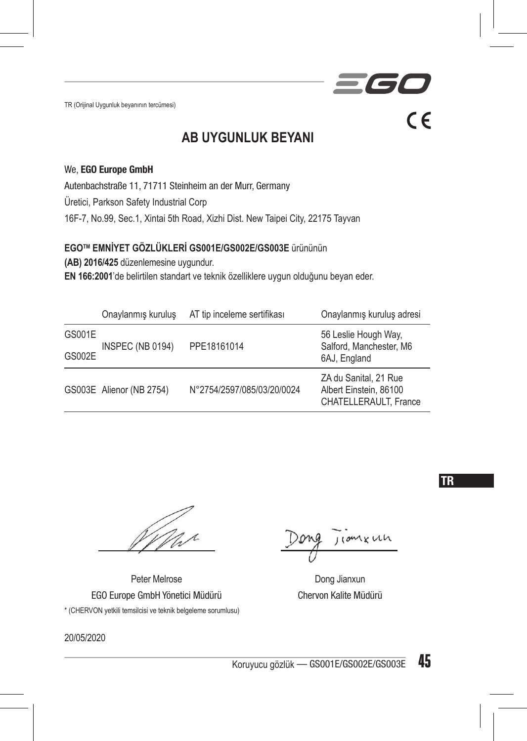TR (Orijinal Uygunluk beyanının tercümesi)



#### We, EGO Europe GmbH

Autenbachstraße 11, 71711 Steinheim an der Murr, Germany Üretici, Parkson Safety Industrial Corp 16F-7, No.99, Sec.1, Xintai 5th Road, Xizhi Dist. New Taipei City, 22175 Tayvan

**EGOTM EMNİYET GÖZLÜKLERİ GS001E/GS002E/GS003E** ürününün

**(AB) 2016/425** düzenlemesine uygundur.

**EN 166:2001**'de belirtilen standart ve teknik özelliklere uygun olduğunu beyan eder.

|        | Onaylanmış kuruluş       | AT tip inceleme sertifikası | Onaylanmış kuruluş adresi                                                |
|--------|--------------------------|-----------------------------|--------------------------------------------------------------------------|
| GS001E | INSPEC (NB 0194)         | PPE18161014                 | 56 Leslie Hough Way,<br>Salford, Manchester, M6                          |
| GS002E |                          |                             | 6AJ, England                                                             |
|        | GS003E Alienor (NB 2754) | N°2754/2597/085/03/20/0024  | ZA du Sanital, 21 Rue<br>Albert Einstein, 86100<br>CHATELLERAULT. France |

Peter Melrose Dong Jianxun EGO Europe GmbH Yönetici Müdürü Chervon Kalite Müdürü \* (CHERVON yetkili temsilcisi ve teknik belgeleme sorumlusu)

20/05/2020

110mxun

 $\blacksquare$ 

 $\epsilon$ 

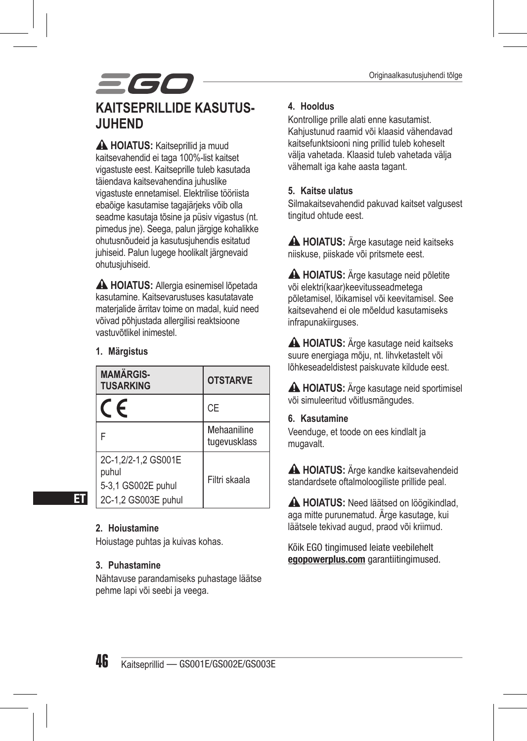## 561 **KAITSEPRILLIDE KASUTUS-JUHEND**

 **HOIATUS:** Kaitseprillid ja muud kaitsevahendid ei taga 100%-list kaitset vigastuste eest. Kaitseprille tuleb kasutada täiendava kaitsevahendina juhuslike vigastuste ennetamisel. Elektrilise tööriista ebaõige kasutamise tagajärjeks võib olla seadme kasutaja tõsine ja püsiv vigastus (nt. pimedus jne). Seega, palun järgige kohalikke ohutusnõudeid ja kasutusjuhendis esitatud juhiseid. Palun lugege hoolikalt järgnevaid ohutusjuhiseid.

 **HOIATUS:** Allergia esinemisel lõpetada kasutamine. Kaitsevarustuses kasutatavate materjalide ärritav toime on madal, kuid need võivad põhjustada allergilisi reaktsioone vastuvõtlikel inimestel.

#### **1. Märgistus**

| <b>MAMÄRGIS-</b><br><b>TUSARKING</b>                                      | <b>OTSTARVE</b>             |
|---------------------------------------------------------------------------|-----------------------------|
| F                                                                         | CE                          |
| F                                                                         | Mehaaniline<br>tugevusklass |
| 2C-1.2/2-1.2 GS001E<br>puhul<br>5-3,1 GS002E puhul<br>2C-1,2 GS003E puhul | Filtri skaala               |

#### **2. Hoiustamine**

ET

Hoiustage puhtas ja kuivas kohas.

#### **3. Puhastamine**

Nähtavuse parandamiseks puhastage läätse pehme lapi või seebi ja veega.

#### **4. Hooldus**

Kontrollige prille alati enne kasutamist. Kahjustunud raamid või klaasid vähendavad kaitsefunktsiooni ning prillid tuleb koheselt välja vahetada. Klaasid tuleb vahetada välja vähemalt iga kahe aasta tagant.

#### **5. Kaitse ulatus**

Silmakaitsevahendid pakuvad kaitset valgusest tingitud ohtude eest.

 **HOIATUS:** Ärge kasutage neid kaitseks niiskuse, piiskade või pritsmete eest.

 **HOIATUS:** Ärge kasutage neid põletite või elektri(kaar)keevitusseadmetega põletamisel, lõikamisel või keevitamisel. See kaitsevahend ei ole mõeldud kasutamiseks infrapunakiirguses.

 **HOIATUS:** Ärge kasutage neid kaitseks suure energiaga mõju, nt. lihvketastelt või lõhkeseadeldistest paiskuvate kildude eest.

 **HOIATUS:** Ärge kasutage neid sportimisel või simuleeritud võitlusmängudes.

#### **6. Kasutamine**

Veenduge, et toode on ees kindlalt ja mugavalt.

 **HOIATUS:** Ärge kandke kaitsevahendeid standardsete oftalmoloogiliste prillide peal.

**A HOIATUS:** Need läätsed on löögikindlad, aga mitte purunematud. Ärge kasutage, kui läätsele tekivad augud, praod või kriimud.

Kõik EGO tingimused leiate veebilehelt egopowerplus.com garantiitingimused.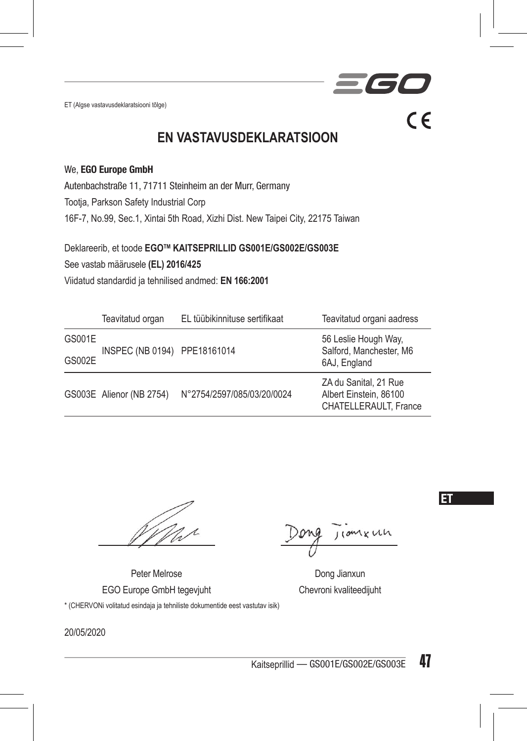ET (Algse vastavusdeklaratsiooni tõlge)

**TE**  $\epsilon$ 

### **EN VASTAVUSDEKLARATSIOON**

#### We, EGO Europe GmbH

Autenbachstraße 11, 71711 Steinheim an der Murr, Germany

Tootja, Parkson Safety Industrial Corp

16F-7, No.99, Sec.1, Xintai 5th Road, Xizhi Dist. New Taipei City, 22175 Taiwan

Deklareerib, et toode **EGOTM KAITSEPRILLID GS001E/GS002E/GS003E**

See vastab määrusele **(EL) 2016/425**

Viidatud standardid ja tehnilised andmed: **EN 166:2001**

|        | Teavitatud organ             | EL tüübikinnituse sertifikaat | Teavitatud organi aadress                                                |
|--------|------------------------------|-------------------------------|--------------------------------------------------------------------------|
| GS001E | INSPEC (NB 0194) PPE18161014 |                               | 56 Leslie Hough Way,<br>Salford, Manchester, M6<br>6AJ, England          |
| GS002E |                              |                               |                                                                          |
|        | GS003E Alienor (NB 2754)     | N°2754/2597/085/03/20/0024    | ZA du Sanital, 21 Rue<br>Albert Einstein, 86100<br>CHATELLERAULT. France |

Peter Melrose Dong Jianxun EGO Europe GmbH tegevjuht Chevroni kvaliteedijuht \* (CHERVONi volitatud esindaja ja tehniliste dokumentide eest vastutav isik)

*xun* 

ET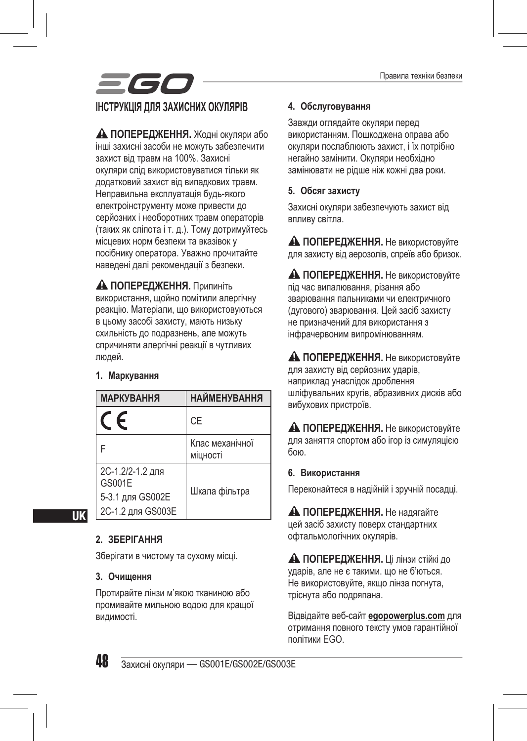# **ІНСТРУКЦІЯ ДЛЯ ЗАХИСНИХ ОКУЛЯРІВ**

**ПОПЕРЕДЖЕННЯ.** Жодні окуляри або інші захисні засоби не можуть забезпечити захист від травм на 100%. Захисні окуляри слід використовуватися тільки як додатковий захист від випадкових травм. Неправильна експлуатація будь-якого електроінструменту може привести до серйозних і необоротних травм операторів (таких як сліпота і т. д.). Тому дотримуйтесь місцевих норм безпеки та вказівок у посібнику оператора. Уважно прочитайте наведені далі рекомендації з безпеки.

 **ПОПЕРЕДЖЕННЯ.** Припиніть використання, щойно помітили алергічну реакцію. Матеріали, що використовуються в цьому засобі захисту, мають низьку схильність до подразнень, але можуть спричиняти алергічні реакції в чутливих людей.

#### **1. Маркування**

| <b>МАРКУВАННЯ</b>                                                   | <b>НАЙМЕНУВАННЯ</b>         |
|---------------------------------------------------------------------|-----------------------------|
| $\epsilon$                                                          | CE                          |
|                                                                     | Клас механічної<br>міцності |
| 2С-1.2/2-1.2 для<br>GS001E<br>5-3.1 для GS002E<br>2С-1.2 для GS003E | Шкала фільтра               |

UK

#### **2. ЗБЕРІГАННЯ**

Зберігати в чистому та сухому місці.

#### **3. Очищення**

Протирайте лінзи м'якою тканиною або промивайте мильною водою для кращої видимості.

#### **4. Обслуговування**

Завжди оглядайте окуляри перед використанням. Пошкоджена оправа або окуляри послаблюють захист, і їх потрібно негайно замінити. Окуляри необхідно замінювати не рідше ніж кожні два роки.

#### **5. Обсяг захисту**

Захисні окуляри забезпечують захист від впливу світла.

**А ПОПЕРЕДЖЕННЯ.** Не використовуйте для захисту від аерозолів, спреїв або бризок.

**А ПОПЕРЕДЖЕННЯ.** Не використовуйте під час випалювання, різання або зварювання пальниками чи електричного (дугового) зварювання. Цей засіб захисту не призначений для використання з інфрачервоним випромінюванням.

**А ПОПЕРЕДЖЕННЯ.** Не використовуйте для захисту від серйозних ударів, наприклад унаслідок дроблення шліфувальних кругів, абразивних дисків або вибухових пристроїв.

**А ПОПЕРЕДЖЕННЯ.** Не використовуйте для заняття спортом або ігор із симуляцією бою.

#### **6. Використання**

Переконайтеся в надійній і зручній посадці.

**А ПОПЕРЕДЖЕННЯ.** Не надягайте цей засіб захисту поверх стандартних офтальмологічних окулярів.

 **ПОПЕРЕДЖЕННЯ.** Ці лінзи стійкі до ударів, але не є такими. що не б'ються. Не використовуйте, якщо лінза погнута, тріснута або подряпана.

Відвідайте веб-сайт **egopowerplus.com** для отримання повного тексту умов гарантійної політики EGO.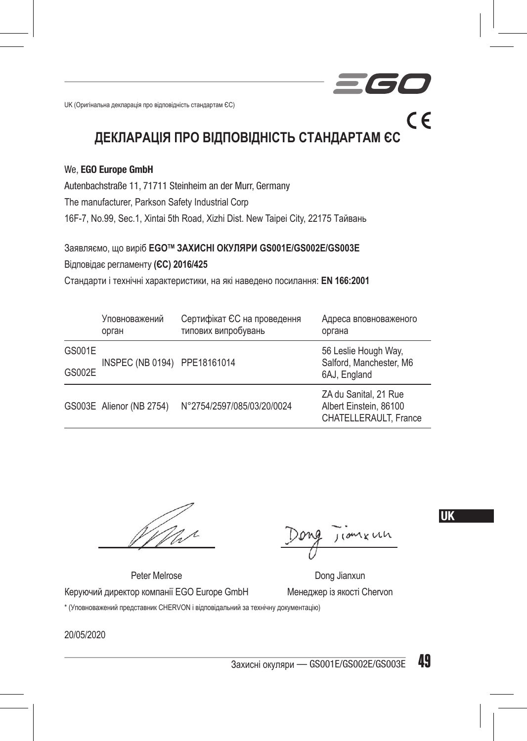UK (Оригінальна декларація про відповідність стандартам ЄС)

### **ДЕКЛАРАЦІЯ ПРО ВІДПОВІДНІСТЬ СТАНДАРТАМ ЄС**

#### We, EGO Europe GmbH

Autenbachstraße 11, 71711 Steinheim an der Murr, Germany

The manufacturer, Parkson Safety Industrial Corp

16F-7, No.99, Sec.1, Xintai 5th Road, Xizhi Dist. New Taipei City, 22175 Тайвань

Заявляємо, що виріб **EGOTM ЗАХИСНІ ОКУЛЯРИ GS001E/GS002E/GS003E**

Відповідає регламенту **(ЄС) 2016/425**

Стандарти і технічні характеристики, на які наведено посилання: **EN 166:2001**

|        | Уповноважений<br>орган       | Сертифікат ЄС на проведення<br>типових випробувань | Адреса вповноваженого<br>органа                                          |
|--------|------------------------------|----------------------------------------------------|--------------------------------------------------------------------------|
| GS001E | INSPEC (NB 0194) PPE18161014 |                                                    | 56 Leslie Hough Way,<br>Salford, Manchester, M6                          |
| GS002E |                              |                                                    | 6AJ, England                                                             |
|        | GS003E Alienor (NB 2754)     | N°2754/2597/085/03/20/0024                         | ZA du Sanital, 21 Rue<br>Albert Einstein, 86100<br>CHATELLERAULT. France |

UK

 $\epsilon$ 

Peter Melrose Dong Jianxun

Керуючий директор компанії EGO Europe GmbH Менеджер із якості Chervon \* (Уповноважений представник CHERVON і відповідальний за технічну документацію)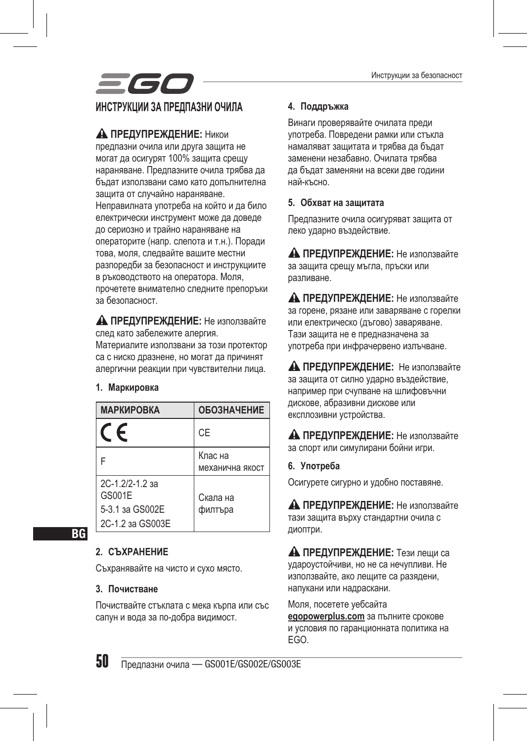

#### **ПРЕДУПРЕЖДЕНИЕ:** Никои

предпазни очила или друга защита не могат да осигурят 100% защита срещу нараняване. Предпазните очила трябва да бъдат използвани само като допълнителна защита от случайно нараняване. Неправилната употреба на който и да било електрически инструмент може да доведе до сериозно и трайно нараняване на операторите (напр. слепота и т.н.). Поради това, моля, следвайте вашите местни разпоредби за безопасност и инструкциите в ръководството на оператора. Моля, прочетете внимателно следните препоръки за безопасност.

 **ПРЕДУПРЕЖДЕНИЕ:** Не използвайте след като забележите алергия. Материалите използвани за този протектор

са с ниско дразнене, но могат да причинят алергични реакции при чувствителни лица.

#### **1. Маркировка**

| <b>МАРКИРОВКА</b>                                                | <b>ОБОЗНАЧЕНИЕ</b>         |
|------------------------------------------------------------------|----------------------------|
| $\epsilon$                                                       | CE                         |
|                                                                  | Клас на<br>механична якост |
| 2C-1.2/2-1.2 за<br>GS001E<br>5-3.1 за GS002E<br>2C-1.2 sa GS003E | Скала на<br>филтъра        |

**BG** 

#### **2. СЪХРАНЕНИЕ**

Съхранявайте на чисто и сухо място.

#### **3. Почистване**

Почиствайте стъклата с мека кърпа или със сапун и вода за по-добра видимост.

#### **4. Поддръжка**

Винаги проверявайте очилата преди употреба. Повредени рамки или стъкла намаляват защитата и трябва да бъдат заменени незабавно. Очилата трябва да бъдат заменяни на всеки две години най-късно.

#### **5. Обхват на защитата**

Предпазните очила осигуряват защита от леко ударно въздействие.

 **ПРЕДУПРЕЖДЕНИЕ:** Не използвайте за защита срещу мъгла, пръски или разливане.

**А ПРЕДУПРЕЖДЕНИЕ:** Не използвайте за горене, рязане или заваряване с горелки или електрическо (дъгово) заваряване. Тази защита не е предназначена за употреба при инфрачервено излъчване.

 **ПРЕДУПРЕЖДЕНИЕ:** Не използвайте за защита от силно ударно въздействие, например при счупване на шлифовъчни дискове, абразивни дискове или експлозивни устройства.

**А ПРЕДУПРЕЖДЕНИЕ:** Не използвайте за спорт или симулирани бойни игри.

**6. Употреба**

Осигурете сигурно и удобно поставяне.

**А ПРЕДУПРЕЖДЕНИЕ:** Не използвайте тази защита върху стандартни очила с диоптри.

 **ПРЕДУПРЕЖДЕНИЕ:** Тези лещи са удароустойчиви, но не са нечупливи. Не използвайте, ако лещите са разядени, напукани или надраскани.

Моля, посетете уебсайта **egopowerplus.com** за пълните срокове и условия по гаранционната политика на EGO.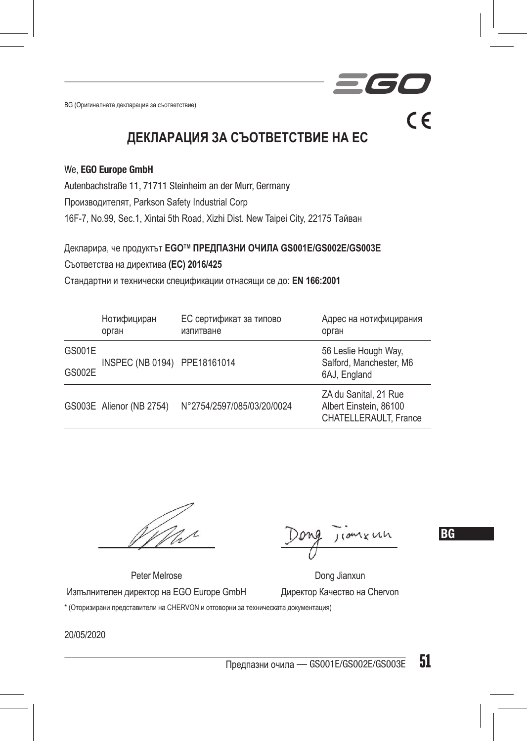BG (Оригиналната декларация за съответствие)

 $C \subseteq$ 

**ДЕКЛАРАЦИЯ ЗА СЪОТВЕТСТВИЕ НА ЕС**

#### We, EGO Europe GmbH

Autenbachstraße 11, 71711 Steinheim an der Murr, Germany

Производителят, Parkson Safety Industrial Corp

16F-7, No.99, Sec.1, Xintai 5th Road, Xizhi Dist. New Taipei City, 22175 Тайван

Декларира, че продуктът **EGOTM ПРЕДПАЗНИ ОЧИЛА GS001E/GS002E/GS003E**

Съответства на директива **(ЕС) 2016/425**

Стандартни и технически спецификации отнасящи се до: **EN 166:2001**

|        | Нотифициран<br>орган         | ЕС сертификат за типово<br>изпитване | Адрес на нотифицирания<br>орган                                          |
|--------|------------------------------|--------------------------------------|--------------------------------------------------------------------------|
| GS001E | INSPEC (NB 0194) PPE18161014 |                                      | 56 Leslie Hough Way,<br>Salford, Manchester, M6                          |
| GS002E |                              |                                      | 6AJ, England                                                             |
|        | GS003E Alienor (NB 2754)     | N°2754/2597/085/03/20/0024           | ZA du Sanital, 21 Rue<br>Albert Einstein, 86100<br>CHATELLERAULT. France |

BG

Peter Melrose Dong Jianxun Изпълнителен директор на EGO Europe GmbH Директор Качество на Chervon \* (Оторизирани представители на CHERVON и отговорни за техническата документация)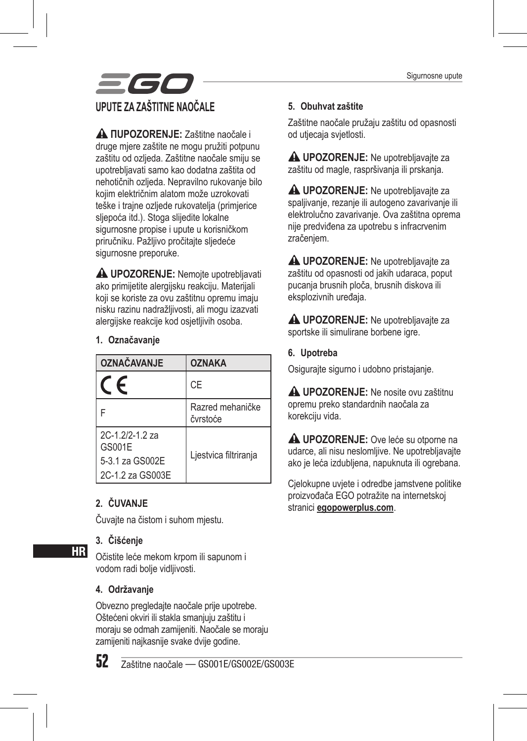

**A NUPOZORENJE:** Zaštitne naočale i druge mjere zaštite ne mogu pružiti potpunu zaštitu od ozljeda. Zaštitne naočale smiju se upotrebljavati samo kao dodatna zaštita od nehotičnih ozljeda. Nepravilno rukovanje bilo kojim električnim alatom može uzrokovati teške i trajne ozljede rukovatelja (primjerice sljepoća itd.). Stoga slijedite lokalne sigurnosne propise i upute u korisničkom priručniku. Pažljivo pročitajte sljedeće sigurnosne preporuke.

 **UPOZORENJE:** Nemojte upotrebljavati ako primijetite alergijsku reakciju. Materijali koji se koriste za ovu zaštitnu opremu imaju nisku razinu nadražljivosti, ali mogu izazvati alergijske reakcije kod osjetlijvih osoba.

#### **1. Označavanje**

| <b>OZNAČAVANJE</b>                                             | <b>OZNAKA</b>                |
|----------------------------------------------------------------|------------------------------|
| F                                                              | CE                           |
|                                                                | Razred mehaničke<br>čvrstoće |
| $2C-12/2-12z$<br>GS001E<br>5-3.1 za GS002E<br>2C-1.2 za GS003E | Ljestvica filtriranja        |

#### **2. ČUVANJE**

Čuvajte na čistom i suhom mjestu.

#### **3. Čišćenje**

Očistite leće mekom krpom ili sapunom i vodom radi bolje vidljivosti.

#### **4. Održavanje**

Obvezno pregledajte naočale prije upotrebe. Oštećeni okviri ili stakla smanjuju zaštitu i moraju se odmah zamijeniti. Naočale se moraju zamijeniti najkasnije svake dvije godine.



HR

52 Zaštitne naočale — GS001E/GS002E/GS003E

#### **5. Obuhvat zaštite**

Zaštitne naočale pružaju zaštitu od opasnosti od utjecaja svjetlosti.

**UPOZORENJE:** Ne upotrebljavajte za zaštitu od magle, raspršivanja ili prskanja.

**A UPOZORENJE:** Ne upotrebljavajte za spaljivanje, rezanje ili autogeno zavarivanje ili elektrolučno zavarivanje. Ova zaštitna oprema nije predviđena za upotrebu s infracrvenim zračenjem.

**A UPOZORENJE:** Ne upotrebliavaite za zaštitu od opasnosti od jakih udaraca, poput pucanja brusnih ploča, brusnih diskova ili eksplozivnih uređaja.

**A UPOZORENJE:** Ne upotrebliavaite za sportske ili simulirane borbene igre.

#### **6. Upotreba**

Osigurajte sigurno i udobno pristajanje.

**A UPOZORENJE:** Ne nosite ovu zaštitnu opremu preko standardnih naočala za korekciju vida.

**A UPOZORENJE:** Ove leće su otporne na udarce, ali nisu neslomljive. Ne upotrebljavajte ako je leća izdubljena, napuknuta ili ogrebana.

Cjelokupne uvjete i odredbe jamstvene politike proizvođača EGO potražite na internetskoj stranici **egopowerplus.com**.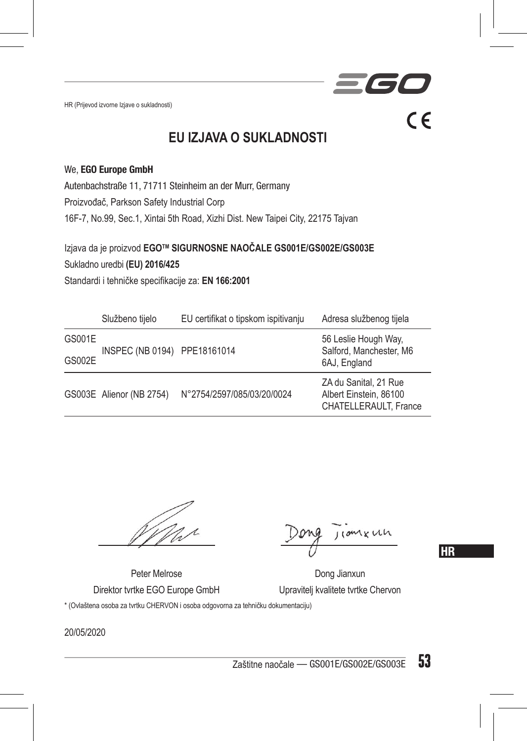HR (Prijevod izvorne Izjave o sukladnosti)

**TE** 

 $C \in$ 

### **EU IZJAVA O SUKLADNOSTI**

#### We, EGO Europe GmbH

Autenbachstraße 11, 71711 Steinheim an der Murr, Germany Proizvođač, Parkson Safety Industrial Corp 16F-7, No.99, Sec.1, Xintai 5th Road, Xizhi Dist. New Taipei City, 22175 Tajvan

Izjava da je proizvod **EGOTM SIGURNOSNE NAOČALE GS001E/GS002E/GS003E** Sukladno uredbi **(EU) 2016/425** Standardi i tehničke specifikacije za: **EN 166:2001**

|        | Službeno tijelo              | EU certifikat o tipskom ispitivanju | Adresa službenog tijela                                                  |
|--------|------------------------------|-------------------------------------|--------------------------------------------------------------------------|
| GS001E | INSPEC (NB 0194) PPE18161014 |                                     | 56 Leslie Hough Way,<br>Salford, Manchester, M6<br>6AJ, England          |
| GS002E |                              |                                     |                                                                          |
|        | GS003E Alienor (NB 2754)     | N°2754/2597/085/03/20/0024          | ZA du Sanital, 21 Rue<br>Albert Einstein, 86100<br>CHATELLERAULT. France |

**HR** 

Peter Melrose Dong Jianxun Direktor tvrtke EGO Europe GmbH Upravitelj kvalitete tvrtke Chervon

\* (Ovlaštena osoba za tvrtku CHERVON i osoba odgovorna za tehničku dokumentaciju)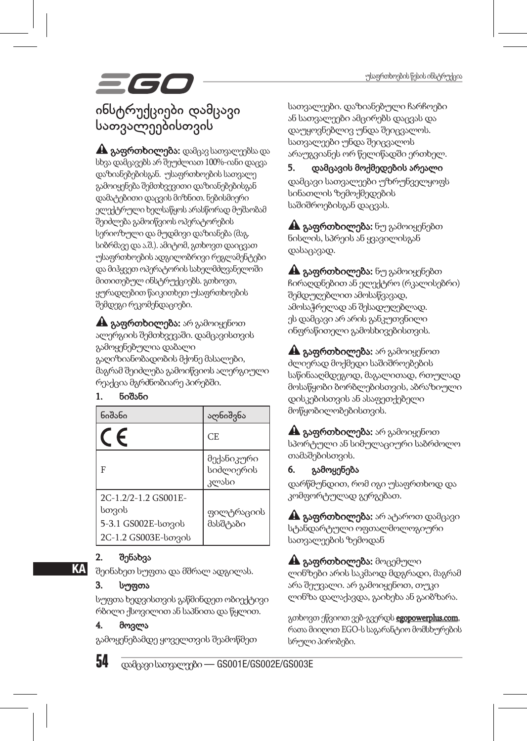# 561

### ინსტრუქციები დამცავი სათვალეებისთვის

A გაფრთხილება: დამცავ სათვალეებსა და სხვა დამცავებს არ შეუძლიათ 100%-იანი დაცვა დაზიანებებისგან. უსაფრთხოების სათვალე გამოიყენება შემთხვევითი დაზიანებებისგან დამატებითი დაცვის მიზნით. ნებისმიერი ელექტრული ხელსაწყოს არასწორად მუშაობამ შეიძლება გამოიწვიოს ოპერატორების სერიოზული და მუდმივი დაზიანება (მაგ. სიბრმავე და ა.შ.). ამიტომ, გთხოვთ დაიცვათ უსაფრთხოების ადგილობრივი რეგლამენტები და მიჰყვეთ ოპერატორის სახელმძღვანელოში მითითებულ ინსტრუქციებს. გთხოვთ, ყურადღებით წაიკითხეთ უსაფრთხოების შემდეგი რეკომენდაციები.

A გაფრთხილება: არ გამოიყენოთ ალერგიის შემთხვევაში. დამცავისთვის გამოყენებულია დაბალი გაღიზიანობადობის მქონე მასალები, მაგრამ შეიძლება გამოიწვიოს ალერგიული რეაქცია მგრძნობიარე პირებში.

#### 1. ნიშანი

| ნიშანი                                                                       | აღნიშვნა                         |
|------------------------------------------------------------------------------|----------------------------------|
|                                                                              | CE.                              |
| F                                                                            | მექანიკური<br>სიძლიერის<br>კლასი |
| 2C-1.2/2-1.2 GS001E-<br>სთვის<br>5-3.1 GS002E-borgob<br>2C-1.2 GS003E-borgob | ფილტრაციის<br>მასშტაბი           |

#### 2. შენახვა

შეინახეთ სუფთა და მშრალ ადგილას.

#### სუფთა

**KA** 

სუფთა ხედვისთვის გაწმინდეთ ობიექტივი რბილი ქსოვილით ან საპნითა და წყლით.

#### მოვლა

გამოყენებამდე ყოველთვის შეამოწმეთ

54 დამცავი სათვალეები — GS001E/GS002E/GS003E

სათვალეები. დაზიანებული ჩარჩოები ან სათვალეები ამცირებს დაცვას და დაუყოვნებლივ უნდა შეიცვალოს. სათვალეები უნდა შეიცვალოს არაუგვიანეს ორ წელიწადში ერთხელ.

5. დამცავის მოქმედების არეალი დამცავი სათვალეები უზრუნველყოფს სინათლის ზემოქმედების საშიშროებისგან დაცვას.

A გაფრთხილება: ნუ გამოიყენებთ ნისლის, სპრეის ან ყვავილისგან დასაცავად.

 $\mathbf A$  გაფრთხილება: ნუ გამოიყენებთ ჩირაღდნებით ან ელექტრო (რკალისებრი) შემდუღებლით ამოსაწვავად, ამოსაჭრელად ან შესადუღებლად. ეს დამცავი არ არის განკუთვნილი ინფრაწითელი გამოსხივებისთვის.

A გაფრთხილება: არ გამოიყენოთ ძლიერად მოქმედი საშიშროებების საწინააღმდეგოდ, მაგალითად, რთულად მოსაწყობი ბორბლებისთვის, აბრაზიული დისკებისთვის ან ასაფეთქებელი მოწყობილობებისთვის.

A გაფრთხილება: არ გამოიყენოთ სპორტული ან სიმულაციური საბრძოლო თამაშებისთვის.

#### 6. გამოყენება

დარწმუნდით, რომ იგი უსაფრთხოდ და კომფორტულად გერგებათ.

A გაფრთხილება: არ ატაროთ დამცავი სტანდარტული ოფთალმოლოგიური სათვალეების ზემოდან

A გაფრთხილება: მოცემული ლინზები არის საკმაოდ მდგრადი, მაგრამ არა შეუვალი. არ გამოიყენოთ, თუკი ლინზა დალაქავდა, გაიხეხა ან გაიბზარა.

გთხოვთ ეწვიოთ ვებ-გვერდს egopowerplus.com, რათა მიიღოთ EGO-ს საგარანტიო მომსხურების სრული პირობები.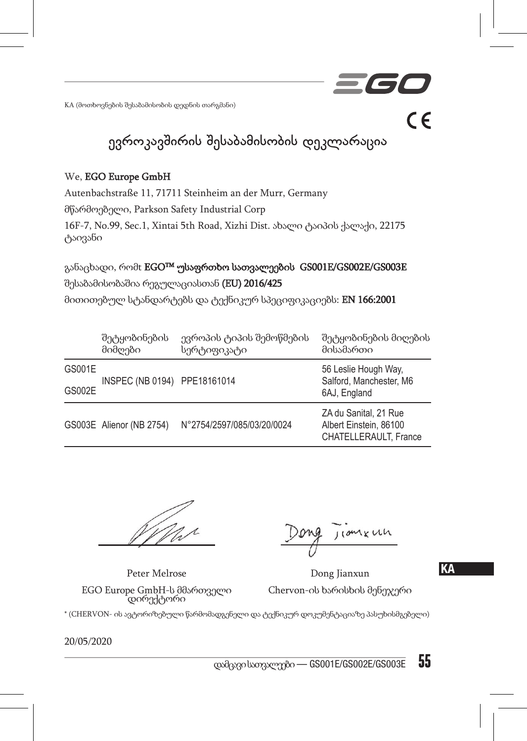KA (მოთხოვნების შესაბამისობის დედნის თარგმანი)

ევროკავშირის შესაბამისობის დეკლარაცია

#### We, EGO Europe GmbH

Autenbachstraße 11, 71711 Steinheim an der Murr, Germany

მწარმოებელი, Parkson Safety Industrial Corp

16F-7, No.99, Sec.1, Xintai 5th Road, Xizhi Dist. ახალი ტაიპის ქალაქი, 22175 ტაივანი

განაცხადი, რომt EGOTM უსაფრთხო სათვალეების GS001E/GS002E/GS003E შესაბამისობაშია რეგულაციასთან (EU) 2016/425

მითითებულ სტანდარტებს და ტექნიკურ სპეციფიკაციებს: EN 166:2001

|        | შეტყობინების<br>მიმღები      | ევროპის ტიპის შემოწმების<br>სერტიფიკატი | შეტყობინების მიღების<br>მისამართი                                        |
|--------|------------------------------|-----------------------------------------|--------------------------------------------------------------------------|
| GS001E | INSPEC (NB 0194) PPE18161014 |                                         | 56 Leslie Hough Way,<br>Salford, Manchester, M6                          |
| GS002E |                              |                                         | 6AJ, England                                                             |
|        | GS003E Alienor (NB 2754)     | N°2754/2597/085/03/20/0024              | ZA du Sanital, 21 Rue<br>Albert Einstein, 86100<br>CHATELLERAULT. France |

Peter Melrose Dong Jianxun Chervon-ის ხარისხის მენეჯერი

KA

 $\epsilon$ 

EGO Europe GmbH-ს მმართველი დირექტორი

\* (CHERVON- ის ავტორიზებული წარმომადგენელი და ტექნიკურ დოკუმენტაციაზე პასუხისმგებელი)

20/05/2020

 $\frac{1}{2}$ დამცავი სათვალეები — GS001E/GS002E/GS003E 55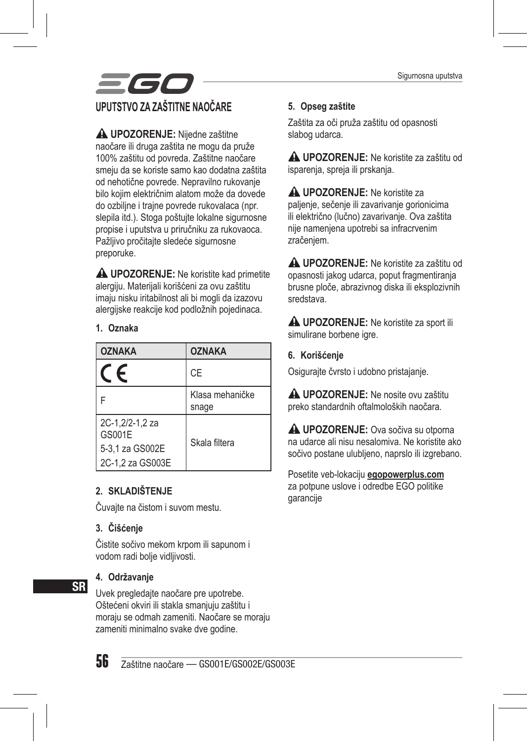Sigurnosna uputstva



**UPOZORENJE:** Nijedne zaštitne naočare ili druga zaštita ne mogu da pruže 100% zaštitu od povreda. Zaštitne naočare smeju da se koriste samo kao dodatna zaštita od nehotične povrede. Nepravilno rukovanje bilo kojim električnim alatom može da dovede do ozbiljne i trajne povrede rukovalaca (npr. slepila itd.). Stoga poštujte lokalne sigurnosne propise i uputstva u priručniku za rukovaoca. Pažlijvo pročitajte sledeće sigurnosne preporuke.

 **UPOZORENJE:** Ne koristite kad primetite alergiju. Materijali korišćeni za ovu zaštitu imaju nisku iritabilnost ali bi mogli da izazovu alergijske reakcije kod podložnih pojedinaca.

#### **1. Oznaka**

| <b>OZNAKA</b>                                                    | <b>OZNAKA</b>            |
|------------------------------------------------------------------|--------------------------|
| F                                                                | СE                       |
|                                                                  | Klasa mehaničke<br>snage |
| 2C-1,2/2-1,2 za<br>GS001E<br>5-3.1 za GS002E<br>2C-1.2 za GS003E | Skala filtera            |

#### **2. SKLADIŠTENJE**

Čuvajte na čistom i suvom mestu.

#### **3. Čišćenje**

Čistite sočivo mekom krpom ili sapunom i vodom radi bolje vidljivosti.

#### **4. Održavanje**

Uvek pregledajte naočare pre upotrebe. Oštećeni okviri ili stakla smanjuju zaštitu i moraju se odmah zameniti. Naočare se moraju zameniti minimalno svake dve godine.



SR

56 Zaštitne naočare — GS001E/GS002E/GS003E

#### **5. Opseg zaštite**

Zaštita za oči pruža zaštitu od opasnosti slabog udarca.

**UPOZORENJE:** Ne koristite za zaštitu od isparenja, spreja ili prskanja.

**A UPOZORENJE:** Ne koristite za paljenje, sečenje ili zavarivanje gorionicima ili električno (lučno) zavarivanje. Ova zaštita nije namenjena upotrebi sa infracrvenim zračenjem.

**UPOZORENJE:** Ne koristite za zaštitu od opasnosti jakog udarca, poput fragmentiranja brusne ploče, abrazivnog diska ili eksplozivnih sredstava.

**A UPOZORENJE:** Ne koristite za sport ili simulirane borbene igre.

#### **6. Korišćenje**

Osigurajte čvrsto i udobno pristajanje.

**A UPOZORENJE:** Ne nosite ovu zaštitu preko standardnih oftalmoloških naočara.

**A UPOZORENJE:** Ova sočiva su otporna na udarce ali nisu nesalomiva. Ne koristite ako sočivo postane ulubljeno, naprslo ili izgrebano.

Posetite veb-lokaciju **egopowerplus.com** za potpune uslove i odredbe EGO politike garancije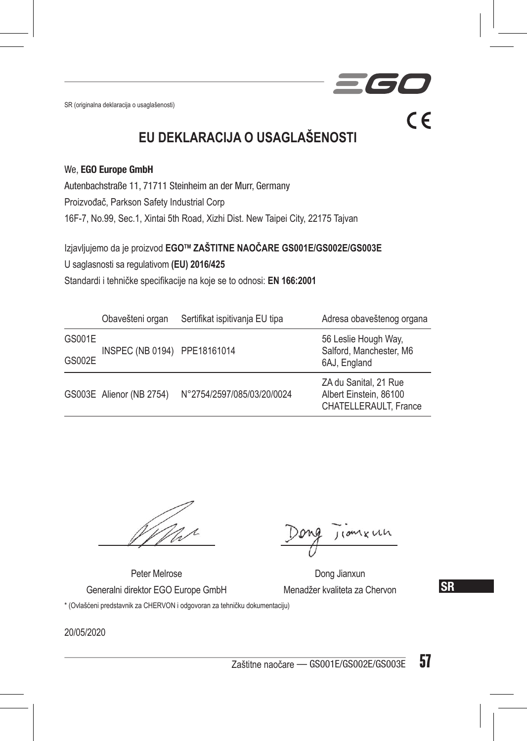SR (originalna deklaracija o usaglašenosti)

 $C \in$ 

### **EU DEKLARACIJA O USAGLAŠENOSTI**

#### We, EGO Europe GmbH

Autenbachstraße 11, 71711 Steinheim an der Murr, Germany Proizvođač, Parkson Safety Industrial Corp 16F-7, No.99, Sec.1, Xintai 5th Road, Xizhi Dist. New Taipei City, 22175 Tajvan

Izjavljujemo da je proizvod **EGOTM ZAŠTITNE NAOČARE GS001E/GS002E/GS003E**

U saglasnosti sa regulativom **(EU) 2016/425**

Standardi i tehničke specifikacije na koje se to odnosi: **EN 166:2001**

|        | Obavešteni organ             | Sertifikat ispitivanja EU tipa | Adresa obaveštenog organa                                                |
|--------|------------------------------|--------------------------------|--------------------------------------------------------------------------|
| GS001E | INSPEC (NB 0194) PPE18161014 |                                | 56 Leslie Hough Way,<br>Salford, Manchester, M6<br>6AJ, England          |
| GS002E |                              |                                |                                                                          |
|        | GS003E Alienor (NB 2754)     | N°2754/2597/085/03/20/0024     | ZA du Sanital, 21 Rue<br>Albert Einstein, 86100<br>CHATELLERAULT. France |

Peter Melrose Dong Jianxun Generalni direktor EGO Europe GmbH Menadžer kvaliteta za Chervon \* (Ovlašćeni predstavnik za CHERVON i odgovoran za tehničku dokumentaciju)

**SR** 

20/05/2020

Zaštitne naočare — GS001E/GS002E/GS003E  $57$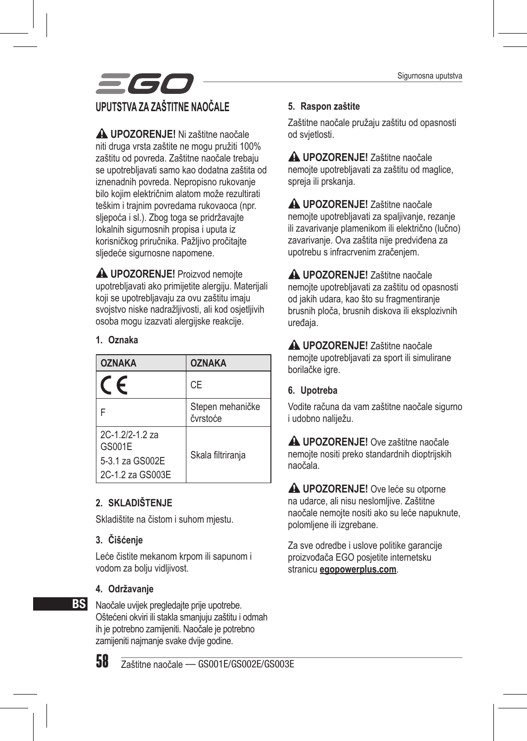

**UPOZORENJE!** Ni zaštitne naočale niti druga vrsta zaštite ne mogu pružiti 100% zaštitu od povreda. Zaštitne naočale trebaju se upotrebljavati samo kao dodatna zaštita od iznenadnih povreda. Nepropisno rukovanje bilo kojim električnim alatom može rezultirati teškim i trajnim povredama rukovaoca (npr. sljepoća i sl.). Zbog toga se pridržavajte lokalnih sigurnosnih propisa i uputa iz korisničkog priručnika. Pažljivo pročitajte sljedeće sigurnosne napomene.

 **UPOZORENJE!** Proizvod nemojte upotrebljavati ako primijetite alergiju. Materijali koji se upotrebljavaju za ovu zaštitu imaju svojstvo niske nadražljivosti, ali kod osjetljivih osoba mogu izazvati alergijske reakcije.

#### **1. Oznaka**

| <b>OZNAKA</b>                                                    | <b>OZNAKA</b>                |
|------------------------------------------------------------------|------------------------------|
| $\epsilon$                                                       | CE                           |
|                                                                  | Stepen mehaničke<br>čvrstoće |
| 2C-1.2/2-1.2 za<br>GS001E<br>5-3.1 za GS002E<br>2C-1.2 za GS003E | Skala filtriranja            |

#### **2. SKLADIŠTENJE**

Skladištite na čistom i suhom mjestu.

#### **3. Čišćenje**

Leće čistite mekanom krpom ili sapunom i vodom za bolju vidljivost.

#### **4. Održavanje**

**BS** Naočale uvijek pregledajte prije upotrebe. Oštećeni okviri ili stakla smanjuju zaštitu i odmah ih je potrebno zamijeniti. Naočale je potrebno zamijeniti najmanje svake dvije godine.

58 Zaštitne naočale — GS001E/GS002E/GS003E

#### **5. Raspon zaštite**

Zaštitne naočale pružaju zaštitu od opasnosti od svjetlosti.

**UPOZORENJE!** Zaštitne naočale nemojte upotrebljavati za zaštitu od maglice, spreja ili prskanja.

**UPOZORENJE!** Zaštitne naočale nemojte upotrebljavati za spaljivanje, rezanje ili zavarivanje plamenikom ili električno (lučno) zavarivanje. Ova zaštita nije predviđena za upotrebu s infracrvenim zračenjem.

**UPOZORENJE!** Zaštitne naočale nemojte upotrebljavati za zaštitu od opasnosti od jakih udara, kao što su fragmentiranje brusnih ploča, brusnih diskova ili eksplozivnih uređaja.

**UPOZORENJE!** Zaštitne naočale nemojte upotrebljavati za sport ili simulirane borilačke igre.

#### **6. Upotreba**

Vodite računa da vam zaštitne naočale sigurno i udobno naliježu.

**UPOZORENJE!** Ove zaštitne naočale nemojte nositi preko standardnih dioptrijskih naočala.

**UPOZORENJE!** Ove leće su otporne na udarce, ali nisu neslomljive. Zaštitne naočale nemojte nositi ako su leće napuknute, polomljene ili izgrebane.

Za sve odredbe i uslove politike garancije proizvođača EGO posjetite internetsku stranicu **egopowerplus.com**.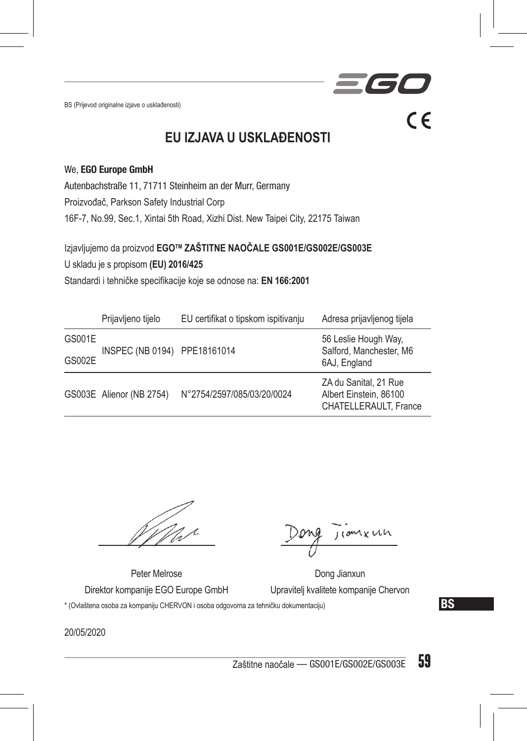BS (Prijevod originalne izjave o usklađenosti)

 $C \in$ 

**EU IZJAVA U USKLAĐENOSTI**

#### We, EGO Europe GmbH

Autenbachstraße 11, 71711 Steinheim an der Murr, Germany Proizvođač, Parkson Safety Industrial Corp 16F-7, No.99, Sec.1, Xintai 5th Road, Xizhi Dist. New Taipei City, 22175 Taiwan

Izjavljujemo da proizvod **EGOTM ZAŠTITNE NAOČALE GS001E/GS002E/GS003E** U skladu je s propisom **(EU) 2016/425** Standardi i tehničke specifikacije koje se odnose na: **EN 166:2001**

|        | Prijavljeno tijelo       | EU certifikat o tipskom ispitivanju | Adresa prijavljenog tijela                                               |
|--------|--------------------------|-------------------------------------|--------------------------------------------------------------------------|
| GS001E |                          | INSPEC (NB 0194) PPE18161014        | 56 Leslie Hough Way,<br>Salford, Manchester, M6<br>6AJ, England          |
| GS002E |                          |                                     |                                                                          |
|        | GS003E Alienor (NB 2754) | N°2754/2597/085/03/20/0024          | ZA du Sanital, 21 Rue<br>Albert Einstein, 86100<br>CHATELLERAULT, France |

1 x un

Peter Melrose Dong Jianxun Direktor kompanije EGO Europe GmbH Upravitelj kvalitete kompanije Chervon

\* (Ovlaštena osoba za kompaniju CHERVON i osoba odgovorna za tehničku dokumentaciju)

BS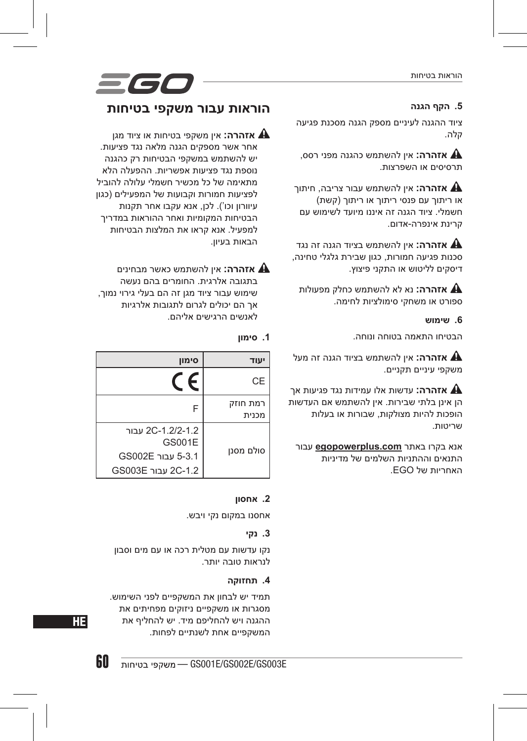#### הוראות בטיחות

#### **.5 הקף הגנה**

ציוד ההגנה לעיניים מספק הגנה מסכנת פגיעה קלה.

 **אזהרה:** אין להשתמש כהגנה מפני רסס, תרסיסים או השפרצות.

 **אזהרה:** אין להשתמש עבור צריבה, חיתוך או ריתוך עם פנסי ריתוך או ריתוך )קשת( חשמלי. ציוד הגנה זה איננו מיועד לשימוש עם קרינת אינפרה-אדום.

 **אזהרה:** אין להשתמש בציוד הגנה זה נגד סכנות פגיעה חמורות, כגון שבירת גלגלי טחינה, דיסקים לליטוש או התקני פיצוץ.

 **אזהרה:** נא לא להשתמש כחלק מפעולות ספורט או משחקי סימולציות לחימה.

#### **.6 שימוש**

הבטיחו התאמה בטוחה ונוחה.

 **אזהרה:** אין להשתמש בציוד הגנה זה מעל משקפי עיניים תקניים.

 **אזהרה:** עדשות אלו עמידות נגד פגיעות אך הן אינן בלתי שבירות. אין להשתמש אם העדשות הופכות להיות מצולקות, שבורות או בעלות שריטות.

אנא בקרו באתר **com.egopowerplus** עבור התנאים וההתניות השלמים של מדיניות האחריות של EGO.

### **הוראות עבור משקפי בטיחות**

 **אזהרה:** אין משקפי בטיחות או ציוד מגן אחר אשר מספקים הגנה מלאה נגד פציעות. יש להשתמש במשקפי הבטיחות רק כהגנה נוספת נגד פציעות אפשריות. ההפעלה הלא מתאימה של כל מכשיר חשמלי עלולה להוביל לפציעות חמורות וקבועות של המפעילים )כגון עיוורון וכו'(. לכן, אנא עקבו אחר תקנות הבטיחות המקומיות ואחר ההוראות במדריך למפעיל. אנא קראו את המלצות הבטיחות הבאות בעיון.

 **אזהרה:** אין להשתמש כאשר מבחינים בתגובה אלרגית. החומרים בהם נעשה שימוש עבור ציוד מגן זה הם בעלי גירוי נמוך, אך הם יכולים לגרום לתגובות אלרגיות לאנשים הרגישים אליהם.

#### **.1 סימון**

| סימוו                              |                   |
|------------------------------------|-------------------|
|                                    | CE                |
| F                                  | רמת חוזק<br>מכנית |
| 2C-1.2/2-1.2 עבור<br><b>GS001E</b> |                   |
| 5-3.1 עבור GS002E                  | סולם מסנן         |
| 2C-1.2 עבור GS003E                 |                   |

#### **.2 אחסון**

אחסנו במקום נקי ויבש.

#### **.3 נקי**

נקו עדשות עם מטלית רכה או עם מים וסבון לנראות טובה יותר.

#### **.4 תחזוקה**

תמיד יש לבחון את המשקפיים לפני השימוש. מסגרות או משקפיים ניזוקים מפחיתים את ההגנה ויש להחליפם מיד. יש להחליף את המשקפיים אחת לשנתיים לפחות.



60 — GS001E/GS002E/GS003E

HE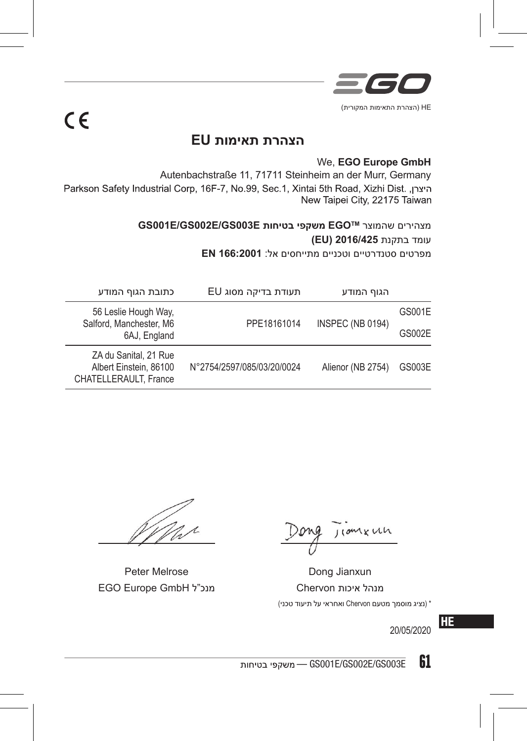

# $C \in$

### **הצהרת תאימות EU**

#### We, **EGO Europe GmbH**

Autenbachstraße 11, 71711 Steinheim an der Murr, Germany<br>Parkson Safety Industrial Corp, 16F-7, No.99, Sec.1, Xintai 5th Road, Xizhi Dist. היצרן, New Taipei City, 22175 Taiwan

> **GS001E/GS002E/GS003E בטיחות משקפי EGOTM** שהמוצר מצהירים עומד בתקנת **2016/425 (EU)** מפרטים סטנדרטיים וטכניים מתייחסים אל: **166:2001 EN**

|        | הגוף המודע              | תעודת בדיקה מסוג EU        | כתובת הגוף המודע                                                                |
|--------|-------------------------|----------------------------|---------------------------------------------------------------------------------|
| GS001E | <b>INSPEC (NB 0194)</b> | PPE18161014                | 56 Leslie Hough Way,<br>Salford, Manchester, M6                                 |
| GS002E |                         |                            | 6AJ, England                                                                    |
| GS003E | Alienor (NB 2754)       | N°2754/2597/085/03/20/0024 | ZA du Sanital, 21 Rue<br>Albert Einstein, 86100<br><b>CHATELLERAULT, France</b> |

Peter Melrose Dong Jianxun מנהל איכות Chervon מנכ"ל GmbH Europe EGO

coment

\* )נציג מוסמך מטעם Chervon ואחראי על תיעוד טכני(

HE 20/05/2020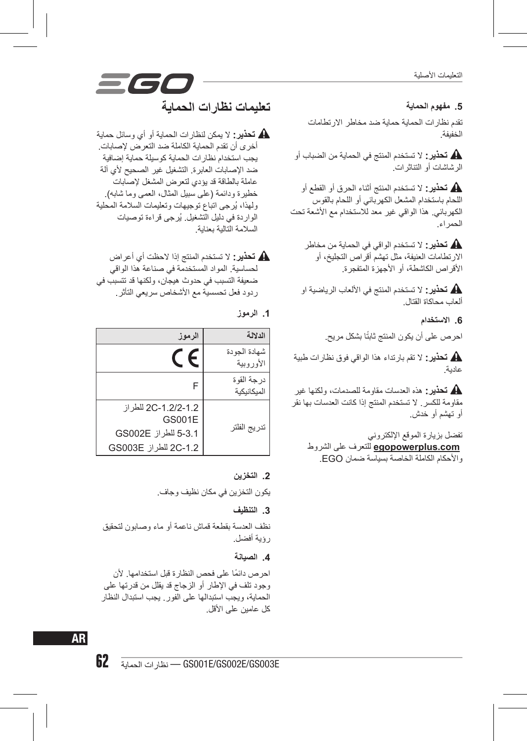التعليمات األصلية

#### **.5 مفهوم الحماية**

تقدم نظارات الحماية حماية ضد مخاطر االرتطامات الخفيفة.

 **تحذير:** ال تستخدم المنتج في الحماية من الضباب أو الرشاشات أو التناثرات.

 **تحذير:** ال تستخدم المنتج أثناء الحرق أو القطع أو اللحام باستخدام المشعل الكهربائي أو اللحام بالقوس الكهربائي. هذا الواقي غير معد لالستخدام مع األشعة تحت الحمراء.

 **تحذير:** ال تستخدم الواقي في الحماية من مخاطر االرتطامات العنيفة، مثل تهشم أقراص التجليخ، أو األقراص الكاشطة، أو األجهزة المتفجرة.

 **تحذير:** ال تستخدم المنتج في األلعاب الرياضية او ألعاب محاكاة القتال.

**.6 االستخدام**

احر ص على أن يكون المنتج ثابتًا بشكل مريح.

 **تحذير:** ال تقم بارتداء هذا الواقي فوق نظارات طبية عادية.

 **تحذير:** هذه العدسات مقاومة للصدمات، ولكنها غير مقاومة للكسر. ال تستخدم المنتج إذا كانت العدسات بها نقر أو تهشم أو خدش.

تفضل بزيارة الموقع اإللكتروني **com.egopowerplus** للتعرف على الشروط واألحكام الكاملة الخاصة بسياسة ضمان EGO.

## *= 60* **تعليمات نظارات الحماية**

 **تحذير:** ال يمكن لنظارات الحماية أو أي وسائل حماية أخرى أن تقدم الحماية الكاملة ضد التعرض إلصابات. يجب استخدام نظارات الحماية كوسيلة حماية إضافية ضد اإلصابات العابرة. التشغيل غير الصحيح ألي آلة عاملة بالطاقة قد يؤدي لتعرض المشغل إلصابات خطيرة ودائمة (على سبيل المثال، العمى وما شابه). ُ ولهذا، يرجى اتباع توجيهات وتعليمات السالمة المحلية ُ الواردة في دليل التشغيل. يرجى قراءة توصيات السالمة التالية بعناية.

 **تحذير:** ال تستخدم المنتج إذا الحظت أي أعراض لحساسية. المواد المستخدمة في صناعة هذا الواقي ضعيفة التسبب في حدوث هيجان، ولكنها قد تتسبب في ردود فعل تحسسية مع األشخاص سريعي التأثر.

**.1 الرموز**

| الرموز                                                                               | الدلالة                     |
|--------------------------------------------------------------------------------------|-----------------------------|
|                                                                                      | شهادة الجو دة<br>الأوروبية  |
| F                                                                                    | در جة القو ة<br>المبكانيكية |
| 2C-1.2/2-1.2 للطر از<br><b>GS001E</b><br>5-3.1 للطراز GS002E<br>2C-1.2 للطراز GS003E | تدريج الفلتر                |

#### **.2 التخزين**

يكون التخزين في مكان نظيف وجاف.

#### **.3 التنظيف**

نظف العدسة بقطعة قماش ناعمة أو ماء وصابون لتحقيق رؤية أفضل.

#### **.4 الصيانة**

ً احرص دائما على فحص النظارة قبل استخدامها. ألن وجود تلف في اإلطار أو الزجاج قد يقلل من قدرتها على الحماية، ويجب استبدالها على الفور. يجب استبدال النظار كل عامين على األقل.

AR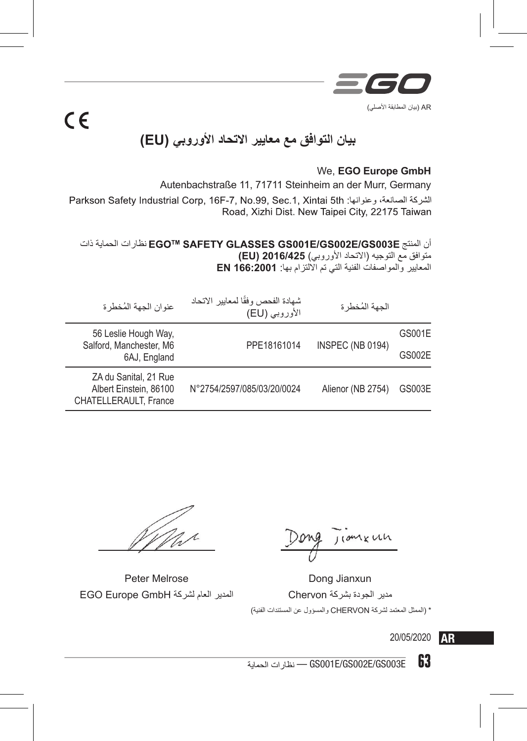

## **بيان التوافق مع معايير االتحاد األوروبي )EU)**

#### We, **EGO Europe GmbH**

Autenbachstraße 11, 71711 Steinheim an der Murr, Germany الشركة الصانعة، وعنوانها: Parkson Safety Industrial Corp, 16F-7, No.99, Sec.1, Xintai 5th Road, Xizhi Dist. New Taipei City, 22175 Taiwan

#### أن المنتج نظارات الحماية ذات متوافق مع التوجيه )االتحاد األوروبي( **2016/425 (EU)** المعايير والمواصفات الفنية التي تم االلتزام بها: **166:2001 EN**

| عنوان الجهة المُخطر ة                                                           | شهادة الفحص وفقًا لمعايير الاتحاد<br>الأوروبي (EU) | الجهة المُخطر ة   |               |
|---------------------------------------------------------------------------------|----------------------------------------------------|-------------------|---------------|
| 56 Leslie Hough Way,<br>Salford, Manchester, M6<br>6AJ, England                 | PPE18161014                                        | INSPEC (NB 0194)  | GS001E        |
|                                                                                 |                                                    |                   | <b>GS002E</b> |
| ZA du Sanital, 21 Rue<br>Albert Einstein, 86100<br><b>CHATELLERAULT, France</b> | N°2754/2597/085/03/20/0024                         | Alienor (NB 2754) | GS003E        |

 $C \in$ 

مدير الجودة بشركة Chervon المدير العام لشركة GmbH Europe EGO

mkuh

Peter Melrose Dong Jianxun \* )الممثل المعتمد لشركة CHERVON والمسؤول عن المستندات الفنية(

20/05/2020 **AR** 

— GS001E/GS002E/GS003E 63